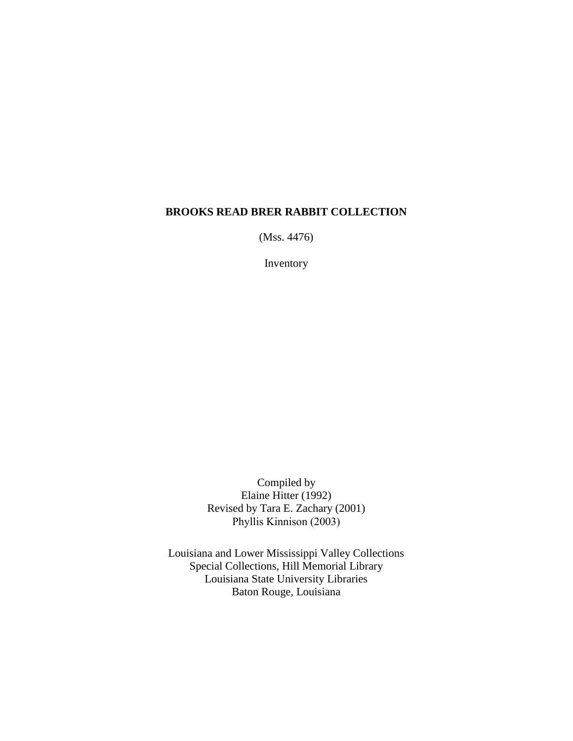#### **BROOKS READ BRER RABBIT COLLECTION**

(Mss. 4476)

Inventory

Compiled by Elaine Hitter (1992) Revised by Tara E. Zachary (2001) Phyllis Kinnison (2003)

Louisiana and Lower Mississippi Valley Collections Special Collections, Hill Memorial Library Louisiana State University Libraries Baton Rouge, Louisiana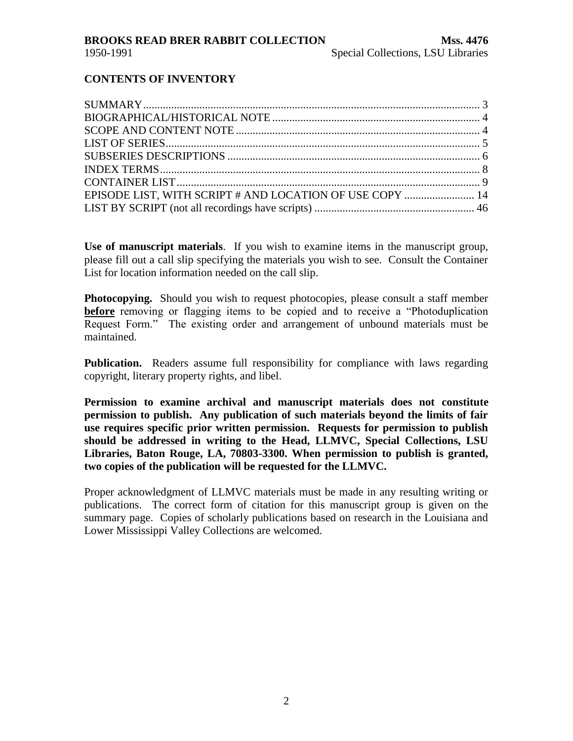#### **CONTENTS OF INVENTORY**

| EPISODE LIST, WITH SCRIPT # AND LOCATION OF USE COPY  14 |  |
|----------------------------------------------------------|--|
|                                                          |  |
|                                                          |  |

**Use of manuscript materials**. If you wish to examine items in the manuscript group, please fill out a call slip specifying the materials you wish to see. Consult the Container List for location information needed on the call slip.

**Photocopying.** Should you wish to request photocopies, please consult a staff member **before** removing or flagging items to be copied and to receive a "Photoduplication" Request Form." The existing order and arrangement of unbound materials must be maintained.

**Publication.** Readers assume full responsibility for compliance with laws regarding copyright, literary property rights, and libel.

**Permission to examine archival and manuscript materials does not constitute permission to publish. Any publication of such materials beyond the limits of fair use requires specific prior written permission. Requests for permission to publish should be addressed in writing to the Head, LLMVC, Special Collections, LSU Libraries, Baton Rouge, LA, 70803-3300. When permission to publish is granted, two copies of the publication will be requested for the LLMVC.**

Proper acknowledgment of LLMVC materials must be made in any resulting writing or publications. The correct form of citation for this manuscript group is given on the summary page. Copies of scholarly publications based on research in the Louisiana and Lower Mississippi Valley Collections are welcomed.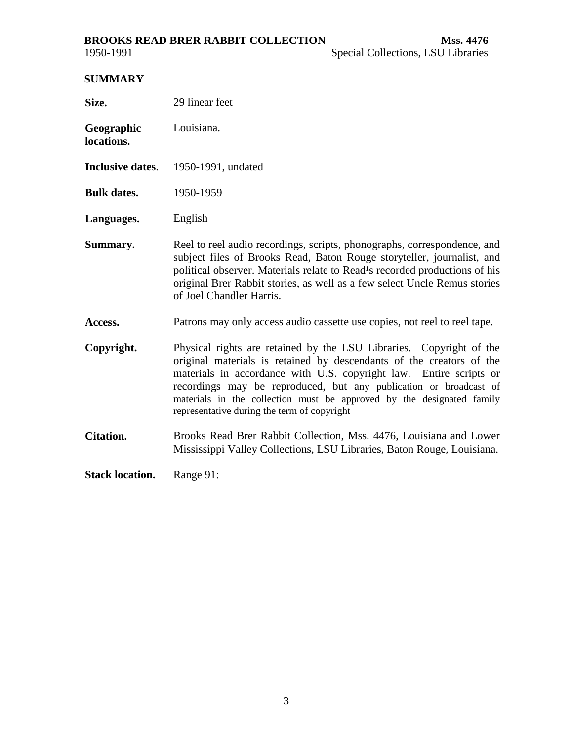#### <span id="page-2-0"></span>**BROOKS READ BRER RABBIT COLLECTION Mss. 4476**

#### **SUMMARY**

| Size.                    | 29 linear feet                                                                                                                                                                                                                                                                                                                                                                                                 |
|--------------------------|----------------------------------------------------------------------------------------------------------------------------------------------------------------------------------------------------------------------------------------------------------------------------------------------------------------------------------------------------------------------------------------------------------------|
| Geographic<br>locations. | Louisiana.                                                                                                                                                                                                                                                                                                                                                                                                     |
| <b>Inclusive dates.</b>  | 1950-1991, undated                                                                                                                                                                                                                                                                                                                                                                                             |
| <b>Bulk dates.</b>       | 1950-1959                                                                                                                                                                                                                                                                                                                                                                                                      |
| Languages.               | English                                                                                                                                                                                                                                                                                                                                                                                                        |
| Summary.                 | Reel to reel audio recordings, scripts, phonographs, correspondence, and<br>subject files of Brooks Read, Baton Rouge storyteller, journalist, and<br>political observer. Materials relate to Read <sup>1</sup> s recorded productions of his<br>original Brer Rabbit stories, as well as a few select Uncle Remus stories<br>of Joel Chandler Harris.                                                         |
| <b>Access.</b>           | Patrons may only access audio cassette use copies, not reel to reel tape.                                                                                                                                                                                                                                                                                                                                      |
| Copyright.               | Physical rights are retained by the LSU Libraries. Copyright of the<br>original materials is retained by descendants of the creators of the<br>materials in accordance with U.S. copyright law. Entire scripts or<br>recordings may be reproduced, but any publication or broadcast of<br>materials in the collection must be approved by the designated family<br>representative during the term of copyright |
| <b>Citation.</b>         | Brooks Read Brer Rabbit Collection, Mss. 4476, Louisiana and Lower<br>Mississippi Valley Collections, LSU Libraries, Baton Rouge, Louisiana.                                                                                                                                                                                                                                                                   |
| <b>Stack location.</b>   | Range 91:                                                                                                                                                                                                                                                                                                                                                                                                      |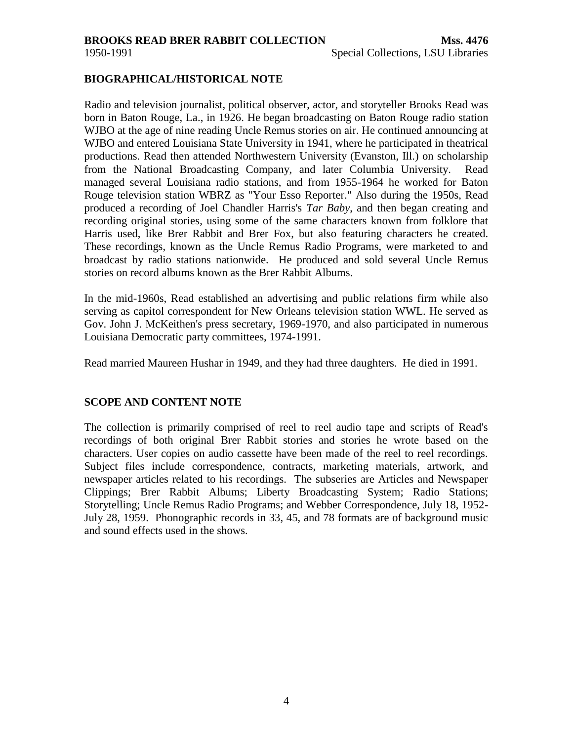#### <span id="page-3-0"></span>**BIOGRAPHICAL/HISTORICAL NOTE**

Radio and television journalist, political observer, actor, and storyteller Brooks Read was born in Baton Rouge, La., in 1926. He began broadcasting on Baton Rouge radio station WJBO at the age of nine reading Uncle Remus stories on air. He continued announcing at WJBO and entered Louisiana State University in 1941, where he participated in theatrical productions. Read then attended Northwestern University (Evanston, Ill.) on scholarship from the National Broadcasting Company, and later Columbia University. Read managed several Louisiana radio stations, and from 1955-1964 he worked for Baton Rouge television station WBRZ as "Your Esso Reporter." Also during the 1950s, Read produced a recording of Joel Chandler Harris's *Tar Baby*, and then began creating and recording original stories, using some of the same characters known from folklore that Harris used, like Brer Rabbit and Brer Fox, but also featuring characters he created. These recordings, known as the Uncle Remus Radio Programs, were marketed to and broadcast by radio stations nationwide. He produced and sold several Uncle Remus stories on record albums known as the Brer Rabbit Albums.

In the mid-1960s, Read established an advertising and public relations firm while also serving as capitol correspondent for New Orleans television station WWL. He served as Gov. John J. McKeithen's press secretary, 1969-1970, and also participated in numerous Louisiana Democratic party committees, 1974-1991.

Read married Maureen Hushar in 1949, and they had three daughters. He died in 1991.

#### **SCOPE AND CONTENT NOTE**

The collection is primarily comprised of reel to reel audio tape and scripts of Read's recordings of both original Brer Rabbit stories and stories he wrote based on the characters. User copies on audio cassette have been made of the reel to reel recordings. Subject files include correspondence, contracts, marketing materials, artwork, and newspaper articles related to his recordings. The subseries are Articles and Newspaper Clippings; Brer Rabbit Albums; Liberty Broadcasting System; Radio Stations; Storytelling; Uncle Remus Radio Programs; and Webber Correspondence, July 18, 1952- July 28, 1959. Phonographic records in 33, 45, and 78 formats are of background music and sound effects used in the shows.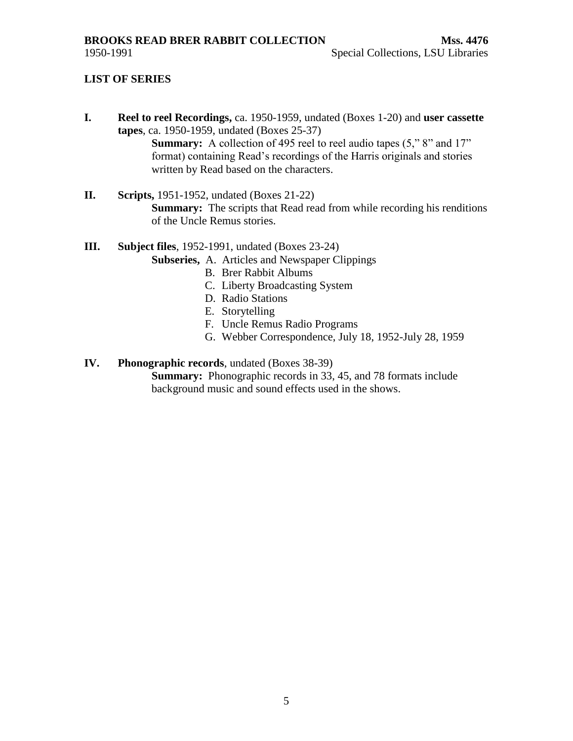#### <span id="page-4-0"></span>**LIST OF SERIES**

**I. Reel to reel Recordings,** ca. 1950-1959, undated (Boxes 1-20) and **user cassette tapes**, ca. 1950-1959, undated (Boxes 25-37)

**Summary:** A collection of 495 reel to reel audio tapes (5," 8" and 17" format) containing Read's recordings of the Harris originals and stories written by Read based on the characters.

**II. Scripts,** 1951-1952, undated (Boxes 21-22) **Summary:** The scripts that Read read from while recording his renditions of the Uncle Remus stories.

**III. Subject files**, 1952-1991, undated (Boxes 23-24)

- **Subseries,** A. Articles and Newspaper Clippings
	- B. Brer Rabbit Albums
	- C. Liberty Broadcasting System
	- D. Radio Stations
	- E. Storytelling
	- F. Uncle Remus Radio Programs
	- G. Webber Correspondence, July 18, 1952-July 28, 1959

#### **IV. Phonographic records**, undated (Boxes 38-39)

**Summary:** Phonographic records in 33, 45, and 78 formats include background music and sound effects used in the shows.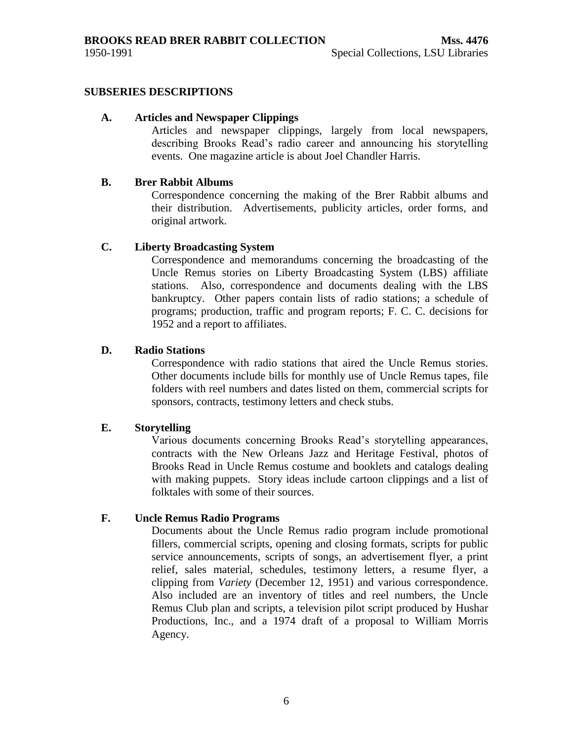#### <span id="page-5-0"></span>**SUBSERIES DESCRIPTIONS**

#### **A. Articles and Newspaper Clippings**

Articles and newspaper clippings, largely from local newspapers, describing Brooks Read's radio career and announcing his storytelling events. One magazine article is about Joel Chandler Harris.

#### **B. Brer Rabbit Albums**

Correspondence concerning the making of the Brer Rabbit albums and their distribution. Advertisements, publicity articles, order forms, and original artwork.

#### **C. Liberty Broadcasting System**

Correspondence and memorandums concerning the broadcasting of the Uncle Remus stories on Liberty Broadcasting System (LBS) affiliate stations. Also, correspondence and documents dealing with the LBS bankruptcy. Other papers contain lists of radio stations; a schedule of programs; production, traffic and program reports; F. C. C. decisions for 1952 and a report to affiliates.

#### **D. Radio Stations**

Correspondence with radio stations that aired the Uncle Remus stories. Other documents include bills for monthly use of Uncle Remus tapes, file folders with reel numbers and dates listed on them, commercial scripts for sponsors, contracts, testimony letters and check stubs.

#### **E. Storytelling**

Various documents concerning Brooks Read's storytelling appearances, contracts with the New Orleans Jazz and Heritage Festival, photos of Brooks Read in Uncle Remus costume and booklets and catalogs dealing with making puppets. Story ideas include cartoon clippings and a list of folktales with some of their sources.

#### **F. Uncle Remus Radio Programs**

Documents about the Uncle Remus radio program include promotional fillers, commercial scripts, opening and closing formats, scripts for public service announcements, scripts of songs, an advertisement flyer, a print relief, sales material, schedules, testimony letters, a resume flyer, a clipping from *Variety* (December 12, 1951) and various correspondence. Also included are an inventory of titles and reel numbers, the Uncle Remus Club plan and scripts, a television pilot script produced by Hushar Productions, Inc., and a 1974 draft of a proposal to William Morris Agency.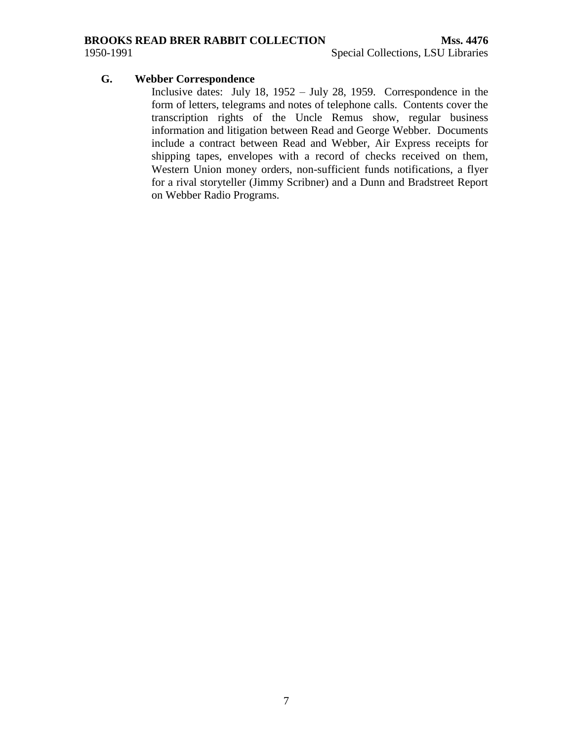#### **BROOKS READ BRER RABBIT COLLECTION Mss. 4476**

#### **G. Webber Correspondence**

Inclusive dates: July 18, 1952 – July 28, 1959. Correspondence in the form of letters, telegrams and notes of telephone calls. Contents cover the transcription rights of the Uncle Remus show, regular business information and litigation between Read and George Webber. Documents include a contract between Read and Webber, Air Express receipts for shipping tapes, envelopes with a record of checks received on them, Western Union money orders, non-sufficient funds notifications, a flyer for a rival storyteller (Jimmy Scribner) and a Dunn and Bradstreet Report on Webber Radio Programs.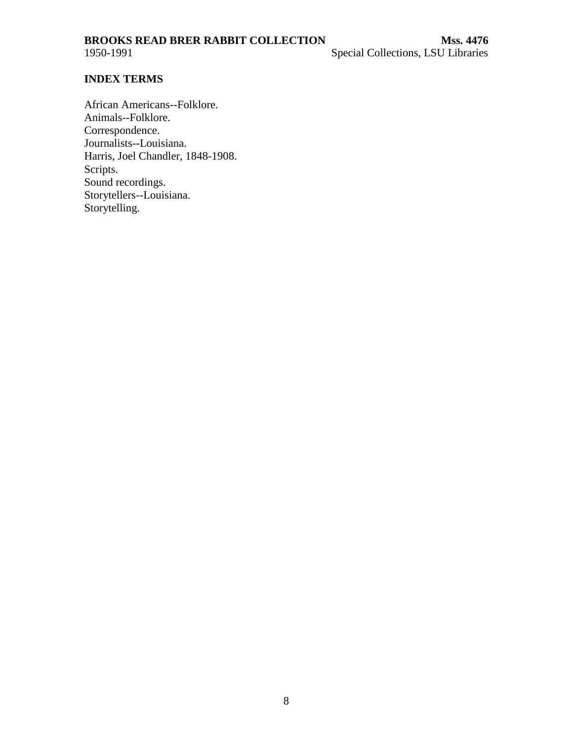<span id="page-7-0"></span>

#### **INDEX TERMS**

African Americans--Folklore. Animals--Folklore. Correspondence. Journalists--Louisiana. Harris, Joel Chandler, 1848-1908. Scripts. Sound recordings. Storytellers--Louisiana. Storytelling.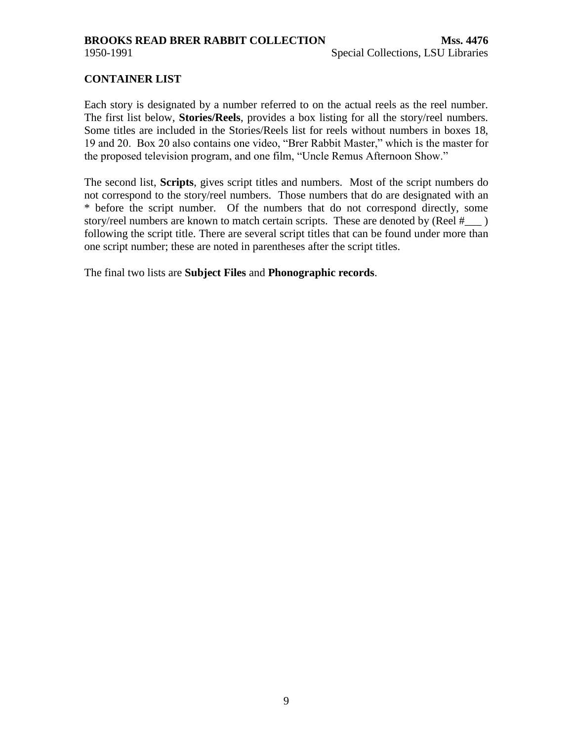<span id="page-8-0"></span>

#### **CONTAINER LIST**

Each story is designated by a number referred to on the actual reels as the reel number. The first list below, **Stories/Reels**, provides a box listing for all the story/reel numbers. Some titles are included in the Stories/Reels list for reels without numbers in boxes 18, 19 and 20. Box 20 also contains one video, "Brer Rabbit Master," which is the master for the proposed television program, and one film, "Uncle Remus Afternoon Show."

The second list, **Scripts**, gives script titles and numbers. Most of the script numbers do not correspond to the story/reel numbers. Those numbers that do are designated with an \* before the script number. Of the numbers that do not correspond directly, some story/reel numbers are known to match certain scripts. These are denoted by (Reel #\_\_\_ ) following the script title. There are several script titles that can be found under more than one script number; these are noted in parentheses after the script titles.

The final two lists are **Subject Files** and **Phonographic records**.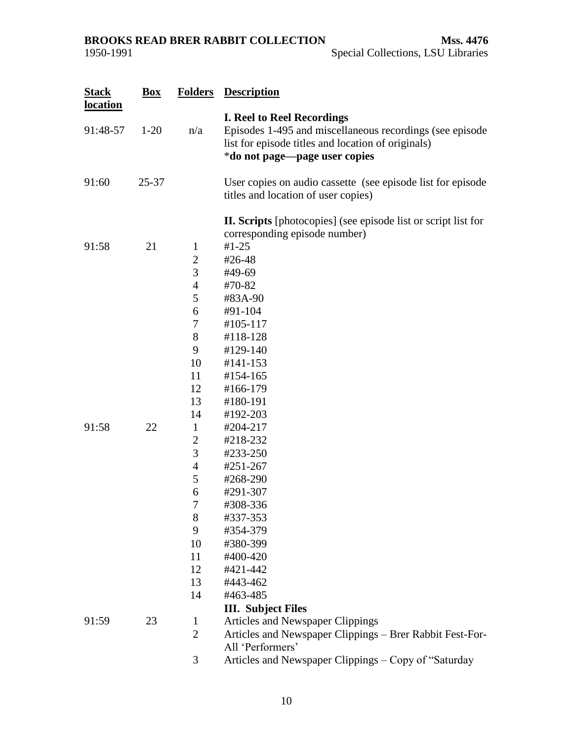| <b>Stack</b><br>location | $\mathbf{Box}$ | <b>Folders</b>                                                                                                                                                                  | <b>Description</b>                                                                                                                                                                                                                                                                       |
|--------------------------|----------------|---------------------------------------------------------------------------------------------------------------------------------------------------------------------------------|------------------------------------------------------------------------------------------------------------------------------------------------------------------------------------------------------------------------------------------------------------------------------------------|
| 91:48-57                 | $1 - 20$       | n/a                                                                                                                                                                             | <b>I. Reel to Reel Recordings</b><br>Episodes 1-495 and miscellaneous recordings (see episode)<br>list for episode titles and location of originals)<br>*do not page—page user copies                                                                                                    |
| 91:60                    | $25 - 37$      |                                                                                                                                                                                 | User copies on audio cassette (see episode list for episode)<br>titles and location of user copies)                                                                                                                                                                                      |
| 91:58                    | 21             | $\mathbf{1}$<br>$\mathbf{2}$<br>3                                                                                                                                               | II. Scripts [photocopies] (see episode list or script list for<br>corresponding episode number)<br>$#1 - 25$<br>#26-48<br>#49-69                                                                                                                                                         |
| 91:58                    | 22             | $\overline{4}$<br>5<br>6<br>7<br>8<br>9<br>10<br>11<br>12<br>13<br>14<br>$\mathbf{1}$<br>$\overline{2}$<br>3<br>$\overline{4}$<br>5<br>6<br>7<br>8<br>9<br>10<br>11<br>12<br>13 | #70-82<br>#83A-90<br>#91-104<br>#105-117<br>#118-128<br>#129-140<br>#141-153<br>#154-165<br>#166-179<br>#180-191<br>#192-203<br>#204-217<br>#218-232<br>#233-250<br>#251-267<br>#268-290<br>#291-307<br>#308-336<br>#337-353<br>#354-379<br>#380-399<br>#400-420<br>#421-442<br>#443-462 |
| 91:59                    | 23             | 14<br>1<br>$\overline{2}$<br>3                                                                                                                                                  | #463-485<br><b>III.</b> Subject Files<br>Articles and Newspaper Clippings<br>Articles and Newspaper Clippings - Brer Rabbit Fest-For-<br>All 'Performers'<br>Articles and Newspaper Clippings - Copy of "Saturday                                                                        |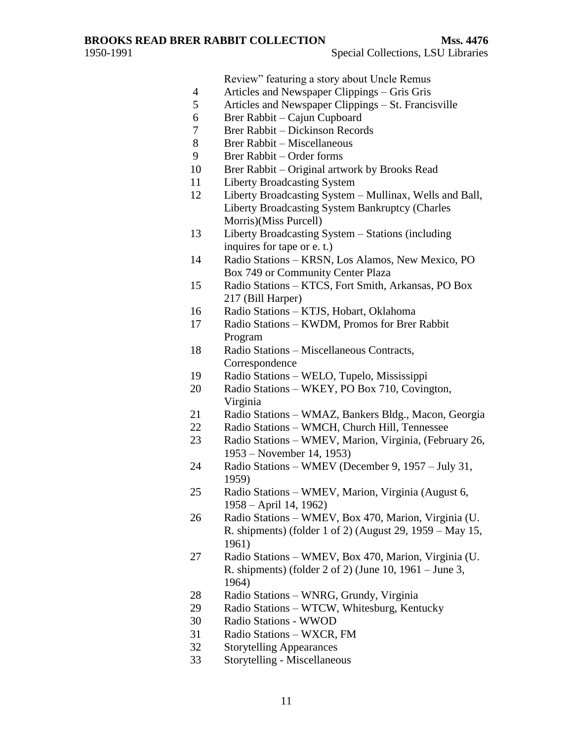Review" featuring a story about Uncle Remus

- 4 Articles and Newspaper Clippings Gris Gris<br>5 Articles and Newspaper Clippings St. Franci
- Articles and Newspaper Clippings St. Francisville
- Brer Rabbit Cajun Cupboard
- Brer Rabbit Dickinson Records
- Brer Rabbit Miscellaneous
- Brer Rabbit Order forms
- Brer Rabbit Original artwork by Brooks Read
- Liberty Broadcasting System
- Liberty Broadcasting System Mullinax, Wells and Ball, Liberty Broadcasting System Bankruptcy (Charles Morris)(Miss Purcell)
- Liberty Broadcasting System Stations (including inquires for tape or e. t.)
- Radio Stations KRSN, Los Alamos, New Mexico, PO Box 749 or Community Center Plaza
- Radio Stations KTCS, Fort Smith, Arkansas, PO Box 217 (Bill Harper)
- Radio Stations KTJS, Hobart, Oklahoma
- Radio Stations KWDM, Promos for Brer Rabbit Program
- Radio Stations Miscellaneous Contracts, **Correspondence**
- Radio Stations WELO, Tupelo, Mississippi
- Radio Stations WKEY, PO Box 710, Covington, Virginia
- Radio Stations WMAZ, Bankers Bldg., Macon, Georgia
- Radio Stations WMCH, Church Hill, Tennessee
- Radio Stations WMEV, Marion, Virginia, (February 26, 1953 – November 14, 1953)
- Radio Stations WMEV (December 9, 1957 July 31, 1959)
- Radio Stations WMEV, Marion, Virginia (August 6, 1958 – April 14, 1962)
- Radio Stations WMEV, Box 470, Marion, Virginia (U. R. shipments) (folder 1 of 2) (August 29, 1959 – May 15, 1961)
- Radio Stations WMEV, Box 470, Marion, Virginia (U. R. shipments) (folder 2 of 2) (June 10, 1961 – June 3, 1964)
- Radio Stations WNRG, Grundy, Virginia
- Radio Stations WTCW, Whitesburg, Kentucky
- Radio Stations WWOD
- Radio Stations WXCR, FM
- Storytelling Appearances
- Storytelling Miscellaneous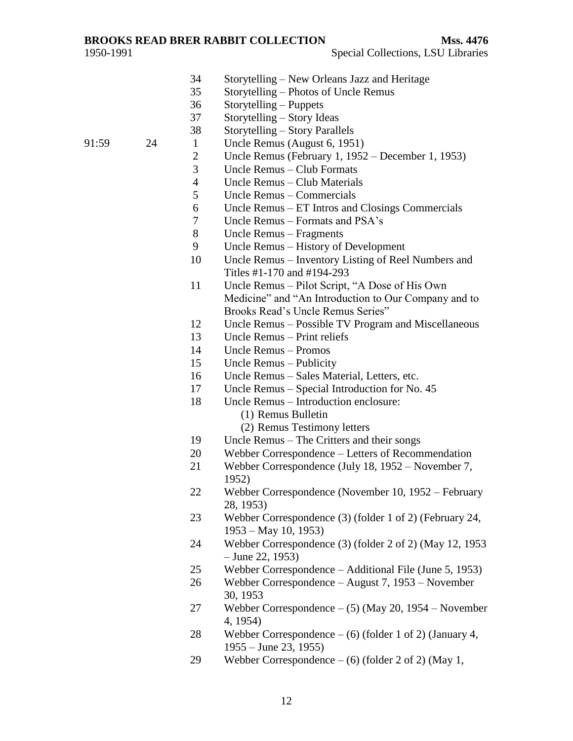#### **BROOKS READ BRER RABBIT COLLECTION Mss. 4476**

- Storytelling New Orleans Jazz and Heritage
- Storytelling Photos of Uncle Remus
- Storytelling Puppets
- Storytelling Story Ideas
- Storytelling Story Parallels
- 91:59 24 1 Uncle Remus (August 6, 1951)
	- Uncle Remus (February 1, 1952 December 1, 1953)
	- Uncle Remus Club Formats
	- Uncle Remus Club Materials
	- Uncle Remus Commercials
	- Uncle Remus ET Intros and Closings Commercials
	- Uncle Remus Formats and PSA's
	- Uncle Remus Fragments
	- Uncle Remus History of Development
	- Uncle Remus Inventory Listing of Reel Numbers and Titles #1-170 and #194-293
	- 11 Uncle Remus Pilot Script, "A Dose of His Own Medicine" and "An Introduction to Our Company and to Brooks Read's Uncle Remus Series"
	- Uncle Remus Possible TV Program and Miscellaneous
	- Uncle Remus Print reliefs
	- Uncle Remus Promos
	- Uncle Remus Publicity
	- Uncle Remus Sales Material, Letters, etc.
	- Uncle Remus Special Introduction for No. 45
	- Uncle Remus Introduction enclosure:
		- (1) Remus Bulletin
		- (2) Remus Testimony letters
	- Uncle Remus The Critters and their songs
	- Webber Correspondence Letters of Recommendation
	- Webber Correspondence (July 18, 1952 November 7, 1952)
	- Webber Correspondence (November 10, 1952 February 28, 1953)
	- Webber Correspondence (3) (folder 1 of 2) (February 24, 1953 – May 10, 1953)
	- Webber Correspondence (3) (folder 2 of 2) (May 12, 1953 – June 22, 1953)
	- Webber Correspondence Additional File (June 5, 1953)
	- Webber Correspondence August 7, 1953 November 30, 1953
	- Webber Correspondence (5) (May 20, 1954 November 4, 1954)
	- Webber Correspondence (6) (folder 1 of 2) (January 4, 1955 – June 23, 1955)
	- Webber Correspondence (6) (folder 2 of 2) (May 1,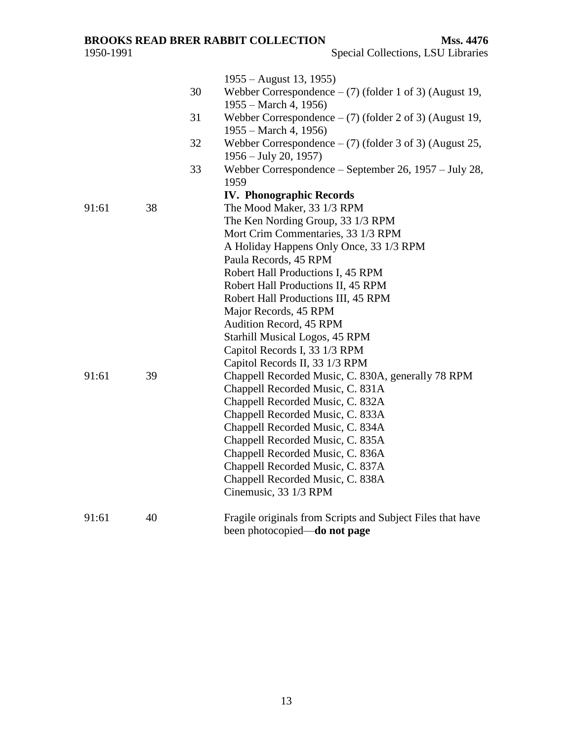| 91:61<br>91:61 | 38<br>39 | 30<br>31<br>32<br>33 | 1955 – August 13, 1955)<br>Webber Correspondence $-$ (7) (folder 1 of 3) (August 19,<br>$1955 - March 4, 1956$<br>Webber Correspondence $-$ (7) (folder 2 of 3) (August 19,<br>1955 – March 4, 1956)<br>Webber Correspondence $-$ (7) (folder 3 of 3) (August 25,<br>$1956 - July 20, 1957$<br>Webber Correspondence – September 26, 1957 – July 28,<br>1959<br><b>IV. Phonographic Records</b><br>The Mood Maker, 33 1/3 RPM<br>The Ken Nording Group, 33 1/3 RPM<br>Mort Crim Commentaries, 33 1/3 RPM<br>A Holiday Happens Only Once, 33 1/3 RPM<br>Paula Records, 45 RPM<br>Robert Hall Productions I, 45 RPM<br>Robert Hall Productions II, 45 RPM<br>Robert Hall Productions III, 45 RPM<br>Major Records, 45 RPM<br><b>Audition Record, 45 RPM</b><br>Starhill Musical Logos, 45 RPM<br>Capitol Records I, 33 1/3 RPM<br>Capitol Records II, 33 1/3 RPM<br>Chappell Recorded Music, C. 830A, generally 78 RPM |
|----------------|----------|----------------------|----------------------------------------------------------------------------------------------------------------------------------------------------------------------------------------------------------------------------------------------------------------------------------------------------------------------------------------------------------------------------------------------------------------------------------------------------------------------------------------------------------------------------------------------------------------------------------------------------------------------------------------------------------------------------------------------------------------------------------------------------------------------------------------------------------------------------------------------------------------------------------------------------------------------|
|                |          |                      | Chappell Recorded Music, C. 831A<br>Chappell Recorded Music, C. 832A<br>Chappell Recorded Music, C. 833A<br>Chappell Recorded Music, C. 834A<br>Chappell Recorded Music, C. 835A<br>Chappell Recorded Music, C. 836A<br>Chappell Recorded Music, C. 837A<br>Chappell Recorded Music, C. 838A<br>Cinemusic, 33 1/3 RPM                                                                                                                                                                                                                                                                                                                                                                                                                                                                                                                                                                                                |
| 91:61          | 40       |                      | Fragile originals from Scripts and Subject Files that have<br>been photocopied—do not page                                                                                                                                                                                                                                                                                                                                                                                                                                                                                                                                                                                                                                                                                                                                                                                                                           |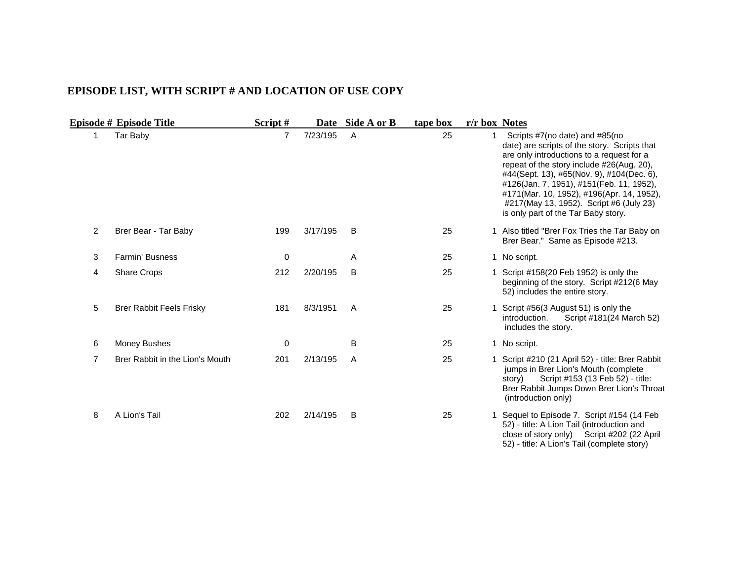#### <span id="page-13-0"></span>**EPISODE LIST, WITH SCRIPT # AND LOCATION OF USE COPY**

|                | Episode # Episode Title         | Script#        |          | Date Side A or B | tape box | r/r box Notes |                                                                                                                                                                                                                                                                                                                                                                                                  |
|----------------|---------------------------------|----------------|----------|------------------|----------|---------------|--------------------------------------------------------------------------------------------------------------------------------------------------------------------------------------------------------------------------------------------------------------------------------------------------------------------------------------------------------------------------------------------------|
| 1              | Tar Baby                        | $\overline{7}$ | 7/23/195 | $\overline{A}$   | 25       |               | Scripts #7(no date) and #85(no<br>date) are scripts of the story. Scripts that<br>are only introductions to a request for a<br>repeat of the story include #26(Aug. 20),<br>#44(Sept. 13), #65(Nov. 9), #104(Dec. 6),<br>#126(Jan. 7, 1951), #151(Feb. 11, 1952),<br>#171(Mar. 10, 1952), #196(Apr. 14, 1952),<br>#217(May 13, 1952). Script #6 (July 23)<br>is only part of the Tar Baby story. |
| $\overline{2}$ | Brer Bear - Tar Baby            | 199            | 3/17/195 | B                | 25       |               | 1 Also titled "Brer Fox Tries the Tar Baby on<br>Brer Bear." Same as Episode #213.                                                                                                                                                                                                                                                                                                               |
| 3              | <b>Farmin' Busness</b>          | 0              |          | A                | 25       |               | 1 No script.                                                                                                                                                                                                                                                                                                                                                                                     |
| 4              | <b>Share Crops</b>              | 212            | 2/20/195 | B                | 25       |               | 1 Script #158(20 Feb 1952) is only the<br>beginning of the story. Script #212(6 May<br>52) includes the entire story.                                                                                                                                                                                                                                                                            |
| 5              | <b>Brer Rabbit Feels Frisky</b> | 181            | 8/3/1951 | A                | 25       |               | Script #56(3 August 51) is only the<br>introduction.<br>Script #181(24 March 52)<br>includes the story.                                                                                                                                                                                                                                                                                          |
| 6              | Money Bushes                    | $\Omega$       |          | B                | 25       |               | 1 No script.                                                                                                                                                                                                                                                                                                                                                                                     |
| $\overline{7}$ | Brer Rabbit in the Lion's Mouth | 201            | 2/13/195 | A                | 25       |               | 1 Script #210 (21 April 52) - title: Brer Rabbit<br>jumps in Brer Lion's Mouth (complete<br>Script #153 (13 Feb 52) - title:<br>story)<br>Brer Rabbit Jumps Down Brer Lion's Throat<br>(introduction only)                                                                                                                                                                                       |
| 8              | A Lion's Tail                   | 202            | 2/14/195 | B                | 25       |               | 1 Sequel to Episode 7. Script #154 (14 Feb<br>52) - title: A Lion Tail (introduction and<br>close of story only) Script #202 (22 April<br>52) - title: A Lion's Tail (complete story)                                                                                                                                                                                                            |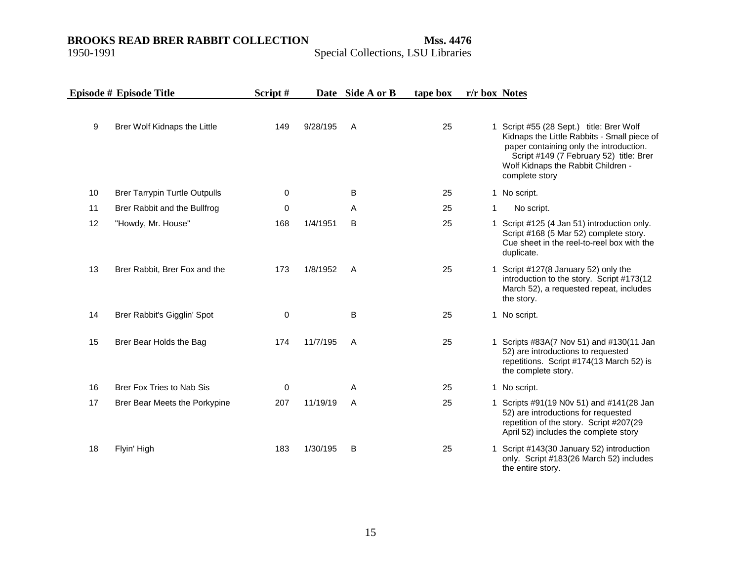|    | Episode # Episode Title              | Script# |          | Date Side A or B | tape box | r/r box Notes |                                                                                                                                                                                                                                       |
|----|--------------------------------------|---------|----------|------------------|----------|---------------|---------------------------------------------------------------------------------------------------------------------------------------------------------------------------------------------------------------------------------------|
| 9  | Brer Wolf Kidnaps the Little         | 149     | 9/28/195 | $\overline{A}$   | 25       |               | 1 Script #55 (28 Sept.) title: Brer Wolf<br>Kidnaps the Little Rabbits - Small piece of<br>paper containing only the introduction.<br>Script #149 (7 February 52) title: Brer<br>Wolf Kidnaps the Rabbit Children -<br>complete story |
| 10 | <b>Brer Tarrypin Turtle Outpulls</b> | 0       |          | B                | 25       |               | 1 No script.                                                                                                                                                                                                                          |
| 11 | Brer Rabbit and the Bullfrog         | 0       |          | A                | 25       | 1             | No script.                                                                                                                                                                                                                            |
| 12 | "Howdy, Mr. House"                   | 168     | 1/4/1951 | B                | 25       |               | 1 Script #125 (4 Jan 51) introduction only.<br>Script #168 (5 Mar 52) complete story.<br>Cue sheet in the reel-to-reel box with the<br>duplicate.                                                                                     |
| 13 | Brer Rabbit, Brer Fox and the        | 173     | 1/8/1952 | $\overline{A}$   | 25       |               | 1 Script #127(8 January 52) only the<br>introduction to the story. Script #173(12<br>March 52), a requested repeat, includes<br>the story.                                                                                            |
| 14 | Brer Rabbit's Gigglin' Spot          | 0       |          | B                | 25       |               | 1 No script.                                                                                                                                                                                                                          |
| 15 | Brer Bear Holds the Bag              | 174     | 11/7/195 | $\overline{A}$   | 25       |               | 1 Scripts #83A(7 Nov 51) and #130(11 Jan<br>52) are introductions to requested<br>repetitions. Script #174(13 March 52) is<br>the complete story.                                                                                     |
| 16 | Brer Fox Tries to Nab Sis            | 0       |          | Α                | 25       |               | 1 No script.                                                                                                                                                                                                                          |
| 17 | Brer Bear Meets the Porkypine        | 207     | 11/19/19 | A                | 25       |               | 1 Scripts #91(19 N0v 51) and #141(28 Jan<br>52) are introductions for requested<br>repetition of the story. Script #207(29<br>April 52) includes the complete story                                                                   |
| 18 | Flyin' High                          | 183     | 1/30/195 | B                | 25       |               | 1 Script #143(30 January 52) introduction<br>only. Script #183(26 March 52) includes<br>the entire story.                                                                                                                             |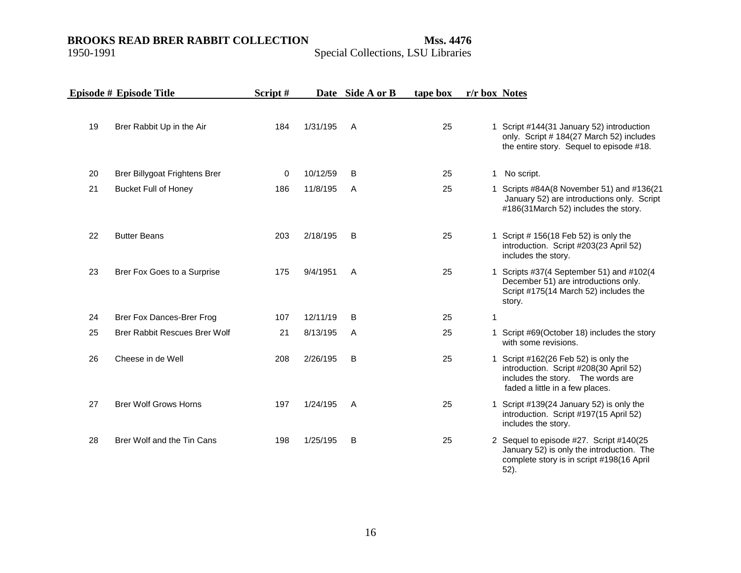### Special Collections, LSU Libraries

|    | Episode # Episode Title       | Script# |          | Date Side A or B | tape box | r/r box Notes |                                                                                                                                                        |
|----|-------------------------------|---------|----------|------------------|----------|---------------|--------------------------------------------------------------------------------------------------------------------------------------------------------|
| 19 | Brer Rabbit Up in the Air     | 184     | 1/31/195 | $\mathsf{A}$     | 25       |               | 1 Script #144(31 January 52) introduction<br>only. Script # 184(27 March 52) includes<br>the entire story. Sequel to episode #18.                      |
| 20 | Brer Billygoat Frightens Brer | 0       | 10/12/59 | B                | 25       | 1.            | No script.                                                                                                                                             |
| 21 | <b>Bucket Full of Honey</b>   | 186     | 11/8/195 | $\mathsf{A}$     | 25       |               | 1 Scripts #84A(8 November 51) and #136(21<br>January 52) are introductions only. Script<br>#186(31March 52) includes the story.                        |
| 22 | <b>Butter Beans</b>           | 203     | 2/18/195 | B                | 25       |               | 1 Script # 156(18 Feb 52) is only the<br>introduction. Script #203(23 April 52)<br>includes the story.                                                 |
| 23 | Brer Fox Goes to a Surprise   | 175     | 9/4/1951 | A                | 25       |               | 1 Scripts #37(4 September 51) and #102(4<br>December 51) are introductions only.<br>Script #175(14 March 52) includes the<br>story.                    |
| 24 | Brer Fox Dances-Brer Frog     | 107     | 12/11/19 | B                | 25       | 1             |                                                                                                                                                        |
| 25 | Brer Rabbit Rescues Brer Wolf | 21      | 8/13/195 | A                | 25       |               | 1 Script #69(October 18) includes the story<br>with some revisions.                                                                                    |
| 26 | Cheese in de Well             | 208     | 2/26/195 | B                | 25       |               | 1 Script #162(26 Feb 52) is only the<br>introduction. Script #208(30 April 52)<br>includes the story. The words are<br>faded a little in a few places. |
| 27 | <b>Brer Wolf Grows Horns</b>  | 197     | 1/24/195 | A                | 25       |               | 1 Script #139(24 January 52) is only the<br>introduction. Script #197(15 April 52)<br>includes the story.                                              |
| 28 | Brer Wolf and the Tin Cans    | 198     | 1/25/195 | B                | 25       |               | 2 Sequel to episode #27. Script #140(25<br>January 52) is only the introduction. The<br>complete story is in script #198(16 April                      |

52).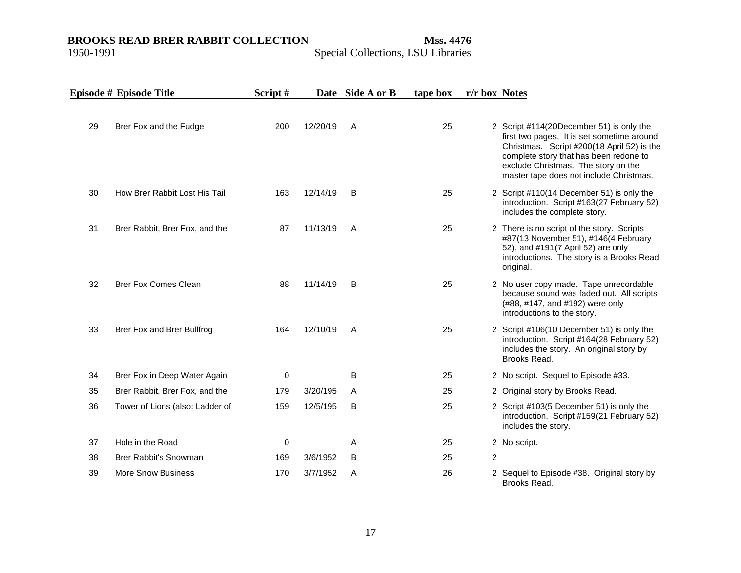|    | Episode # Episode Title         | Script# |          | Date Side A or B | tape box | r/r box Notes  |                                                                                                                                                                                                                                                                  |
|----|---------------------------------|---------|----------|------------------|----------|----------------|------------------------------------------------------------------------------------------------------------------------------------------------------------------------------------------------------------------------------------------------------------------|
| 29 | Brer Fox and the Fudge          | 200     | 12/20/19 | A                | 25       |                | 2 Script #114(20December 51) is only the<br>first two pages. It is set sometime around<br>Christmas. Script #200(18 April 52) is the<br>complete story that has been redone to<br>exclude Christmas. The story on the<br>master tape does not include Christmas. |
| 30 | How Brer Rabbit Lost His Tail   | 163     | 12/14/19 | B                | 25       |                | 2 Script #110(14 December 51) is only the<br>introduction. Script #163(27 February 52)<br>includes the complete story.                                                                                                                                           |
| 31 | Brer Rabbit, Brer Fox, and the  | 87      | 11/13/19 | A                | 25       |                | 2 There is no script of the story. Scripts<br>#87(13 November 51), #146(4 February<br>52), and #191(7 April 52) are only<br>introductions. The story is a Brooks Read<br>original.                                                                               |
| 32 | <b>Brer Fox Comes Clean</b>     | 88      | 11/14/19 | B                | 25       |                | 2 No user copy made. Tape unrecordable<br>because sound was faded out. All scripts<br>(#88, #147, and #192) were only<br>introductions to the story.                                                                                                             |
| 33 | Brer Fox and Brer Bullfrog      | 164     | 12/10/19 | A                | 25       |                | 2 Script #106(10 December 51) is only the<br>introduction. Script #164(28 February 52)<br>includes the story. An original story by<br>Brooks Read.                                                                                                               |
| 34 | Brer Fox in Deep Water Again    | 0       |          | В                | 25       |                | 2 No script. Sequel to Episode #33.                                                                                                                                                                                                                              |
| 35 | Brer Rabbit, Brer Fox, and the  | 179     | 3/20/195 | A                | 25       |                | 2 Original story by Brooks Read.                                                                                                                                                                                                                                 |
| 36 | Tower of Lions (also: Ladder of | 159     | 12/5/195 | B                | 25       |                | 2 Script #103(5 December 51) is only the<br>introduction. Script #159(21 February 52)<br>includes the story.                                                                                                                                                     |
| 37 | Hole in the Road                | 0       |          | Α                | 25       |                | 2 No script.                                                                                                                                                                                                                                                     |
| 38 | Brer Rabbit's Snowman           | 169     | 3/6/1952 | B                | 25       | $\overline{2}$ |                                                                                                                                                                                                                                                                  |
| 39 | <b>More Snow Business</b>       | 170     | 3/7/1952 | A                | 26       |                | 2 Sequel to Episode #38. Original story by<br>Brooks Read.                                                                                                                                                                                                       |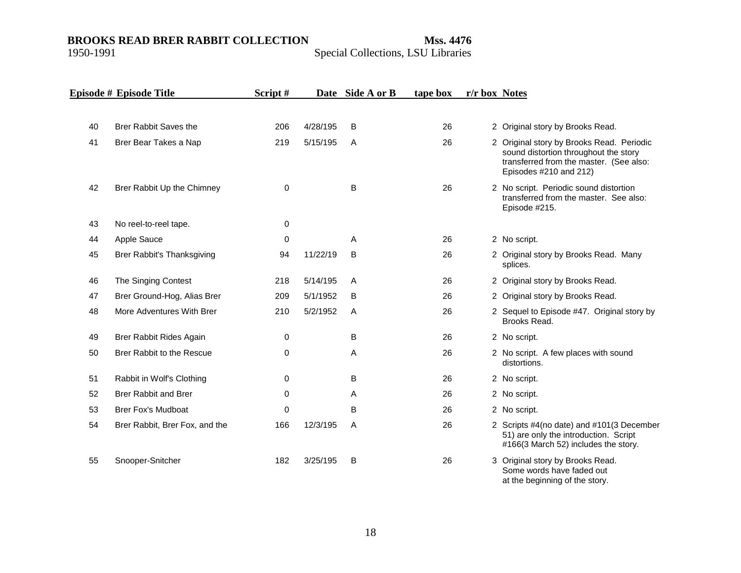## Special Collections, LSU Libraries

|    | Episode # Episode Title        | Script#     |          | Date Side A or B | tape box | r/r box Notes |                                                                                                                                                         |
|----|--------------------------------|-------------|----------|------------------|----------|---------------|---------------------------------------------------------------------------------------------------------------------------------------------------------|
|    |                                |             |          |                  |          |               |                                                                                                                                                         |
| 40 | Brer Rabbit Saves the          | 206         | 4/28/195 | B                | 26       |               | 2 Original story by Brooks Read.                                                                                                                        |
| 41 | Brer Bear Takes a Nap          | 219         | 5/15/195 | A                | 26       |               | 2 Original story by Brooks Read. Periodic<br>sound distortion throughout the story<br>transferred from the master. (See also:<br>Episodes #210 and 212) |
| 42 | Brer Rabbit Up the Chimney     | $\mathbf 0$ |          | B                | 26       |               | 2 No script. Periodic sound distortion<br>transferred from the master. See also:<br>Episode #215.                                                       |
| 43 | No reel-to-reel tape.          | 0           |          |                  |          |               |                                                                                                                                                         |
| 44 | Apple Sauce                    | 0           |          | A                | 26       |               | 2 No script.                                                                                                                                            |
| 45 | Brer Rabbit's Thanksgiving     | 94          | 11/22/19 | B                | 26       |               | 2 Original story by Brooks Read. Many<br>splices.                                                                                                       |
| 46 | The Singing Contest            | 218         | 5/14/195 | Α                | 26       |               | 2 Original story by Brooks Read.                                                                                                                        |
| 47 | Brer Ground-Hog, Alias Brer    | 209         | 5/1/1952 | B                | 26       |               | 2 Original story by Brooks Read.                                                                                                                        |
| 48 | More Adventures With Brer      | 210         | 5/2/1952 | A                | 26       |               | 2 Sequel to Episode #47. Original story by<br>Brooks Read.                                                                                              |
| 49 | Brer Rabbit Rides Again        | 0           |          | B                | 26       |               | 2 No script.                                                                                                                                            |
| 50 | Brer Rabbit to the Rescue      | 0           |          | Α                | 26       |               | 2 No script. A few places with sound<br>distortions.                                                                                                    |
| 51 | Rabbit in Wolf's Clothing      | 0           |          | B                | 26       |               | 2 No script.                                                                                                                                            |
| 52 | <b>Brer Rabbit and Brer</b>    | 0           |          | Α                | 26       |               | 2 No script.                                                                                                                                            |
| 53 | <b>Brer Fox's Mudboat</b>      | 0           |          | B                | 26       |               | 2 No script.                                                                                                                                            |
| 54 | Brer Rabbit, Brer Fox, and the | 166         | 12/3/195 | Α                | 26       |               | 2 Scripts #4(no date) and #101(3 December<br>51) are only the introduction. Script<br>#166(3 March 52) includes the story.                              |
| 55 | Snooper-Snitcher               | 182         | 3/25/195 | B                | 26       |               | 3 Original story by Brooks Read.<br>Some words have faded out                                                                                           |

at the beginning of the story.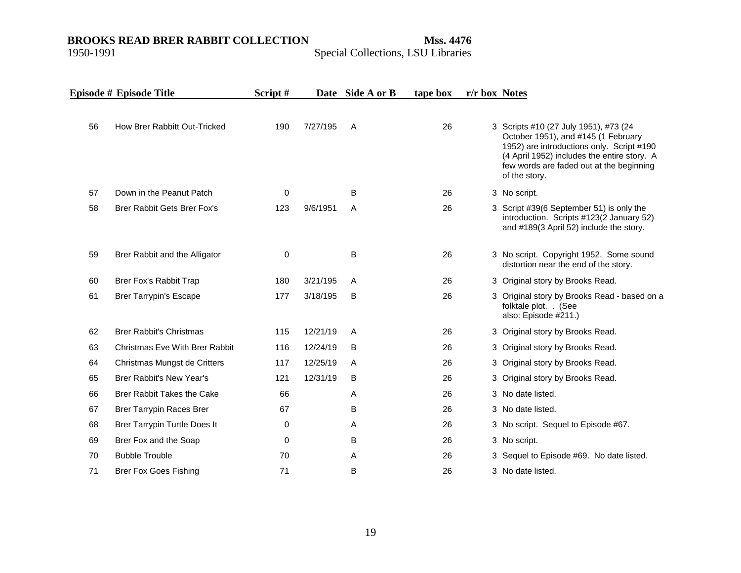|    | Episode # Episode Title               | Script# |          | Date Side A or B | tape box | r/r box Notes |                                                                                                                                                                                                                                       |
|----|---------------------------------------|---------|----------|------------------|----------|---------------|---------------------------------------------------------------------------------------------------------------------------------------------------------------------------------------------------------------------------------------|
| 56 | How Brer Rabbitt Out-Tricked          | 190     | 7/27/195 | A                | 26       |               | 3 Scripts #10 (27 July 1951), #73 (24<br>October 1951), and #145 (1 February<br>1952) are introductions only. Script #190<br>(4 April 1952) includes the entire story. A<br>few words are faded out at the beginning<br>of the story. |
| 57 | Down in the Peanut Patch              | 0       |          | B                | 26       |               | 3 No script.                                                                                                                                                                                                                          |
| 58 | <b>Brer Rabbit Gets Brer Fox's</b>    | 123     | 9/6/1951 | A                | 26       |               | 3 Script #39(6 September 51) is only the<br>introduction. Scripts #123(2 January 52)<br>and #189(3 April 52) include the story.                                                                                                       |
| 59 | Brer Rabbit and the Alligator         | 0       |          | B                | 26       |               | 3 No script. Copyright 1952. Some sound<br>distortion near the end of the story.                                                                                                                                                      |
| 60 | Brer Fox's Rabbit Trap                | 180     | 3/21/195 | A                | 26       |               | 3 Original story by Brooks Read.                                                                                                                                                                                                      |
| 61 | <b>Brer Tarrypin's Escape</b>         | 177     | 3/18/195 | В                | 26       |               | 3 Original story by Brooks Read - based on a<br>folktale plot. . (See<br>also: Episode #211.)                                                                                                                                         |
| 62 | <b>Brer Rabbit's Christmas</b>        | 115     | 12/21/19 | A                | 26       |               | 3 Original story by Brooks Read.                                                                                                                                                                                                      |
| 63 | <b>Christmas Eve With Brer Rabbit</b> | 116     | 12/24/19 | B                | 26       |               | 3 Original story by Brooks Read.                                                                                                                                                                                                      |
| 64 | Christmas Mungst de Critters          | 117     | 12/25/19 | A                | 26       |               | 3 Original story by Brooks Read.                                                                                                                                                                                                      |
| 65 | <b>Brer Rabbit's New Year's</b>       | 121     | 12/31/19 | B                | 26       |               | 3 Original story by Brooks Read.                                                                                                                                                                                                      |
| 66 | <b>Brer Rabbit Takes the Cake</b>     | 66      |          | A                | 26       |               | 3 No date listed.                                                                                                                                                                                                                     |
| 67 | <b>Brer Tarrypin Races Brer</b>       | 67      |          | B                | 26       |               | 3 No date listed.                                                                                                                                                                                                                     |
| 68 | Brer Tarrypin Turtle Does It          | 0       |          | Α                | 26       |               | 3 No script. Sequel to Episode #67.                                                                                                                                                                                                   |
| 69 | Brer Fox and the Soap                 | 0       |          | B                | 26       |               | 3 No script.                                                                                                                                                                                                                          |
| 70 | <b>Bubble Trouble</b>                 | 70      |          | Α                | 26       |               | 3 Sequel to Episode #69. No date listed.                                                                                                                                                                                              |
| 71 | <b>Brer Fox Goes Fishing</b>          | 71      |          | B                | 26       |               | 3 No date listed.                                                                                                                                                                                                                     |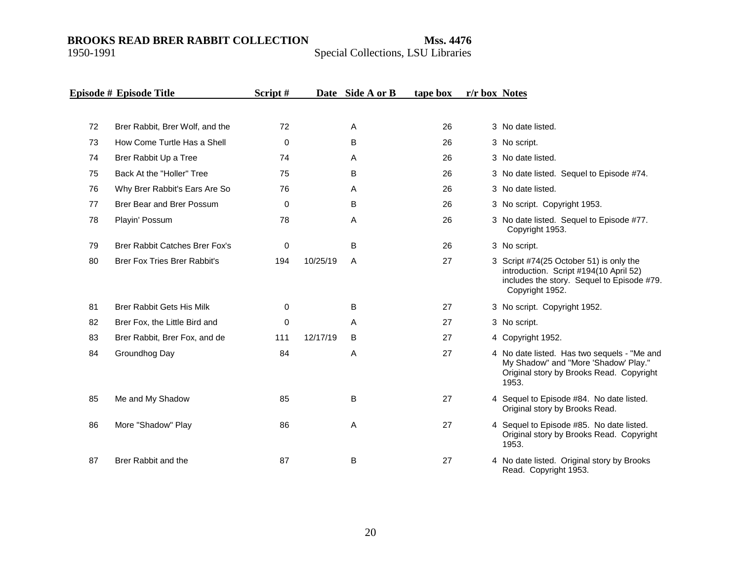|    | Episode # Episode Title               | Script# |          | Date Side A or B | tape box | r/r box Notes |                                                                                                                                                    |
|----|---------------------------------------|---------|----------|------------------|----------|---------------|----------------------------------------------------------------------------------------------------------------------------------------------------|
|    |                                       |         |          |                  |          |               |                                                                                                                                                    |
| 72 | Brer Rabbit, Brer Wolf, and the       | 72      |          | A                | 26       |               | 3 No date listed.                                                                                                                                  |
| 73 | How Come Turtle Has a Shell           | 0       |          | В                | 26       |               | 3 No script.                                                                                                                                       |
| 74 | Brer Rabbit Up a Tree                 | 74      |          | A                | 26       |               | 3 No date listed.                                                                                                                                  |
| 75 | Back At the "Holler" Tree             | 75      |          | В                | 26       |               | 3 No date listed. Sequel to Episode #74.                                                                                                           |
| 76 | Why Brer Rabbit's Ears Are So         | 76      |          | A                | 26       |               | 3 No date listed.                                                                                                                                  |
| 77 | Brer Bear and Brer Possum             | 0       |          | В                | 26       |               | 3 No script. Copyright 1953.                                                                                                                       |
| 78 | Playin' Possum                        | 78      |          | Α                | 26       |               | 3 No date listed. Sequel to Episode #77.<br>Copyright 1953.                                                                                        |
| 79 | <b>Brer Rabbit Catches Brer Fox's</b> | 0       |          | B                | 26       |               | 3 No script.                                                                                                                                       |
| 80 | <b>Brer Fox Tries Brer Rabbit's</b>   | 194     | 10/25/19 | A                | 27       |               | 3 Script #74(25 October 51) is only the<br>introduction. Script #194(10 April 52)<br>includes the story. Sequel to Episode #79.<br>Copyright 1952. |
| 81 | <b>Brer Rabbit Gets His Milk</b>      | 0       |          | B                | 27       |               | 3 No script. Copyright 1952.                                                                                                                       |
| 82 | Brer Fox, the Little Bird and         | 0       |          | Α                | 27       |               | 3 No script.                                                                                                                                       |
| 83 | Brer Rabbit, Brer Fox, and de         | 111     | 12/17/19 | B                | 27       |               | 4 Copyright 1952.                                                                                                                                  |
| 84 | Groundhog Day                         | 84      |          | A                | 27       |               | 4 No date listed. Has two sequels - "Me and<br>My Shadow" and "More 'Shadow' Play."<br>Original story by Brooks Read. Copyright<br>1953.           |
| 85 | Me and My Shadow                      | 85      |          | В                | 27       |               | 4 Sequel to Episode #84. No date listed.<br>Original story by Brooks Read.                                                                         |
| 86 | More "Shadow" Play                    | 86      |          | A                | 27       |               | 4 Sequel to Episode #85. No date listed.<br>Original story by Brooks Read. Copyright<br>1953.                                                      |
| 87 | Brer Rabbit and the                   | 87      |          | В                | 27       |               | 4 No date listed. Original story by Brooks<br>Read. Copyright 1953.                                                                                |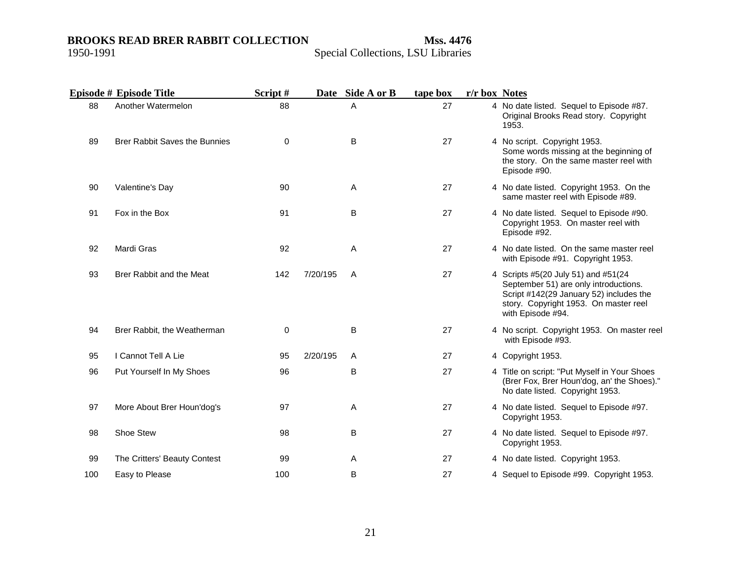|     | Episode # Episode Title              | Script# |          | Date Side A or B | tape box | r/r box Notes |                                                                                                                                                                                       |
|-----|--------------------------------------|---------|----------|------------------|----------|---------------|---------------------------------------------------------------------------------------------------------------------------------------------------------------------------------------|
| 88  | Another Watermelon                   | 88      |          | A                | 27       |               | 4 No date listed. Sequel to Episode #87.<br>Original Brooks Read story. Copyright<br>1953.                                                                                            |
| 89  | <b>Brer Rabbit Saves the Bunnies</b> | 0       |          | B                | 27       |               | 4 No script. Copyright 1953.<br>Some words missing at the beginning of<br>the story. On the same master reel with<br>Episode #90.                                                     |
| 90  | Valentine's Day                      | 90      |          | Α                | 27       |               | 4 No date listed. Copyright 1953. On the<br>same master reel with Episode #89.                                                                                                        |
| 91  | Fox in the Box                       | 91      |          | B                | 27       |               | 4 No date listed. Sequel to Episode #90.<br>Copyright 1953. On master reel with<br>Episode #92.                                                                                       |
| 92  | Mardi Gras                           | 92      |          | Α                | 27       |               | 4 No date listed. On the same master reel<br>with Episode #91. Copyright 1953.                                                                                                        |
| 93  | Brer Rabbit and the Meat             | 142     | 7/20/195 | A                | 27       |               | 4 Scripts #5(20 July 51) and #51(24<br>September 51) are only introductions.<br>Script #142(29 January 52) includes the<br>story. Copyright 1953. On master reel<br>with Episode #94. |
| 94  | Brer Rabbit, the Weatherman          | 0       |          | B                | 27       |               | 4 No script. Copyright 1953. On master reel<br>with Episode #93.                                                                                                                      |
| 95  | I Cannot Tell A Lie                  | 95      | 2/20/195 | Α                | 27       |               | 4 Copyright 1953.                                                                                                                                                                     |
| 96  | Put Yourself In My Shoes             | 96      |          | В                | 27       |               | 4 Title on script: "Put Myself in Your Shoes<br>(Brer Fox, Brer Houn'dog, an' the Shoes)."<br>No date listed. Copyright 1953.                                                         |
| 97  | More About Brer Houn'dog's           | 97      |          | Α                | 27       |               | 4 No date listed. Sequel to Episode #97.<br>Copyright 1953.                                                                                                                           |
| 98  | Shoe Stew                            | 98      |          | B                | 27       |               | 4 No date listed. Sequel to Episode #97.<br>Copyright 1953.                                                                                                                           |
| 99  | The Critters' Beauty Contest         | 99      |          | A                | 27       |               | 4 No date listed. Copyright 1953.                                                                                                                                                     |
| 100 | Easy to Please                       | 100     |          | B                | 27       |               | 4 Sequel to Episode #99. Copyright 1953.                                                                                                                                              |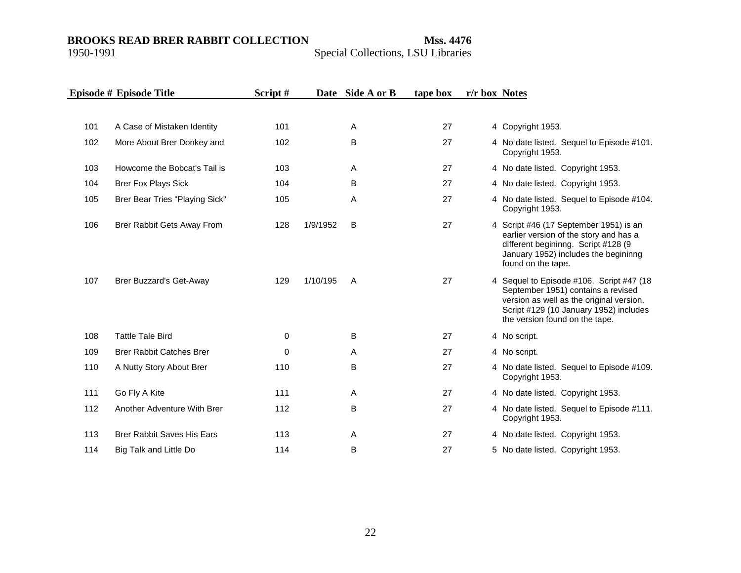|     | Episode # Episode Title           | Script# |          | Date Side A or B | tape box | r/r box Notes |                                                                                                                                                                                                        |
|-----|-----------------------------------|---------|----------|------------------|----------|---------------|--------------------------------------------------------------------------------------------------------------------------------------------------------------------------------------------------------|
|     |                                   |         |          |                  |          |               |                                                                                                                                                                                                        |
| 101 | A Case of Mistaken Identity       | 101     |          | Α                | 27       |               | 4 Copyright 1953.                                                                                                                                                                                      |
| 102 | More About Brer Donkey and        | 102     |          | B                | 27       |               | 4 No date listed. Sequel to Episode #101.<br>Copyright 1953.                                                                                                                                           |
| 103 | Howcome the Bobcat's Tail is      | 103     |          | Α                | 27       |               | 4 No date listed. Copyright 1953.                                                                                                                                                                      |
| 104 | <b>Brer Fox Plays Sick</b>        | 104     |          | B                | 27       |               | 4 No date listed. Copyright 1953.                                                                                                                                                                      |
| 105 | Brer Bear Tries "Playing Sick"    | 105     |          | A                | 27       |               | 4 No date listed. Sequel to Episode #104.<br>Copyright 1953.                                                                                                                                           |
| 106 | Brer Rabbit Gets Away From        | 128     | 1/9/1952 | B                | 27       |               | 4 Script #46 (17 September 1951) is an<br>earlier version of the story and has a<br>different begininng. Script #128 (9<br>January 1952) includes the begininng<br>found on the tape.                  |
| 107 | <b>Brer Buzzard's Get-Away</b>    | 129     | 1/10/195 | A                | 27       |               | 4 Sequel to Episode #106. Script #47 (18<br>September 1951) contains a revised<br>version as well as the original version.<br>Script #129 (10 January 1952) includes<br>the version found on the tape. |
| 108 | <b>Tattle Tale Bird</b>           | 0       |          | B                | 27       |               | 4 No script.                                                                                                                                                                                           |
| 109 | <b>Brer Rabbit Catches Brer</b>   | 0       |          | Α                | 27       |               | 4 No script.                                                                                                                                                                                           |
| 110 | A Nutty Story About Brer          | 110     |          | B                | 27       |               | 4 No date listed. Sequel to Episode #109.<br>Copyright 1953.                                                                                                                                           |
| 111 | Go Fly A Kite                     | 111     |          | Α                | 27       |               | 4 No date listed. Copyright 1953.                                                                                                                                                                      |
| 112 | Another Adventure With Brer       | 112     |          | В                | 27       |               | 4 No date listed. Sequel to Episode #111.<br>Copyright 1953.                                                                                                                                           |
| 113 | <b>Brer Rabbit Saves His Ears</b> | 113     |          | Α                | 27       |               | 4 No date listed. Copyright 1953.                                                                                                                                                                      |
| 114 | Big Talk and Little Do            | 114     |          | B                | 27       |               | 5 No date listed. Copyright 1953.                                                                                                                                                                      |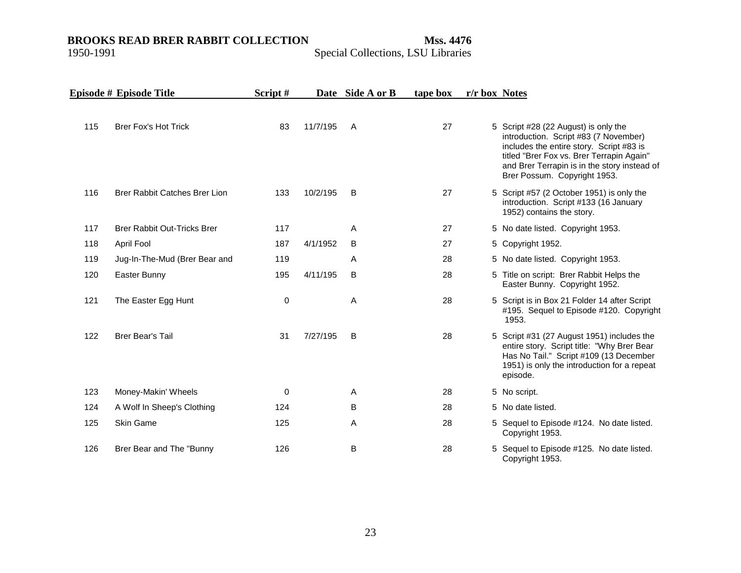|     | Episode # Episode Title              | Script# |          | Date Side A or B | tape box | r/r box Notes |                                                                                                                                                                                                                                                        |
|-----|--------------------------------------|---------|----------|------------------|----------|---------------|--------------------------------------------------------------------------------------------------------------------------------------------------------------------------------------------------------------------------------------------------------|
| 115 | <b>Brer Fox's Hot Trick</b>          | 83      | 11/7/195 | A                | 27       |               | 5 Script #28 (22 August) is only the<br>introduction. Script #83 (7 November)<br>includes the entire story. Script #83 is<br>titled "Brer Fox vs. Brer Terrapin Again"<br>and Brer Terrapin is in the story instead of<br>Brer Possum. Copyright 1953. |
| 116 | <b>Brer Rabbit Catches Brer Lion</b> | 133     | 10/2/195 | B                | 27       |               | 5 Script #57 (2 October 1951) is only the<br>introduction. Script #133 (16 January<br>1952) contains the story.                                                                                                                                        |
| 117 | <b>Brer Rabbit Out-Tricks Brer</b>   | 117     |          | Α                | 27       |               | 5 No date listed. Copyright 1953.                                                                                                                                                                                                                      |
| 118 | April Fool                           | 187     | 4/1/1952 | B                | 27       |               | 5 Copyright 1952.                                                                                                                                                                                                                                      |
| 119 | Jug-In-The-Mud (Brer Bear and        | 119     |          | Α                | 28       |               | 5 No date listed. Copyright 1953.                                                                                                                                                                                                                      |
| 120 | Easter Bunny                         | 195     | 4/11/195 | B                | 28       |               | 5 Title on script: Brer Rabbit Helps the<br>Easter Bunny. Copyright 1952.                                                                                                                                                                              |
| 121 | The Easter Egg Hunt                  | 0       |          | A                | 28       |               | 5 Script is in Box 21 Folder 14 after Script<br>#195. Sequel to Episode #120. Copyright<br>1953.                                                                                                                                                       |
| 122 | <b>Brer Bear's Tail</b>              | 31      | 7/27/195 | B                | 28       |               | 5 Script #31 (27 August 1951) includes the<br>entire story. Script title: "Why Brer Bear<br>Has No Tail." Script #109 (13 December<br>1951) is only the introduction for a repeat<br>episode.                                                          |
| 123 | Money-Makin' Wheels                  | 0       |          | A                | 28       |               | 5 No script.                                                                                                                                                                                                                                           |
| 124 | A Wolf In Sheep's Clothing           | 124     |          | B                | 28       |               | 5 No date listed.                                                                                                                                                                                                                                      |
| 125 | Skin Game                            | 125     |          | Α                | 28       |               | 5 Sequel to Episode #124. No date listed.<br>Copyright 1953.                                                                                                                                                                                           |
| 126 | Brer Bear and The "Bunny             | 126     |          | В                | 28       |               | 5 Sequel to Episode #125. No date listed.<br>Copyright 1953.                                                                                                                                                                                           |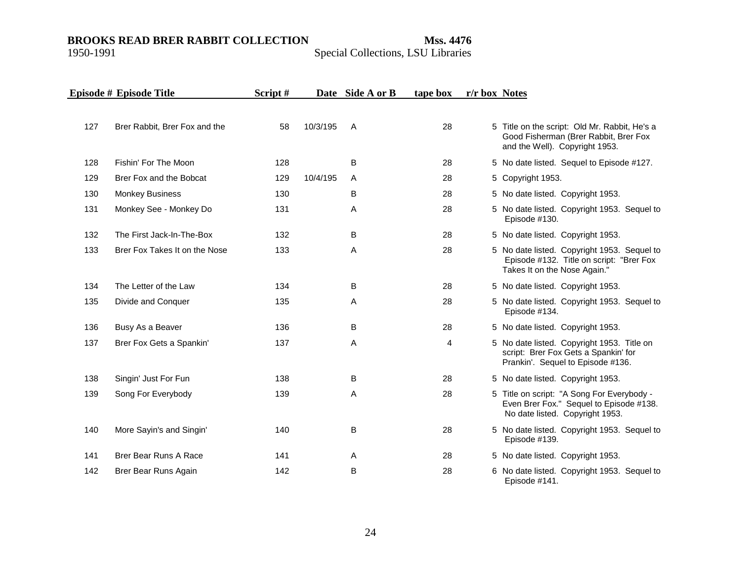#### **BROOKS READ BRER RABBIT COLLECTION Mss. 4476**

1950-1991

|  |  |  |  | Special Collections, LSU Libraries |
|--|--|--|--|------------------------------------|
|--|--|--|--|------------------------------------|

|     | Episode # Episode Title       | Script# |          | Date Side A or B | tape box | r/r box Notes |                                                                                                                          |
|-----|-------------------------------|---------|----------|------------------|----------|---------------|--------------------------------------------------------------------------------------------------------------------------|
| 127 | Brer Rabbit, Brer Fox and the | 58      | 10/3/195 | A                | 28       |               | 5 Title on the script: Old Mr. Rabbit, He's a<br>Good Fisherman (Brer Rabbit, Brer Fox<br>and the Well). Copyright 1953. |
| 128 | Fishin' For The Moon          | 128     |          | B                | 28       |               | 5 No date listed. Sequel to Episode #127.                                                                                |
| 129 | Brer Fox and the Bobcat       | 129     | 10/4/195 | A                | 28       |               | 5 Copyright 1953.                                                                                                        |
| 130 | <b>Monkey Business</b>        | 130     |          | В                | 28       |               | 5 No date listed. Copyright 1953.                                                                                        |
| 131 | Monkey See - Monkey Do        | 131     |          | A                | 28       |               | 5 No date listed. Copyright 1953. Sequel to<br>Episode #130.                                                             |
| 132 | The First Jack-In-The-Box     | 132     |          | B                | 28       |               | 5 No date listed. Copyright 1953.                                                                                        |
| 133 | Brer Fox Takes It on the Nose | 133     |          | A                | 28       |               | 5 No date listed. Copyright 1953. Sequel to<br>Episode #132. Title on script: "Brer Fox<br>Takes It on the Nose Again."  |
| 134 | The Letter of the Law         | 134     |          | B                | 28       |               | 5 No date listed. Copyright 1953.                                                                                        |
| 135 | Divide and Conquer            | 135     |          | Α                | 28       |               | 5 No date listed. Copyright 1953. Sequel to<br>Episode #134.                                                             |
| 136 | Busy As a Beaver              | 136     |          | B                | 28       |               | 5 No date listed. Copyright 1953.                                                                                        |
| 137 | Brer Fox Gets a Spankin'      | 137     |          | Α                | 4        |               | 5 No date listed. Copyright 1953. Title on<br>script: Brer Fox Gets a Spankin' for<br>Prankin'. Sequel to Episode #136.  |
| 138 | Singin' Just For Fun          | 138     |          | B                | 28       |               | 5 No date listed. Copyright 1953.                                                                                        |
| 139 | Song For Everybody            | 139     |          | A                | 28       |               | 5 Title on script: "A Song For Everybody -<br>Even Brer Fox." Sequel to Episode #138.<br>No date listed. Copyright 1953. |
| 140 | More Sayin's and Singin'      | 140     |          | B                | 28       |               | 5 No date listed. Copyright 1953. Sequel to<br>Episode #139.                                                             |
| 141 | Brer Bear Runs A Race         | 141     |          | A                | 28       |               | 5 No date listed. Copyright 1953.                                                                                        |
| 142 | Brer Bear Runs Again          | 142     |          | B                | 28       |               | 6 No date listed. Copyright 1953. Sequel to<br>Episode #141.                                                             |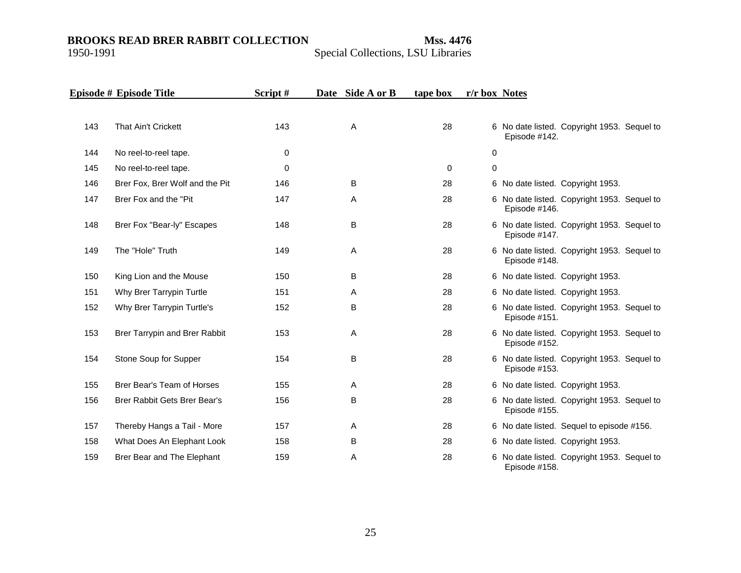|     | Episode # Episode Title             | Script#     | Date Side A or B | tape box    | r/r box Notes |                                                              |
|-----|-------------------------------------|-------------|------------------|-------------|---------------|--------------------------------------------------------------|
|     |                                     |             |                  |             |               |                                                              |
| 143 | That Ain't Crickett                 | 143         | A                | 28          |               | 6 No date listed. Copyright 1953. Sequel to<br>Episode #142. |
| 144 | No reel-to-reel tape.               | $\mathbf 0$ |                  |             | 0             |                                                              |
| 145 | No reel-to-reel tape.               | $\mathbf 0$ |                  | $\mathbf 0$ | $\pmb{0}$     |                                                              |
| 146 | Brer Fox, Brer Wolf and the Pit     | 146         | B                | 28          |               | 6 No date listed. Copyright 1953.                            |
| 147 | Brer Fox and the "Pit"              | 147         | A                | 28          |               | 6 No date listed. Copyright 1953. Sequel to<br>Episode #146. |
| 148 | Brer Fox "Bear-ly" Escapes          | 148         | B                | 28          |               | 6 No date listed. Copyright 1953. Sequel to<br>Episode #147. |
| 149 | The "Hole" Truth                    | 149         | A                | 28          |               | 6 No date listed. Copyright 1953. Sequel to<br>Episode #148. |
| 150 | King Lion and the Mouse             | 150         | B                | 28          |               | 6 No date listed. Copyright 1953.                            |
| 151 | Why Brer Tarrypin Turtle            | 151         | A                | 28          |               | 6 No date listed. Copyright 1953.                            |
| 152 | Why Brer Tarrypin Turtle's          | 152         | B                | 28          |               | 6 No date listed. Copyright 1953. Sequel to<br>Episode #151. |
| 153 | Brer Tarrypin and Brer Rabbit       | 153         | Α                | 28          |               | 6 No date listed. Copyright 1953. Sequel to<br>Episode #152. |
| 154 | Stone Soup for Supper               | 154         | B                | 28          |               | 6 No date listed. Copyright 1953. Sequel to<br>Episode #153. |
| 155 | Brer Bear's Team of Horses          | 155         | A                | 28          |               | 6 No date listed. Copyright 1953.                            |
| 156 | <b>Brer Rabbit Gets Brer Bear's</b> | 156         | B                | 28          |               | 6 No date listed. Copyright 1953. Sequel to<br>Episode #155. |
| 157 | Thereby Hangs a Tail - More         | 157         | A                | 28          |               | 6 No date listed. Sequel to episode #156.                    |
| 158 | What Does An Elephant Look          | 158         | B                | 28          |               | 6 No date listed. Copyright 1953.                            |
| 159 | Brer Bear and The Elephant          | 159         | Α                | 28          |               | 6 No date listed. Copyright 1953. Sequel to<br>Episode #158. |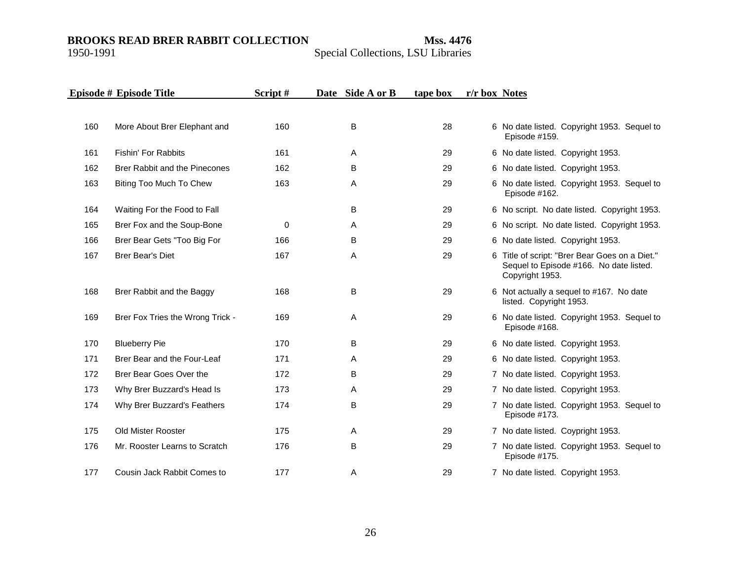|     | Episode # Episode Title          | Script# | Date Side A or B | tape box | r/r box Notes                                                                                                |
|-----|----------------------------------|---------|------------------|----------|--------------------------------------------------------------------------------------------------------------|
|     |                                  |         |                  |          |                                                                                                              |
| 160 | More About Brer Elephant and     | 160     | B                | 28       | 6 No date listed. Copyright 1953. Sequel to<br>Episode #159.                                                 |
| 161 | Fishin' For Rabbits              | 161     | A                | 29       | 6 No date listed. Copyright 1953.                                                                            |
| 162 | Brer Rabbit and the Pinecones    | 162     | B                | 29       | 6 No date listed. Copyright 1953.                                                                            |
| 163 | Biting Too Much To Chew          | 163     | Α                | 29       | 6 No date listed. Copyright 1953. Sequel to<br>Episode #162.                                                 |
| 164 | Waiting For the Food to Fall     |         | B                | 29       | 6 No script. No date listed. Copyright 1953.                                                                 |
| 165 | Brer Fox and the Soup-Bone       | 0       | Α                | 29       | 6 No script. No date listed. Copyright 1953.                                                                 |
| 166 | Brer Bear Gets "Too Big For      | 166     | B                | 29       | 6 No date listed. Copyright 1953.                                                                            |
| 167 | <b>Brer Bear's Diet</b>          | 167     | A                | 29       | 6 Title of script: "Brer Bear Goes on a Diet."<br>Sequel to Episode #166. No date listed.<br>Copyright 1953. |
| 168 | Brer Rabbit and the Baggy        | 168     | B                | 29       | 6 Not actually a sequel to #167. No date<br>listed. Copyright 1953.                                          |
| 169 | Brer Fox Tries the Wrong Trick - | 169     | A                | 29       | 6 No date listed. Copyright 1953. Sequel to<br>Episode #168.                                                 |
| 170 | <b>Blueberry Pie</b>             | 170     | B                | 29       | 6 No date listed. Copyright 1953.                                                                            |
| 171 | Brer Bear and the Four-Leaf      | 171     | A                | 29       | 6 No date listed. Copyright 1953.                                                                            |
| 172 | Brer Bear Goes Over the          | 172     | B                | 29       | 7 No date listed. Copyright 1953.                                                                            |
| 173 | Why Brer Buzzard's Head Is       | 173     | A                | 29       | 7 No date listed. Copyright 1953.                                                                            |
| 174 | Why Brer Buzzard's Feathers      | 174     | B                | 29       | 7 No date listed. Copyright 1953. Sequel to<br>Episode #173.                                                 |
| 175 | Old Mister Rooster               | 175     | A                | 29       | 7 No date listed. Coypright 1953.                                                                            |
| 176 | Mr. Rooster Learns to Scratch    | 176     | B                | 29       | 7 No date listed. Copyright 1953. Sequel to<br>Episode #175.                                                 |
| 177 | Cousin Jack Rabbit Comes to      | 177     | Α                | 29       | 7 No date listed. Copyright 1953.                                                                            |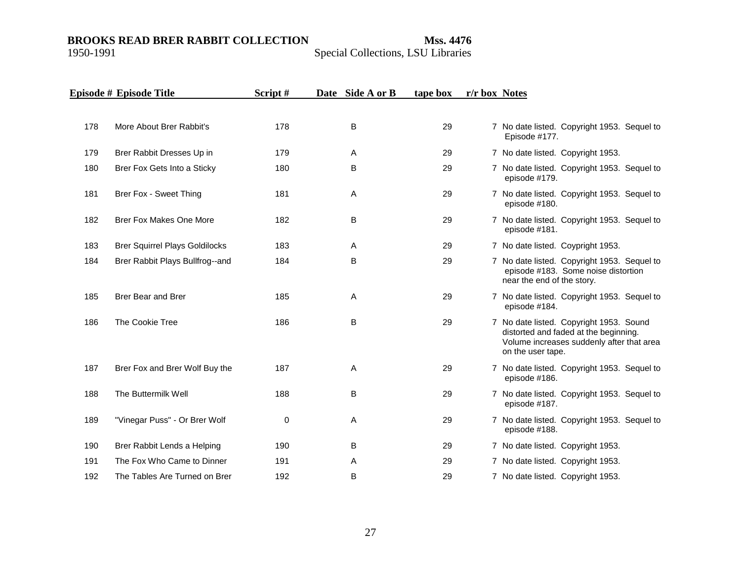|     | Episode # Episode Title               | Script# | Date Side A or B | tape box | r/r box Notes                                                                                                                                      |
|-----|---------------------------------------|---------|------------------|----------|----------------------------------------------------------------------------------------------------------------------------------------------------|
|     |                                       |         |                  |          |                                                                                                                                                    |
| 178 | More About Brer Rabbit's              | 178     | B                | 29       | 7 No date listed. Copyright 1953. Sequel to<br>Episode #177.                                                                                       |
| 179 | Brer Rabbit Dresses Up in             | 179     | A                | 29       | 7 No date listed. Copyright 1953.                                                                                                                  |
| 180 | Brer Fox Gets Into a Sticky           | 180     | B                | 29       | 7 No date listed. Copyright 1953. Sequel to<br>episode #179.                                                                                       |
| 181 | Brer Fox - Sweet Thing                | 181     | A                | 29       | 7 No date listed. Copyright 1953. Sequel to<br>episode #180.                                                                                       |
| 182 | <b>Brer Fox Makes One More</b>        | 182     | B                | 29       | 7 No date listed. Copyright 1953. Sequel to<br>episode #181.                                                                                       |
| 183 | <b>Brer Squirrel Plays Goldilocks</b> | 183     | A                | 29       | 7 No date listed. Coypright 1953.                                                                                                                  |
| 184 | Brer Rabbit Plays Bullfrog--and       | 184     | B                | 29       | 7 No date listed. Copyright 1953. Sequel to<br>episode #183. Some noise distortion<br>near the end of the story.                                   |
| 185 | <b>Brer Bear and Brer</b>             | 185     | Α                | 29       | 7 No date listed. Copyright 1953. Sequel to<br>episode #184.                                                                                       |
| 186 | The Cookie Tree                       | 186     | B                | 29       | 7 No date listed. Copyright 1953. Sound<br>distorted and faded at the beginning.<br>Volume increases suddenly after that area<br>on the user tape. |
| 187 | Brer Fox and Brer Wolf Buy the        | 187     | A                | 29       | 7 No date listed. Copyright 1953. Sequel to<br>episode #186.                                                                                       |
| 188 | The Buttermilk Well                   | 188     | B                | 29       | 7 No date listed. Copyright 1953. Sequel to<br>episode #187.                                                                                       |
| 189 | "Vinegar Puss" - Or Brer Wolf         | 0       | A                | 29       | 7 No date listed. Copyright 1953. Sequel to<br>episode #188.                                                                                       |
| 190 | Brer Rabbit Lends a Helping           | 190     | B                | 29       | 7 No date listed. Copyright 1953.                                                                                                                  |
| 191 | The Fox Who Came to Dinner            | 191     | Α                | 29       | 7 No date listed. Copyright 1953.                                                                                                                  |
| 192 | The Tables Are Turned on Brer         | 192     | B                | 29       | 7 No date listed. Copyright 1953.                                                                                                                  |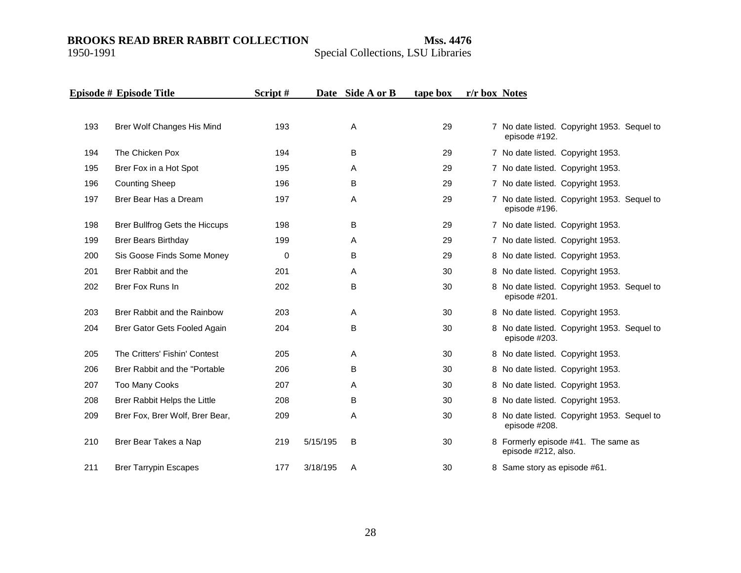|     | Episode # Episode Title         | Script# |          | Date Side A or B | tape box | r/r box Notes |                                                              |
|-----|---------------------------------|---------|----------|------------------|----------|---------------|--------------------------------------------------------------|
| 193 | Brer Wolf Changes His Mind      | 193     |          | A                | 29       |               | 7 No date listed. Copyright 1953. Sequel to                  |
|     |                                 |         |          |                  |          |               | episode #192.                                                |
| 194 | The Chicken Pox                 | 194     |          | B                | 29       |               | 7 No date listed. Copyright 1953.                            |
| 195 | Brer Fox in a Hot Spot          | 195     |          | A                | 29       |               | 7 No date listed. Copyright 1953.                            |
| 196 | <b>Counting Sheep</b>           | 196     |          | B                | 29       |               | 7 No date listed. Copyright 1953.                            |
| 197 | Brer Bear Has a Dream           | 197     |          | A                | 29       |               | 7 No date listed. Copyright 1953. Sequel to<br>episode #196. |
| 198 | Brer Bullfrog Gets the Hiccups  | 198     |          | B                | 29       |               | 7 No date listed. Copyright 1953.                            |
| 199 | <b>Brer Bears Birthday</b>      | 199     |          | A                | 29       |               | 7 No date listed. Copyright 1953.                            |
| 200 | Sis Goose Finds Some Money      | 0       |          | B                | 29       |               | 8 No date listed. Copyright 1953.                            |
| 201 | Brer Rabbit and the             | 201     |          | A                | 30       |               | 8 No date listed. Copyright 1953.                            |
| 202 | Brer Fox Runs In                | 202     |          | B                | 30       |               | 8 No date listed. Copyright 1953. Sequel to<br>episode #201. |
| 203 | Brer Rabbit and the Rainbow     | 203     |          | A                | 30       |               | 8 No date listed. Copyright 1953.                            |
| 204 | Brer Gator Gets Fooled Again    | 204     |          | B                | 30       |               | 8 No date listed. Copyright 1953. Sequel to<br>episode #203. |
| 205 | The Critters' Fishin' Contest   | 205     |          | A                | 30       |               | 8 No date listed. Copyright 1953.                            |
| 206 | Brer Rabbit and the "Portable"  | 206     |          | B                | 30       |               | 8 No date listed. Copyright 1953.                            |
| 207 | Too Many Cooks                  | 207     |          | A                | 30       |               | 8 No date listed. Copyright 1953.                            |
| 208 | Brer Rabbit Helps the Little    | 208     |          | B                | 30       |               | 8 No date listed. Copyright 1953.                            |
| 209 | Brer Fox, Brer Wolf, Brer Bear, | 209     |          | A                | 30       |               | 8 No date listed. Copyright 1953. Sequel to<br>episode #208. |
| 210 | Brer Bear Takes a Nap           | 219     | 5/15/195 | B                | 30       |               | 8 Formerly episode #41. The same as<br>episode #212, also.   |
| 211 | <b>Brer Tarrypin Escapes</b>    | 177     | 3/18/195 | A                | 30       |               | 8 Same story as episode #61.                                 |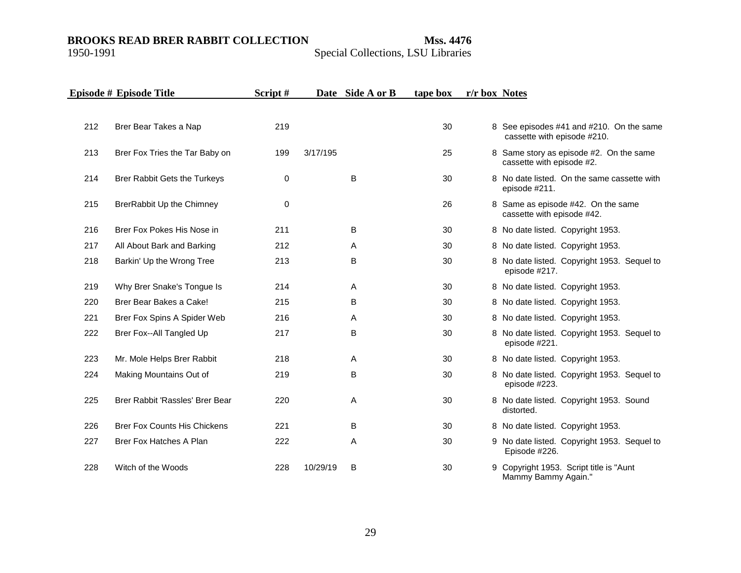|     | Episode # Episode Title             | Script# |          | Date Side A or B | tape box | r/r box Notes |                                                                         |
|-----|-------------------------------------|---------|----------|------------------|----------|---------------|-------------------------------------------------------------------------|
|     |                                     |         |          |                  |          |               |                                                                         |
| 212 | Brer Bear Takes a Nap               | 219     |          |                  | 30       |               | 8 See episodes #41 and #210. On the same<br>cassette with episode #210. |
| 213 | Brer Fox Tries the Tar Baby on      | 199     | 3/17/195 |                  | 25       |               | 8 Same story as episode #2. On the same<br>cassette with episode #2.    |
| 214 | Brer Rabbit Gets the Turkeys        | 0       |          | B                | 30       |               | 8 No date listed. On the same cassette with<br>episode #211.            |
| 215 | BrerRabbit Up the Chimney           | 0       |          |                  | 26       |               | 8 Same as episode #42. On the same<br>cassette with episode #42.        |
| 216 | Brer Fox Pokes His Nose in          | 211     |          | B                | 30       |               | 8 No date listed. Copyright 1953.                                       |
| 217 | All About Bark and Barking          | 212     |          | A                | 30       |               | 8 No date listed. Copyright 1953.                                       |
| 218 | Barkin' Up the Wrong Tree           | 213     |          | B                | 30       |               | 8 No date listed. Copyright 1953. Sequel to<br>episode #217.            |
| 219 | Why Brer Snake's Tongue Is          | 214     |          | A                | 30       |               | 8 No date listed. Copyright 1953.                                       |
| 220 | Brer Bear Bakes a Cake!             | 215     |          | B                | 30       |               | 8 No date listed. Copyright 1953.                                       |
| 221 | Brer Fox Spins A Spider Web         | 216     |          | A                | 30       |               | 8 No date listed. Copyright 1953.                                       |
| 222 | Brer Fox--All Tangled Up            | 217     |          | B                | 30       |               | 8 No date listed. Copyright 1953. Sequel to<br>episode #221.            |
| 223 | Mr. Mole Helps Brer Rabbit          | 218     |          | A                | 30       |               | 8 No date listed. Copyright 1953.                                       |
| 224 | Making Mountains Out of             | 219     |          | B                | 30       |               | 8 No date listed. Copyright 1953. Sequel to<br>episode #223.            |
| 225 | Brer Rabbit 'Rassles' Brer Bear     | 220     |          | A                | 30       |               | 8 No date listed. Copyright 1953. Sound<br>distorted.                   |
| 226 | <b>Brer Fox Counts His Chickens</b> | 221     |          | B                | 30       |               | 8 No date listed. Copyright 1953.                                       |
| 227 | Brer Fox Hatches A Plan             | 222     |          | A                | 30       |               | 9 No date listed. Copyright 1953. Sequel to<br>Episode #226.            |
| 228 | Witch of the Woods                  | 228     | 10/29/19 | B                | 30       |               | 9 Copyright 1953. Script title is "Aunt<br>Mammy Bammy Again."          |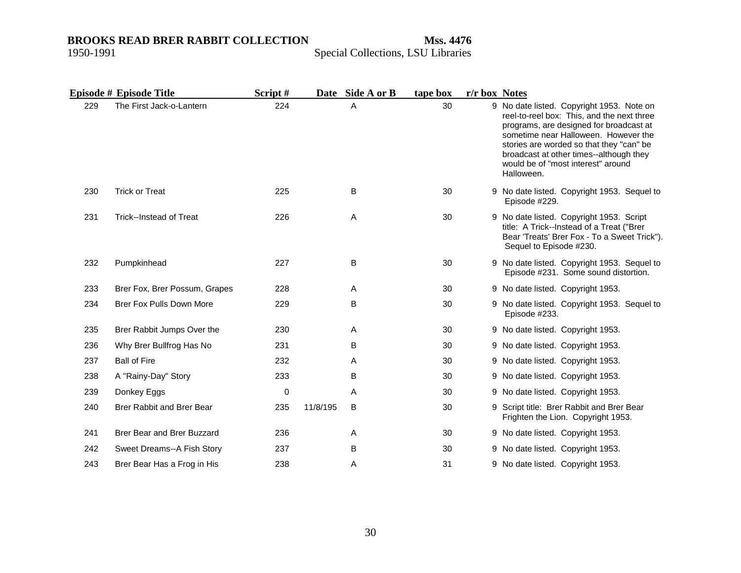|     | Episode # Episode Title          | Script# |          | Date Side A or B | tape box | r/r box Notes |                                                                                                                                                                                                                                                                                                                       |
|-----|----------------------------------|---------|----------|------------------|----------|---------------|-----------------------------------------------------------------------------------------------------------------------------------------------------------------------------------------------------------------------------------------------------------------------------------------------------------------------|
| 229 | The First Jack-o-Lantern         | 224     |          | A                | 30       |               | 9 No date listed. Copyright 1953. Note on<br>reel-to-reel box: This, and the next three<br>programs, are designed for broadcast at<br>sometime near Halloween. However the<br>stories are worded so that they "can" be<br>broadcast at other times--although they<br>would be of "most interest" around<br>Halloween. |
| 230 | <b>Trick or Treat</b>            | 225     |          | B                | 30       |               | 9 No date listed. Copyright 1953. Sequel to<br>Episode #229.                                                                                                                                                                                                                                                          |
| 231 | Trick--Instead of Treat          | 226     |          | Α                | 30       |               | 9 No date listed. Copyright 1953. Script<br>title: A Trick--Instead of a Treat ("Brer<br>Bear 'Treats' Brer Fox - To a Sweet Trick").<br>Sequel to Episode #230.                                                                                                                                                      |
| 232 | Pumpkinhead                      | 227     |          | B                | 30       |               | 9 No date listed. Copyright 1953. Sequel to<br>Episode #231. Some sound distortion.                                                                                                                                                                                                                                   |
| 233 | Brer Fox, Brer Possum, Grapes    | 228     |          | Α                | 30       |               | 9 No date listed. Copyright 1953.                                                                                                                                                                                                                                                                                     |
| 234 | Brer Fox Pulls Down More         | 229     |          | B                | 30       |               | 9 No date listed. Copyright 1953. Sequel to<br>Episode #233.                                                                                                                                                                                                                                                          |
| 235 | Brer Rabbit Jumps Over the       | 230     |          | A                | 30       |               | 9 No date listed. Copyright 1953.                                                                                                                                                                                                                                                                                     |
| 236 | Why Brer Bullfrog Has No         | 231     |          | B                | 30       |               | 9 No date listed. Copyright 1953.                                                                                                                                                                                                                                                                                     |
| 237 | <b>Ball of Fire</b>              | 232     |          | A                | 30       |               | 9 No date listed. Copyright 1953.                                                                                                                                                                                                                                                                                     |
| 238 | A "Rainy-Day" Story              | 233     |          | B                | 30       |               | 9 No date listed. Copyright 1953.                                                                                                                                                                                                                                                                                     |
| 239 | Donkey Eggs                      | 0       |          | Α                | 30       |               | 9 No date listed. Copyright 1953.                                                                                                                                                                                                                                                                                     |
| 240 | <b>Brer Rabbit and Brer Bear</b> | 235     | 11/8/195 | B                | 30       |               | 9 Script title: Brer Rabbit and Brer Bear<br>Frighten the Lion. Copyright 1953.                                                                                                                                                                                                                                       |
| 241 | Brer Bear and Brer Buzzard       | 236     |          | A                | 30       |               | 9 No date listed. Copyright 1953.                                                                                                                                                                                                                                                                                     |
| 242 | Sweet Dreams--A Fish Story       | 237     |          | B                | 30       |               | 9 No date listed. Copyright 1953.                                                                                                                                                                                                                                                                                     |
| 243 | Brer Bear Has a Frog in His      | 238     |          | Α                | 31       |               | 9 No date listed. Copyright 1953.                                                                                                                                                                                                                                                                                     |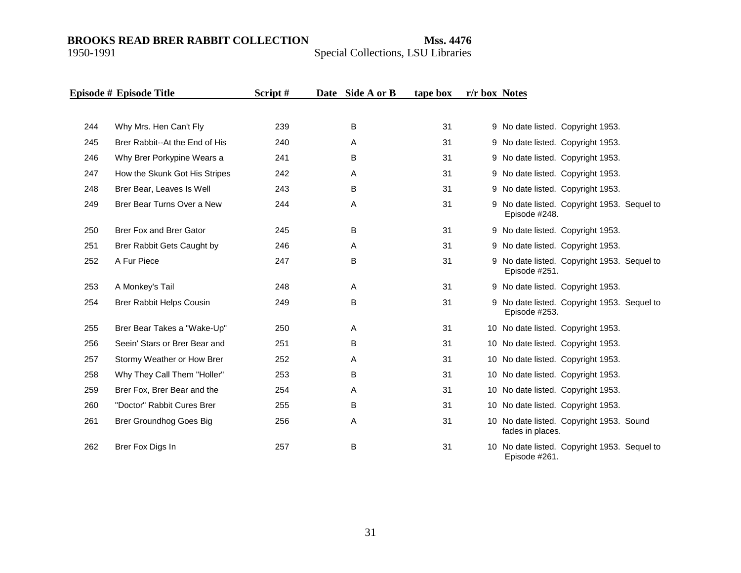|     | Episode # Episode Title        | Script# | Date Side A or B | tape box | r/r box Notes |                                                               |
|-----|--------------------------------|---------|------------------|----------|---------------|---------------------------------------------------------------|
|     |                                |         |                  |          |               |                                                               |
| 244 | Why Mrs. Hen Can't Fly         | 239     | B                | 31       |               | 9 No date listed. Copyright 1953.                             |
| 245 | Brer Rabbit--At the End of His | 240     | A                | 31       |               | 9 No date listed. Copyright 1953.                             |
| 246 | Why Brer Porkypine Wears a     | 241     | B                | 31       |               | 9 No date listed. Copyright 1953.                             |
| 247 | How the Skunk Got His Stripes  | 242     | A                | 31       |               | 9 No date listed. Copyright 1953.                             |
| 248 | Brer Bear, Leaves Is Well      | 243     | B                | 31       |               | 9 No date listed. Copyright 1953.                             |
| 249 | Brer Bear Turns Over a New     | 244     | Α                | 31       |               | 9 No date listed. Copyright 1953. Sequel to<br>Episode #248.  |
| 250 | Brer Fox and Brer Gator        | 245     | B                | 31       |               | 9 No date listed. Copyright 1953.                             |
| 251 | Brer Rabbit Gets Caught by     | 246     | A                | 31       |               | 9 No date listed. Copyright 1953.                             |
| 252 | A Fur Piece                    | 247     | B                | 31       |               | 9 No date listed. Copyright 1953. Sequel to<br>Episode #251.  |
| 253 | A Monkey's Tail                | 248     | A                | 31       |               | 9 No date listed. Copyright 1953.                             |
| 254 | Brer Rabbit Helps Cousin       | 249     | B                | 31       |               | 9 No date listed. Copyright 1953. Sequel to<br>Episode #253.  |
| 255 | Brer Bear Takes a "Wake-Up"    | 250     | A                | 31       |               | 10 No date listed. Copyright 1953.                            |
| 256 | Seein' Stars or Brer Bear and  | 251     | B                | 31       |               | 10 No date listed. Copyright 1953.                            |
| 257 | Stormy Weather or How Brer     | 252     | Α                | 31       |               | 10 No date listed. Copyright 1953.                            |
| 258 | Why They Call Them "Holler"    | 253     | B                | 31       |               | 10 No date listed. Copyright 1953.                            |
| 259 | Brer Fox, Brer Bear and the    | 254     | A                | 31       |               | 10 No date listed. Copyright 1953.                            |
| 260 | "Doctor" Rabbit Cures Brer     | 255     | B                | 31       |               | 10 No date listed. Copyright 1953.                            |
| 261 | Brer Groundhog Goes Big        | 256     | A                | 31       |               | 10 No date listed. Copyright 1953. Sound<br>fades in places.  |
| 262 | Brer Fox Digs In               | 257     | B                | 31       |               | 10 No date listed. Copyright 1953. Sequel to<br>Episode #261. |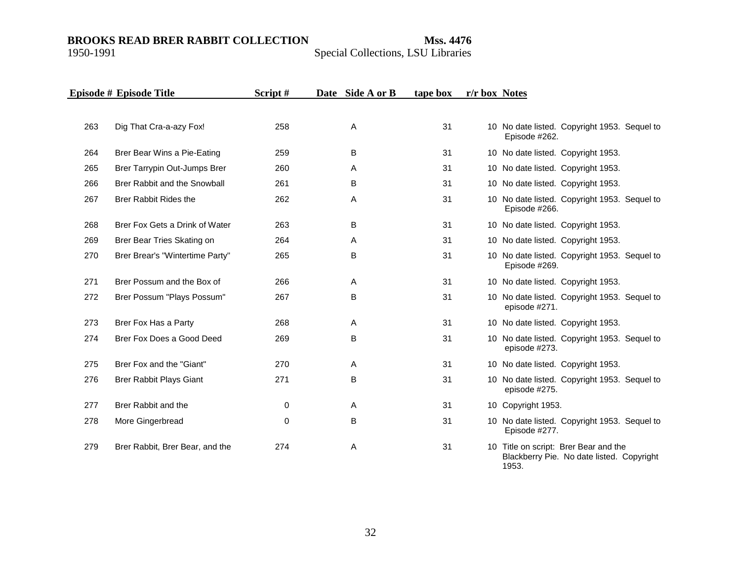## Special Collections, LSU Libraries

|     | Episode # Episode Title         | Script# | Date Side A or B | tape box | r/r box Notes |                                                                                    |
|-----|---------------------------------|---------|------------------|----------|---------------|------------------------------------------------------------------------------------|
|     |                                 |         |                  |          |               |                                                                                    |
| 263 | Dig That Cra-a-azy Fox!         | 258     | Α                | 31       |               | 10 No date listed. Copyright 1953. Sequel to<br>Episode #262.                      |
| 264 | Brer Bear Wins a Pie-Eating     | 259     | B                | 31       |               | 10 No date listed. Copyright 1953.                                                 |
| 265 | Brer Tarrypin Out-Jumps Brer    | 260     | Α                | 31       |               | 10 No date listed. Copyright 1953.                                                 |
| 266 | Brer Rabbit and the Snowball    | 261     | B                | 31       |               | 10 No date listed. Copyright 1953.                                                 |
| 267 | <b>Brer Rabbit Rides the</b>    | 262     | Α                | 31       |               | 10 No date listed. Copyright 1953. Sequel to<br>Episode #266.                      |
| 268 | Brer Fox Gets a Drink of Water  | 263     | B                | 31       |               | 10 No date listed. Copyright 1953.                                                 |
| 269 | Brer Bear Tries Skating on      | 264     | A                | 31       |               | 10 No date listed. Copyright 1953.                                                 |
| 270 | Brer Brear's "Wintertime Party" | 265     | B                | 31       |               | 10 No date listed. Copyright 1953. Sequel to<br>Episode #269.                      |
| 271 | Brer Possum and the Box of      | 266     | A                | 31       |               | 10 No date listed. Copyright 1953.                                                 |
| 272 | Brer Possum "Plays Possum"      | 267     | B                | 31       |               | 10 No date listed. Copyright 1953. Sequel to<br>episode #271.                      |
| 273 | Brer Fox Has a Party            | 268     | A                | 31       |               | 10 No date listed. Copyright 1953.                                                 |
| 274 | Brer Fox Does a Good Deed       | 269     | B                | 31       |               | 10 No date listed. Copyright 1953. Sequel to<br>episode #273.                      |
| 275 | Brer Fox and the "Giant"        | 270     | A                | 31       |               | 10 No date listed. Copyright 1953.                                                 |
| 276 | <b>Brer Rabbit Plays Giant</b>  | 271     | B                | 31       |               | 10 No date listed. Copyright 1953. Sequel to<br>episode #275.                      |
| 277 | Brer Rabbit and the             | 0       | Α                | 31       |               | 10 Copyright 1953.                                                                 |
| 278 | More Gingerbread                | 0       | B                | 31       |               | 10 No date listed. Copyright 1953. Sequel to<br>Episode #277.                      |
| 279 | Brer Rabbit, Brer Bear, and the | 274     | Α                | 31       |               | 10 Title on script: Brer Bear and the<br>Blackberry Pie. No date listed. Copyright |

1953.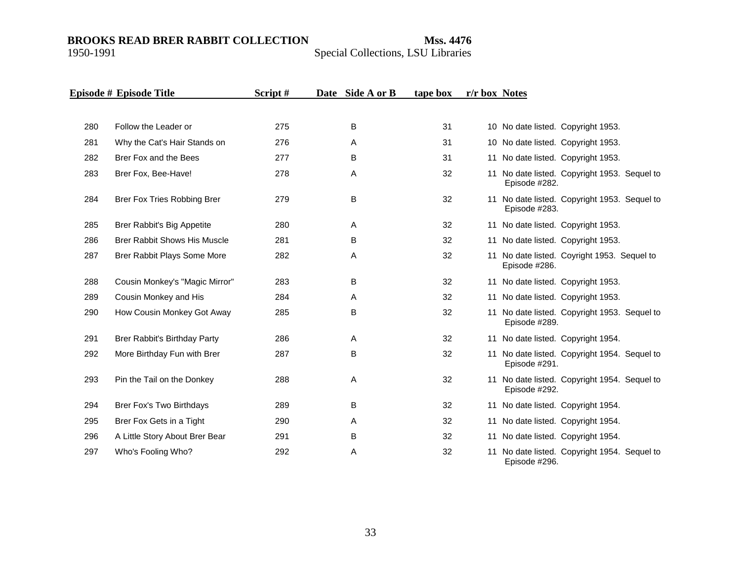|     | Episode # Episode Title             | Script# | Date Side A or B | tape box | r/r box Notes |                                                               |
|-----|-------------------------------------|---------|------------------|----------|---------------|---------------------------------------------------------------|
|     |                                     |         |                  |          |               |                                                               |
| 280 | Follow the Leader or                | 275     | B                | 31       |               | 10 No date listed. Copyright 1953.                            |
| 281 | Why the Cat's Hair Stands on        | 276     | Α                | 31       |               | 10 No date listed. Copyright 1953.                            |
| 282 | Brer Fox and the Bees               | 277     | B                | 31       |               | 11 No date listed. Copyright 1953.                            |
| 283 | Brer Fox, Bee-Have!                 | 278     | A                | 32       |               | 11 No date listed. Copyright 1953. Sequel to<br>Episode #282. |
| 284 | Brer Fox Tries Robbing Brer         | 279     | B                | 32       |               | 11 No date listed. Copyright 1953. Sequel to<br>Episode #283. |
| 285 | Brer Rabbit's Big Appetite          | 280     | A                | 32       |               | 11 No date listed. Copyright 1953.                            |
| 286 | <b>Brer Rabbit Shows His Muscle</b> | 281     | B                | 32       |               | 11 No date listed. Copyright 1953.                            |
| 287 | Brer Rabbit Plays Some More         | 282     | Α                | 32       |               | 11 No date listed. Coyright 1953. Sequel to<br>Episode #286.  |
| 288 | Cousin Monkey's "Magic Mirror"      | 283     | B                | 32       |               | 11 No date listed. Copyright 1953.                            |
| 289 | Cousin Monkey and His               | 284     | A                | 32       |               | 11 No date listed. Copyright 1953.                            |
| 290 | How Cousin Monkey Got Away          | 285     | B                | 32       |               | 11 No date listed. Copyright 1953. Sequel to<br>Episode #289. |
| 291 | Brer Rabbit's Birthday Party        | 286     | A                | 32       |               | 11 No date listed. Copyright 1954.                            |
| 292 | More Birthday Fun with Brer         | 287     | B                | 32       |               | 11 No date listed. Copyright 1954. Sequel to<br>Episode #291. |
| 293 | Pin the Tail on the Donkey          | 288     | A                | 32       |               | 11 No date listed. Copyright 1954. Sequel to<br>Episode #292. |
| 294 | Brer Fox's Two Birthdays            | 289     | В                | 32       |               | 11 No date listed. Copyright 1954.                            |
| 295 | Brer Fox Gets in a Tight            | 290     | A                | 32       |               | 11 No date listed. Copyright 1954.                            |
| 296 | A Little Story About Brer Bear      | 291     | B                | 32       |               | 11 No date listed. Copyright 1954.                            |
| 297 | Who's Fooling Who?                  | 292     | Α                | 32       |               | 11 No date listed. Copyright 1954. Sequel to<br>Episode #296. |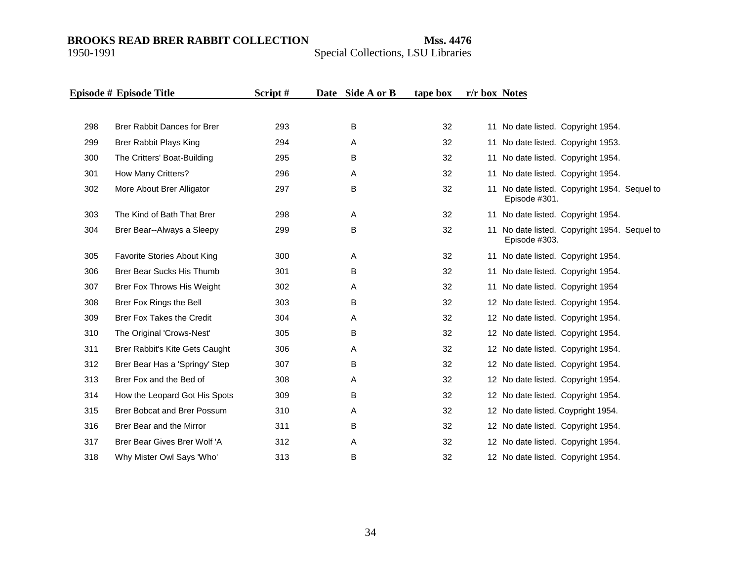|     | Episode # Episode Title            | Script# | Date Side A or B | tape box | r/r box Notes |               |                                              |  |
|-----|------------------------------------|---------|------------------|----------|---------------|---------------|----------------------------------------------|--|
|     |                                    |         |                  |          |               |               |                                              |  |
| 298 | <b>Brer Rabbit Dances for Brer</b> | 293     | B                | 32       |               |               | 11 No date listed. Copyright 1954.           |  |
| 299 | Brer Rabbit Plays King             | 294     | Α                | 32       |               |               | 11 No date listed. Copyright 1953.           |  |
| 300 | The Critters' Boat-Building        | 295     | B                | 32       |               |               | 11 No date listed. Copyright 1954.           |  |
| 301 | How Many Critters?                 | 296     | Α                | 32       |               |               | 11 No date listed. Copyright 1954.           |  |
| 302 | More About Brer Alligator          | 297     | B                | 32       |               | Episode #301. | 11 No date listed. Copyright 1954. Sequel to |  |
| 303 | The Kind of Bath That Brer         | 298     | A                | 32       |               |               | 11 No date listed. Copyright 1954.           |  |
| 304 | Brer Bear--Always a Sleepy         | 299     | B                | 32       | 11            | Episode #303. | No date listed. Copyright 1954. Sequel to    |  |
| 305 | Favorite Stories About King        | 300     | Α                | 32       |               |               | 11 No date listed. Copyright 1954.           |  |
| 306 | <b>Brer Bear Sucks His Thumb</b>   | 301     | B                | 32       |               |               | 11 No date listed. Copyright 1954.           |  |
| 307 | Brer Fox Throws His Weight         | 302     | Α                | 32       |               |               | 11 No date listed. Copyright 1954            |  |
| 308 | Brer Fox Rings the Bell            | 303     | B                | 32       |               |               | 12 No date listed. Copyright 1954.           |  |
| 309 | <b>Brer Fox Takes the Credit</b>   | 304     | Α                | 32       |               |               | 12 No date listed. Copyright 1954.           |  |
| 310 | The Original 'Crows-Nest'          | 305     | B                | 32       |               |               | 12 No date listed. Copyright 1954.           |  |
| 311 | Brer Rabbit's Kite Gets Caught     | 306     | Α                | 32       |               |               | 12 No date listed. Copyright 1954.           |  |
| 312 | Brer Bear Has a 'Springy' Step     | 307     | B                | 32       |               |               | 12 No date listed. Copyright 1954.           |  |
| 313 | Brer Fox and the Bed of            | 308     | Α                | 32       |               |               | 12 No date listed. Copyright 1954.           |  |
| 314 | How the Leopard Got His Spots      | 309     | В                | 32       |               |               | 12 No date listed. Copyright 1954.           |  |
| 315 | Brer Bobcat and Brer Possum        | 310     | Α                | 32       |               |               | 12 No date listed. Coypright 1954.           |  |
| 316 | Brer Bear and the Mirror           | 311     | B                | 32       |               |               | 12 No date listed. Copyright 1954.           |  |
| 317 | Brer Bear Gives Brer Wolf 'A       | 312     | Α                | 32       |               |               | 12 No date listed. Copyright 1954.           |  |
| 318 | Why Mister Owl Says 'Who'          | 313     | B                | 32       |               |               | 12 No date listed. Copyright 1954.           |  |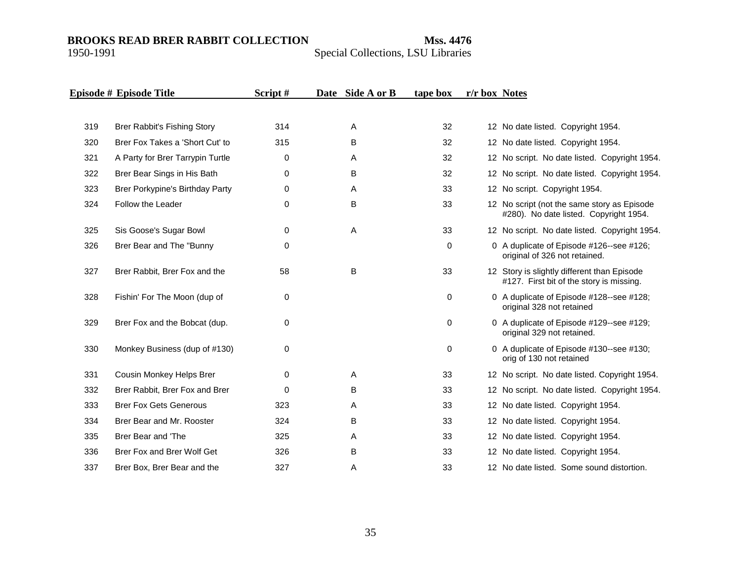|     | Episode # Episode Title          | Script#     | Date Side A or B | tape box    | r/r box Notes                                                                           |
|-----|----------------------------------|-------------|------------------|-------------|-----------------------------------------------------------------------------------------|
|     |                                  |             |                  |             |                                                                                         |
| 319 | Brer Rabbit's Fishing Story      | 314         | A                | 32          | 12 No date listed. Copyright 1954.                                                      |
| 320 | Brer Fox Takes a 'Short Cut' to  | 315         | B                | 32          | 12 No date listed. Copyright 1954.                                                      |
| 321 | A Party for Brer Tarrypin Turtle | 0           | A                | 32          | 12 No script. No date listed. Copyright 1954.                                           |
| 322 | Brer Bear Sings in His Bath      | $\Omega$    | B                | 32          | 12 No script. No date listed. Copyright 1954.                                           |
| 323 | Brer Porkypine's Birthday Party  | $\mathbf 0$ | Α                | 33          | 12 No script. Copyright 1954.                                                           |
| 324 | Follow the Leader                | $\Omega$    | B                | 33          | 12 No script (not the same story as Episode<br>#280). No date listed. Copyright 1954.   |
| 325 | Sis Goose's Sugar Bowl           | $\mathbf 0$ | A                | 33          | 12 No script. No date listed. Copyright 1954.                                           |
| 326 | Brer Bear and The "Bunny         | $\mathbf 0$ |                  | $\mathbf 0$ | 0 A duplicate of Episode #126--see #126;<br>original of 326 not retained.               |
| 327 | Brer Rabbit, Brer Fox and the    | 58          | B                | 33          | 12 Story is slightly different than Episode<br>#127. First bit of the story is missing. |
| 328 | Fishin' For The Moon (dup of     | $\pmb{0}$   |                  | $\mathbf 0$ | 0 A duplicate of Episode #128--see #128;<br>original 328 not retained                   |
| 329 | Brer Fox and the Bobcat (dup.    | $\mathbf 0$ |                  | 0           | 0 A duplicate of Episode #129--see #129;<br>original 329 not retained.                  |
| 330 | Monkey Business (dup of #130)    | $\mathbf 0$ |                  | $\mathbf 0$ | 0 A duplicate of Episode #130--see #130;<br>orig of 130 not retained                    |
| 331 | Cousin Monkey Helps Brer         | $\mathbf 0$ | A                | 33          | 12 No script. No date listed. Copyright 1954.                                           |
| 332 | Brer Rabbit, Brer Fox and Brer   | $\Omega$    | B                | 33          | 12 No script. No date listed. Copyright 1954.                                           |
| 333 | <b>Brer Fox Gets Generous</b>    | 323         | Α                | 33          | 12 No date listed. Copyright 1954.                                                      |
| 334 | Brer Bear and Mr. Rooster        | 324         | B                | 33          | 12 No date listed. Copyright 1954.                                                      |
| 335 | Brer Bear and 'The               | 325         | Α                | 33          | 12 No date listed. Copyright 1954.                                                      |
| 336 | Brer Fox and Brer Wolf Get       | 326         | B                | 33          | 12 No date listed. Copyright 1954.                                                      |
| 337 | Brer Box, Brer Bear and the      | 327         | Α                | 33          | 12 No date listed. Some sound distortion.                                               |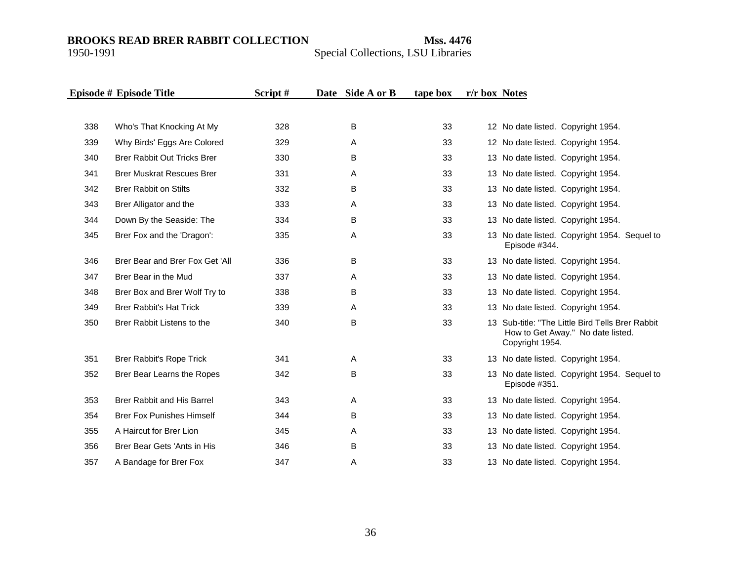|     | Episode # Episode Title            | Script# | Date Side A or B | tape box | r/r box Notes |                                                                                                          |
|-----|------------------------------------|---------|------------------|----------|---------------|----------------------------------------------------------------------------------------------------------|
|     |                                    |         |                  |          |               |                                                                                                          |
| 338 | Who's That Knocking At My          | 328     | B                | 33       |               | 12 No date listed. Copyright 1954.                                                                       |
| 339 | Why Birds' Eggs Are Colored        | 329     | Α                | 33       |               | 12 No date listed. Copyright 1954.                                                                       |
| 340 | <b>Brer Rabbit Out Tricks Brer</b> | 330     | B                | 33       |               | 13 No date listed. Copyright 1954.                                                                       |
| 341 | <b>Brer Muskrat Rescues Brer</b>   | 331     | Α                | 33       |               | 13 No date listed. Copyright 1954.                                                                       |
| 342 | <b>Brer Rabbit on Stilts</b>       | 332     | B                | 33       |               | 13 No date listed. Copyright 1954.                                                                       |
| 343 | Brer Alligator and the             | 333     | A                | 33       |               | 13 No date listed. Copyright 1954.                                                                       |
| 344 | Down By the Seaside: The           | 334     | B                | 33       |               | 13 No date listed. Copyright 1954.                                                                       |
| 345 | Brer Fox and the 'Dragon':         | 335     | A                | 33       |               | 13 No date listed. Copyright 1954. Sequel to<br>Episode #344.                                            |
| 346 | Brer Bear and Brer Fox Get 'All    | 336     | B                | 33       |               | 13 No date listed. Copyright 1954.                                                                       |
| 347 | Brer Bear in the Mud               | 337     | A                | 33       |               | 13 No date listed. Copyright 1954.                                                                       |
| 348 | Brer Box and Brer Wolf Try to      | 338     | B                | 33       |               | 13 No date listed. Copyright 1954.                                                                       |
| 349 | <b>Brer Rabbit's Hat Trick</b>     | 339     | Α                | 33       |               | 13 No date listed. Copyright 1954.                                                                       |
| 350 | Brer Rabbit Listens to the         | 340     | B                | 33       |               | 13 Sub-title: "The Little Bird Tells Brer Rabbit<br>How to Get Away." No date listed.<br>Copyright 1954. |
| 351 | Brer Rabbit's Rope Trick           | 341     | A                | 33       |               | 13 No date listed. Copyright 1954.                                                                       |
| 352 | Brer Bear Learns the Ropes         | 342     | B                | 33       |               | 13 No date listed. Copyright 1954. Sequel to<br>Episode #351.                                            |
| 353 | Brer Rabbit and His Barrel         | 343     | A                | 33       |               | 13 No date listed. Copyright 1954.                                                                       |
| 354 | <b>Brer Fox Punishes Himself</b>   | 344     | B                | 33       |               | 13 No date listed. Copyright 1954.                                                                       |
| 355 | A Haircut for Brer Lion            | 345     | Α                | 33       |               | 13 No date listed. Copyright 1954.                                                                       |
| 356 | Brer Bear Gets 'Ants in His        | 346     | B                | 33       |               | 13 No date listed. Copyright 1954.                                                                       |
| 357 | A Bandage for Brer Fox             | 347     | A                | 33       |               | 13 No date listed. Copyright 1954.                                                                       |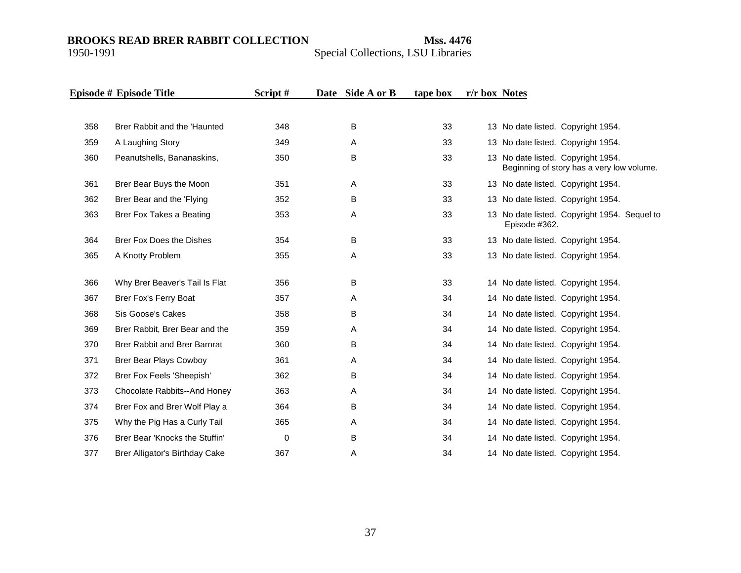|     | Episode # Episode Title             | Script# | Date Side A or B | tape box | r/r box Notes |                                                                                 |
|-----|-------------------------------------|---------|------------------|----------|---------------|---------------------------------------------------------------------------------|
|     |                                     |         |                  |          |               |                                                                                 |
| 358 | Brer Rabbit and the 'Haunted        | 348     | B                | 33       |               | 13 No date listed. Copyright 1954.                                              |
| 359 | A Laughing Story                    | 349     | A                | 33       |               | 13 No date listed. Copyright 1954.                                              |
| 360 | Peanutshells, Bananaskins,          | 350     | B                | 33       |               | 13 No date listed. Copyright 1954.<br>Beginning of story has a very low volume. |
| 361 | Brer Bear Buys the Moon             | 351     | A                | 33       |               | 13 No date listed. Copyright 1954.                                              |
| 362 | Brer Bear and the 'Flying           | 352     | B                | 33       |               | 13 No date listed. Copyright 1954.                                              |
| 363 | Brer Fox Takes a Beating            | 353     | Α                | 33       |               | 13 No date listed. Copyright 1954. Sequel to<br>Episode #362.                   |
| 364 | Brer Fox Does the Dishes            | 354     | B                | 33       |               | 13 No date listed. Copyright 1954.                                              |
| 365 | A Knotty Problem                    | 355     | Α                | 33       |               | 13 No date listed. Copyright 1954.                                              |
| 366 | Why Brer Beaver's Tail Is Flat      | 356     | В                | 33       |               | 14 No date listed. Copyright 1954.                                              |
| 367 | Brer Fox's Ferry Boat               | 357     | Α                | 34       |               | 14 No date listed. Copyright 1954.                                              |
| 368 | Sis Goose's Cakes                   | 358     | B                | 34       |               | 14 No date listed. Copyright 1954.                                              |
| 369 | Brer Rabbit, Brer Bear and the      | 359     | A                | 34       |               | 14 No date listed. Copyright 1954.                                              |
| 370 | <b>Brer Rabbit and Brer Barnrat</b> | 360     | В                | 34       |               | 14 No date listed. Copyright 1954.                                              |
| 371 | <b>Brer Bear Plays Cowboy</b>       | 361     | Α                | 34       |               | 14 No date listed. Copyright 1954.                                              |
| 372 | Brer Fox Feels 'Sheepish'           | 362     | B                | 34       |               | 14 No date listed. Copyright 1954.                                              |
| 373 | Chocolate Rabbits--And Honey        | 363     | Α                | 34       |               | 14 No date listed. Copyright 1954.                                              |
| 374 | Brer Fox and Brer Wolf Play a       | 364     | В                | 34       |               | 14 No date listed. Copyright 1954.                                              |
| 375 | Why the Pig Has a Curly Tail        | 365     | Α                | 34       |               | 14 No date listed. Copyright 1954.                                              |
| 376 | Brer Bear 'Knocks the Stuffin'      | 0       | B                | 34       |               | 14 No date listed. Copyright 1954.                                              |
| 377 | Brer Alligator's Birthday Cake      | 367     | Α                | 34       |               | 14 No date listed. Copyright 1954.                                              |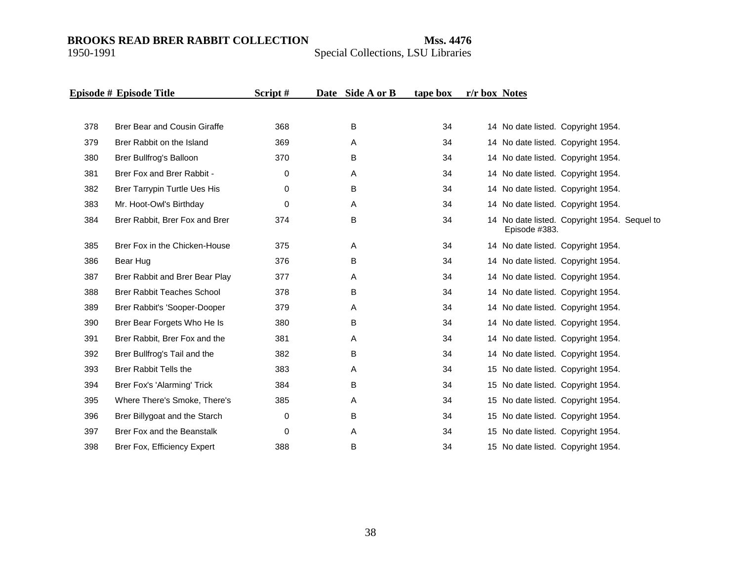|     | Episode # Episode Title             | Script# | Date Side A or B | tape box | r/r box Notes |               |                                              |  |
|-----|-------------------------------------|---------|------------------|----------|---------------|---------------|----------------------------------------------|--|
|     |                                     |         |                  |          |               |               |                                              |  |
| 378 | <b>Brer Bear and Cousin Giraffe</b> | 368     | B                | 34       |               |               | 14 No date listed. Copyright 1954.           |  |
| 379 | Brer Rabbit on the Island           | 369     | A                | 34       |               |               | 14 No date listed. Copyright 1954.           |  |
| 380 | Brer Bullfrog's Balloon             | 370     | B                | 34       |               |               | 14 No date listed. Copyright 1954.           |  |
| 381 | Brer Fox and Brer Rabbit -          | 0       | Α                | 34       |               |               | 14 No date listed. Copyright 1954.           |  |
| 382 | Brer Tarrypin Turtle Ues His        | 0       | В                | 34       |               |               | 14 No date listed. Copyright 1954.           |  |
| 383 | Mr. Hoot-Owl's Birthday             | 0       | Α                | 34       |               |               | 14 No date listed. Copyright 1954.           |  |
| 384 | Brer Rabbit, Brer Fox and Brer      | 374     | B                | 34       |               | Episode #383. | 14 No date listed. Copyright 1954. Sequel to |  |
| 385 | Brer Fox in the Chicken-House       | 375     | Α                | 34       |               |               | 14 No date listed. Copyright 1954.           |  |
| 386 | Bear Hug                            | 376     | B                | 34       |               |               | 14 No date listed. Copyright 1954.           |  |
| 387 | Brer Rabbit and Brer Bear Play      | 377     | A                | 34       |               |               | 14 No date listed. Copyright 1954.           |  |
| 388 | <b>Brer Rabbit Teaches School</b>   | 378     | B                | 34       |               |               | 14 No date listed. Copyright 1954.           |  |
| 389 | Brer Rabbit's 'Sooper-Dooper        | 379     | Α                | 34       |               |               | 14 No date listed. Copyright 1954.           |  |
| 390 | Brer Bear Forgets Who He Is         | 380     | B                | 34       |               |               | 14 No date listed. Copyright 1954.           |  |
| 391 | Brer Rabbit, Brer Fox and the       | 381     | Α                | 34       |               |               | 14 No date listed. Copyright 1954.           |  |
| 392 | Brer Bullfrog's Tail and the        | 382     | B                | 34       |               |               | 14 No date listed. Copyright 1954.           |  |
| 393 | <b>Brer Rabbit Tells the</b>        | 383     | Α                | 34       |               |               | 15 No date listed. Copyright 1954.           |  |
| 394 | Brer Fox's 'Alarming' Trick         | 384     | B                | 34       |               |               | 15 No date listed. Copyright 1954.           |  |
| 395 | Where There's Smoke, There's        | 385     | Α                | 34       |               |               | 15 No date listed. Copyright 1954.           |  |
| 396 | Brer Billygoat and the Starch       | 0       | В                | 34       |               |               | 15 No date listed. Copyright 1954.           |  |
| 397 | Brer Fox and the Beanstalk          | 0       | Α                | 34       |               |               | 15 No date listed. Copyright 1954.           |  |
| 398 | Brer Fox, Efficiency Expert         | 388     | B                | 34       |               |               | 15 No date listed. Copyright 1954.           |  |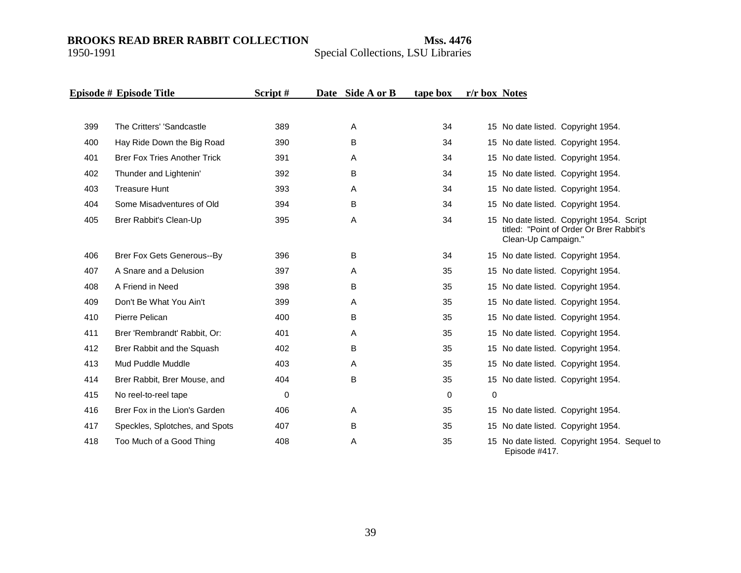|     | Episode # Episode Title             | Script# | Date Side A or B | tape box    | r/r box Notes |                                                                                                              |
|-----|-------------------------------------|---------|------------------|-------------|---------------|--------------------------------------------------------------------------------------------------------------|
| 399 | The Critters' 'Sandcastle           | 389     | A                | 34          |               | 15 No date listed. Copyright 1954.                                                                           |
| 400 | Hay Ride Down the Big Road          | 390     | B                | 34          |               | 15 No date listed. Copyright 1954.                                                                           |
| 401 | <b>Brer Fox Tries Another Trick</b> | 391     | Α                | 34          |               | 15 No date listed. Copyright 1954.                                                                           |
| 402 | Thunder and Lightenin'              | 392     | B                | 34          |               | 15 No date listed. Copyright 1954.                                                                           |
| 403 | <b>Treasure Hunt</b>                | 393     | A                | 34          |               | 15 No date listed. Copyright 1954.                                                                           |
| 404 | Some Misadventures of Old           | 394     | B                | 34          |               | 15 No date listed. Copyright 1954.                                                                           |
| 405 | Brer Rabbit's Clean-Up              | 395     | Α                | 34          |               | 15 No date listed. Copyright 1954. Script<br>titled: "Point of Order Or Brer Rabbit's<br>Clean-Up Campaign." |
| 406 | <b>Brer Fox Gets Generous--By</b>   | 396     | B                | 34          |               | 15 No date listed. Copyright 1954.                                                                           |
| 407 | A Snare and a Delusion              | 397     | Α                | 35          |               | 15 No date listed. Copyright 1954.                                                                           |
| 408 | A Friend in Need                    | 398     | B                | 35          |               | 15 No date listed. Copyright 1954.                                                                           |
| 409 | Don't Be What You Ain't             | 399     | Α                | 35          |               | 15 No date listed. Copyright 1954.                                                                           |
| 410 | Pierre Pelican                      | 400     | B                | 35          |               | 15 No date listed. Copyright 1954.                                                                           |
| 411 | Brer 'Rembrandt' Rabbit, Or:        | 401     | A                | 35          |               | 15 No date listed. Copyright 1954.                                                                           |
| 412 | Brer Rabbit and the Squash          | 402     | B                | 35          |               | 15 No date listed. Copyright 1954.                                                                           |
| 413 | Mud Puddle Muddle                   | 403     | A                | 35          |               | 15 No date listed. Copyright 1954.                                                                           |
| 414 | Brer Rabbit, Brer Mouse, and        | 404     | В                | 35          |               | 15 No date listed. Copyright 1954.                                                                           |
| 415 | No reel-to-reel tape                | 0       |                  | $\mathbf 0$ | $\Omega$      |                                                                                                              |
| 416 | Brer Fox in the Lion's Garden       | 406     | Α                | 35          |               | 15 No date listed. Copyright 1954.                                                                           |
| 417 | Speckles, Splotches, and Spots      | 407     | B                | 35          |               | 15 No date listed. Copyright 1954.                                                                           |
| 418 | Too Much of a Good Thing            | 408     | Α                | 35          |               | 15 No date listed. Copyright 1954. Sequel to<br>Episode #417.                                                |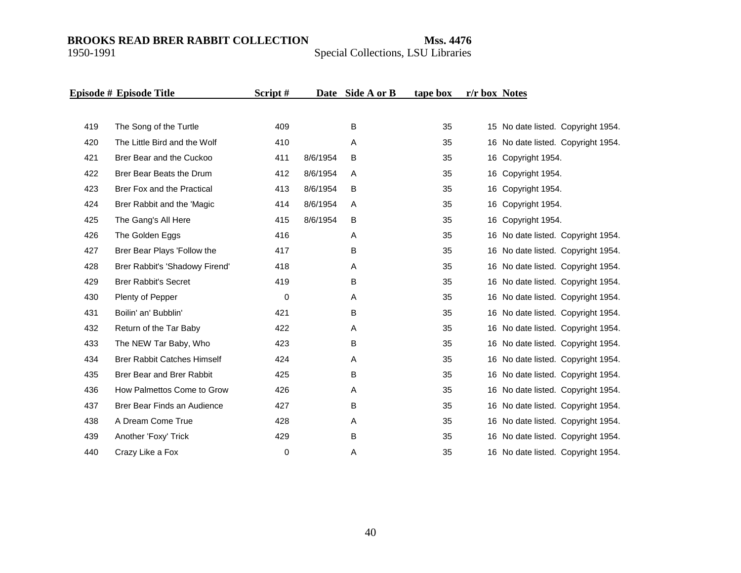|     | Episode # Episode Title            | Script# |          | Date Side A or B | tape box | r/r box Notes |                                    |
|-----|------------------------------------|---------|----------|------------------|----------|---------------|------------------------------------|
|     |                                    |         |          |                  |          |               |                                    |
| 419 | The Song of the Turtle             | 409     |          | B                | 35       |               | 15 No date listed. Copyright 1954. |
| 420 | The Little Bird and the Wolf       | 410     |          | A                | 35       |               | 16 No date listed. Copyright 1954. |
| 421 | Brer Bear and the Cuckoo           | 411     | 8/6/1954 | B                | 35       |               | 16 Copyright 1954.                 |
| 422 | Brer Bear Beats the Drum           | 412     | 8/6/1954 | Α                | 35       |               | 16 Copyright 1954.                 |
| 423 | Brer Fox and the Practical         | 413     | 8/6/1954 | В                | 35       |               | 16 Copyright 1954.                 |
| 424 | Brer Rabbit and the 'Magic         | 414     | 8/6/1954 | Α                | 35       |               | 16 Copyright 1954.                 |
| 425 | The Gang's All Here                | 415     | 8/6/1954 | B                | 35       |               | 16 Copyright 1954.                 |
| 426 | The Golden Eggs                    | 416     |          | Α                | 35       |               | 16 No date listed. Copyright 1954. |
| 427 | Brer Bear Plays 'Follow the        | 417     |          | В                | 35       |               | 16 No date listed. Copyright 1954. |
| 428 | Brer Rabbit's 'Shadowy Firend'     | 418     |          | Α                | 35       |               | 16 No date listed. Copyright 1954. |
| 429 | <b>Brer Rabbit's Secret</b>        | 419     |          | B                | 35       |               | 16 No date listed. Copyright 1954. |
| 430 | Plenty of Pepper                   | 0       |          | Α                | 35       |               | 16 No date listed. Copyright 1954. |
| 431 | Boilin' an' Bubblin'               | 421     |          | В                | 35       |               | 16 No date listed. Copyright 1954. |
| 432 | Return of the Tar Baby             | 422     |          | Α                | 35       |               | 16 No date listed. Copyright 1954. |
| 433 | The NEW Tar Baby, Who              | 423     |          | В                | 35       |               | 16 No date listed. Copyright 1954. |
| 434 | <b>Brer Rabbit Catches Himself</b> | 424     |          | A                | 35       |               | 16 No date listed. Copyright 1954. |
| 435 | Brer Bear and Brer Rabbit          | 425     |          | B                | 35       |               | 16 No date listed. Copyright 1954. |
| 436 | How Palmettos Come to Grow         | 426     |          | Α                | 35       |               | 16 No date listed. Copyright 1954. |
| 437 | Brer Bear Finds an Audience        | 427     |          | В                | 35       |               | 16 No date listed. Copyright 1954. |
| 438 | A Dream Come True                  | 428     |          | Α                | 35       |               | 16 No date listed. Copyright 1954. |
| 439 | Another 'Foxy' Trick               | 429     |          | В                | 35       |               | 16 No date listed. Copyright 1954. |
| 440 | Crazy Like a Fox                   | 0       |          | Α                | 35       |               | 16 No date listed. Copyright 1954. |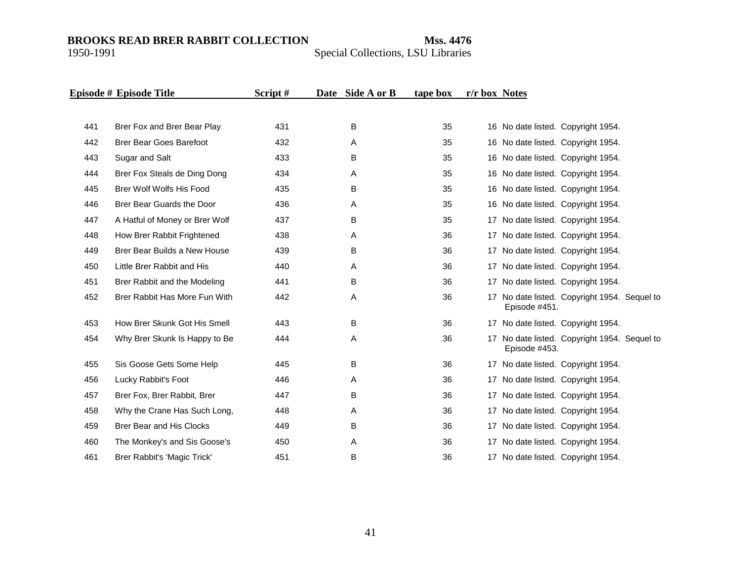|     | Episode # Episode Title         | Script# | Date Side A or B | tape box | r/r box Notes |               |                                              |  |
|-----|---------------------------------|---------|------------------|----------|---------------|---------------|----------------------------------------------|--|
|     |                                 |         |                  |          |               |               |                                              |  |
| 441 | Brer Fox and Brer Bear Play     | 431     | B                | 35       |               |               | 16 No date listed. Copyright 1954.           |  |
| 442 | <b>Brer Bear Goes Barefoot</b>  | 432     | A                | 35       |               |               | 16 No date listed. Copyright 1954.           |  |
| 443 | Sugar and Salt                  | 433     | B                | 35       |               |               | 16 No date listed. Copyright 1954.           |  |
| 444 | Brer Fox Steals de Ding Dong    | 434     | Α                | 35       |               |               | 16 No date listed. Copyright 1954.           |  |
| 445 | Brer Wolf Wolfs His Food        | 435     | B                | 35       |               |               | 16 No date listed. Copyright 1954.           |  |
| 446 | Brer Bear Guards the Door       | 436     | Α                | 35       |               |               | 16 No date listed. Copyright 1954.           |  |
| 447 | A Hatful of Money or Brer Wolf  | 437     | B                | 35       |               |               | 17 No date listed. Copyright 1954.           |  |
| 448 | How Brer Rabbit Frightened      | 438     | Α                | 36       |               |               | 17 No date listed. Copyright 1954.           |  |
| 449 | Brer Bear Builds a New House    | 439     | B                | 36       |               |               | 17 No date listed. Copyright 1954.           |  |
| 450 | Little Brer Rabbit and His      | 440     | Α                | 36       |               |               | 17 No date listed. Copyright 1954.           |  |
| 451 | Brer Rabbit and the Modeling    | 441     | B                | 36       |               |               | 17 No date listed. Copyright 1954.           |  |
| 452 | Brer Rabbit Has More Fun With   | 442     | Α                | 36       |               | Episode #451. | 17 No date listed. Copyright 1954. Sequel to |  |
| 453 | How Brer Skunk Got His Smell    | 443     | B                | 36       |               |               | 17 No date listed. Copyright 1954.           |  |
| 454 | Why Brer Skunk Is Happy to Be   | 444     | Α                | 36       |               | Episode #453. | 17 No date listed. Copyright 1954. Sequel to |  |
| 455 | Sis Goose Gets Some Help        | 445     | В                | 36       |               |               | 17 No date listed. Copyright 1954.           |  |
| 456 | Lucky Rabbit's Foot             | 446     | Α                | 36       |               |               | 17 No date listed. Copyright 1954.           |  |
| 457 | Brer Fox, Brer Rabbit, Brer     | 447     | В                | 36       |               |               | 17 No date listed. Copyright 1954.           |  |
| 458 | Why the Crane Has Such Long,    | 448     | Α                | 36       |               |               | 17 No date listed. Copyright 1954.           |  |
| 459 | <b>Brer Bear and His Clocks</b> | 449     | В                | 36       |               |               | 17 No date listed. Copyright 1954.           |  |
| 460 | The Monkey's and Sis Goose's    | 450     | Α                | 36       |               |               | 17 No date listed. Copyright 1954.           |  |
| 461 | Brer Rabbit's 'Magic Trick'     | 451     | B                | 36       |               |               | 17 No date listed. Copyright 1954.           |  |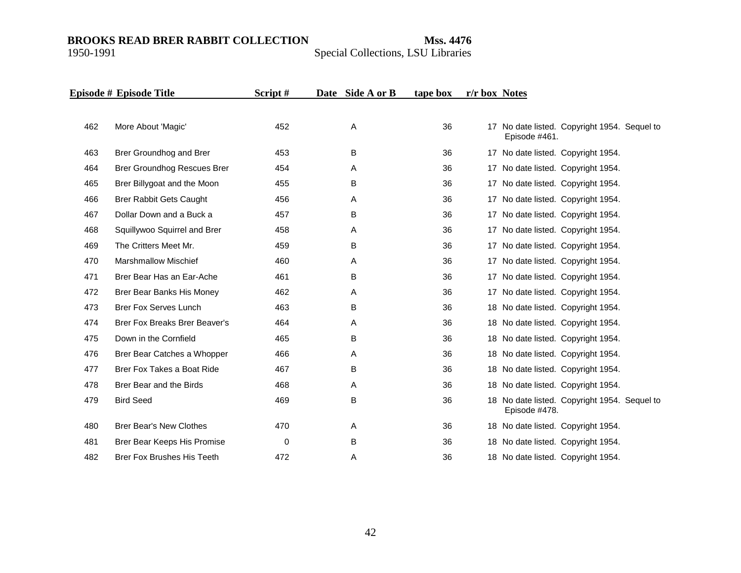|     | Episode # Episode Title              | Script# | Date Side A or B | tape box | r/r box Notes |                                                               |  |
|-----|--------------------------------------|---------|------------------|----------|---------------|---------------------------------------------------------------|--|
|     |                                      |         |                  |          |               |                                                               |  |
| 462 | More About 'Magic'                   | 452     | Α                | 36       |               | 17 No date listed. Copyright 1954. Sequel to<br>Episode #461. |  |
| 463 | Brer Groundhog and Brer              | 453     | B                | 36       |               | 17 No date listed. Copyright 1954.                            |  |
| 464 | Brer Groundhog Rescues Brer          | 454     | A                | 36       |               | 17 No date listed. Copyright 1954.                            |  |
| 465 | Brer Billygoat and the Moon          | 455     | B                | 36       |               | 17 No date listed. Copyright 1954.                            |  |
| 466 | <b>Brer Rabbit Gets Caught</b>       | 456     | Α                | 36       |               | 17 No date listed. Copyright 1954.                            |  |
| 467 | Dollar Down and a Buck a             | 457     | B                | 36       |               | 17 No date listed. Copyright 1954.                            |  |
| 468 | Squillywoo Squirrel and Brer         | 458     | Α                | 36       |               | 17 No date listed. Copyright 1954.                            |  |
| 469 | The Critters Meet Mr.                | 459     | B                | 36       |               | 17 No date listed. Copyright 1954.                            |  |
| 470 | <b>Marshmallow Mischief</b>          | 460     | A                | 36       |               | 17 No date listed. Copyright 1954.                            |  |
| 471 | Brer Bear Has an Ear-Ache            | 461     | B                | 36       |               | 17 No date listed. Copyright 1954.                            |  |
| 472 | Brer Bear Banks His Money            | 462     | A                | 36       |               | 17 No date listed. Copyright 1954.                            |  |
| 473 | <b>Brer Fox Serves Lunch</b>         | 463     | B                | 36       |               | 18 No date listed. Copyright 1954.                            |  |
| 474 | <b>Brer Fox Breaks Brer Beaver's</b> | 464     | A                | 36       |               | 18 No date listed. Copyright 1954.                            |  |
| 475 | Down in the Cornfield                | 465     | B                | 36       |               | 18 No date listed. Copyright 1954.                            |  |
| 476 | Brer Bear Catches a Whopper          | 466     | Α                | 36       |               | 18 No date listed. Copyright 1954.                            |  |
| 477 | Brer Fox Takes a Boat Ride           | 467     | B                | 36       |               | 18 No date listed. Copyright 1954.                            |  |
| 478 | Brer Bear and the Birds              | 468     | Α                | 36       |               | 18 No date listed. Copyright 1954.                            |  |
| 479 | <b>Bird Seed</b>                     | 469     | В                | 36       |               | 18 No date listed. Copyright 1954. Sequel to<br>Episode #478. |  |
| 480 | <b>Brer Bear's New Clothes</b>       | 470     | Α                | 36       |               | 18 No date listed. Copyright 1954.                            |  |
| 481 | Brer Bear Keeps His Promise          | 0       | B                | 36       |               | 18 No date listed. Copyright 1954.                            |  |
| 482 | <b>Brer Fox Brushes His Teeth</b>    | 472     | Α                | 36       |               | 18 No date listed. Copyright 1954.                            |  |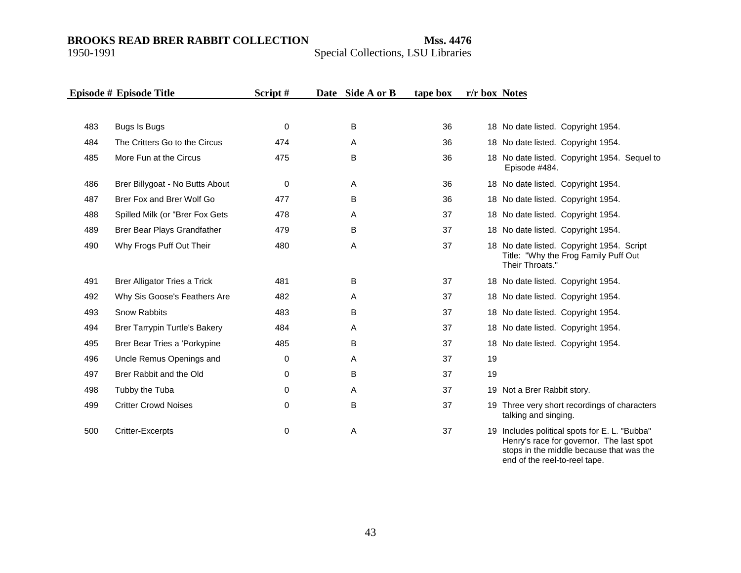Special Collections, LSU Libraries

|     | Episode # Episode Title              | Script#     | Date Side A or B | tape box | r/r box Notes |                                                                                                      |
|-----|--------------------------------------|-------------|------------------|----------|---------------|------------------------------------------------------------------------------------------------------|
|     |                                      |             |                  |          |               |                                                                                                      |
| 483 | Bugs Is Bugs                         | 0           | B                | 36       |               | 18 No date listed. Copyright 1954.                                                                   |
| 484 | The Critters Go to the Circus        | 474         | A                | 36       |               | 18 No date listed. Copyright 1954.                                                                   |
| 485 | More Fun at the Circus               | 475         | B                | 36       |               | 18 No date listed. Copyright 1954. Sequel to<br>Episode #484.                                        |
| 486 | Brer Billygoat - No Butts About      | 0           | A                | 36       |               | 18 No date listed. Copyright 1954.                                                                   |
| 487 | Brer Fox and Brer Wolf Go            | 477         | B                | 36       |               | 18 No date listed. Copyright 1954.                                                                   |
| 488 | Spilled Milk (or "Brer Fox Gets      | 478         | A                | 37       |               | 18 No date listed. Copyright 1954.                                                                   |
| 489 | Brer Bear Plays Grandfather          | 479         | B                | 37       |               | 18 No date listed. Copyright 1954.                                                                   |
| 490 | Why Frogs Puff Out Their             | 480         | Α                | 37       |               | 18 No date listed. Copyright 1954. Script<br>Title: "Why the Frog Family Puff Out<br>Their Throats." |
| 491 | <b>Brer Alligator Tries a Trick</b>  | 481         | B                | 37       |               | 18 No date listed. Copyright 1954.                                                                   |
| 492 | Why Sis Goose's Feathers Are         | 482         | A                | 37       |               | 18 No date listed. Copyright 1954.                                                                   |
| 493 | <b>Snow Rabbits</b>                  | 483         | B                | 37       |               | 18 No date listed. Copyright 1954.                                                                   |
| 494 | <b>Brer Tarrypin Turtle's Bakery</b> | 484         | A                | 37       |               | 18 No date listed. Copyright 1954.                                                                   |
| 495 | Brer Bear Tries a 'Porkypine         | 485         | В                | 37       |               | 18 No date listed. Copyright 1954.                                                                   |
| 496 | Uncle Remus Openings and             | 0           | A                | 37       | 19            |                                                                                                      |
| 497 | Brer Rabbit and the Old              | 0           | B                | 37       | 19            |                                                                                                      |
| 498 | Tubby the Tuba                       | $\mathbf 0$ | A                | 37       |               | 19 Not a Brer Rabbit story.                                                                          |
| 499 | <b>Critter Crowd Noises</b>          | $\mathbf 0$ | B                | 37       |               | 19 Three very short recordings of characters<br>talking and singing.                                 |
| 500 | <b>Critter-Excerpts</b>              | 0           | Α                | 37       | 19            | Includes political spots for E. L. "Bubba"<br>Henry's race for governor. The last spot               |

stops in the middle because that was the

end of the reel-to-reel tape.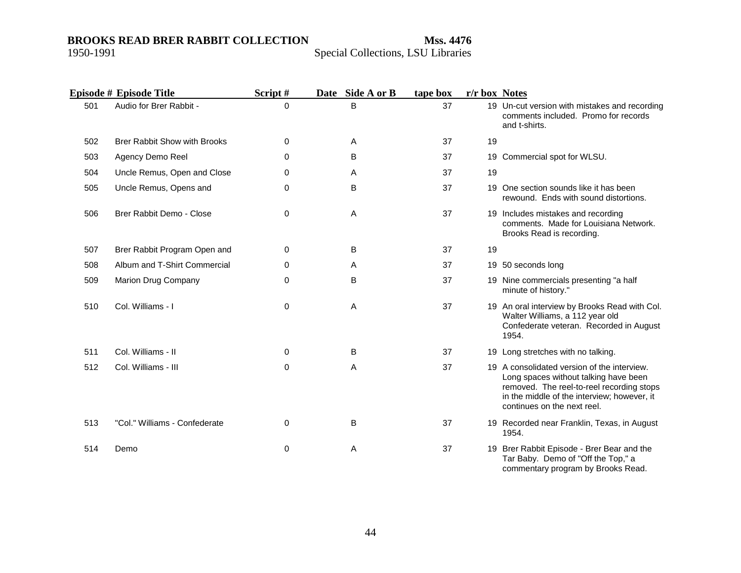|     | Episode # Episode Title             | Script#  | Date Side A or B | tape box | r/r box Notes |                                                                                                                                                                                                                 |
|-----|-------------------------------------|----------|------------------|----------|---------------|-----------------------------------------------------------------------------------------------------------------------------------------------------------------------------------------------------------------|
| 501 | Audio for Brer Rabbit -             | $\Omega$ | B                | 37       |               | 19 Un-cut version with mistakes and recording<br>comments included. Promo for records<br>and t-shirts.                                                                                                          |
| 502 | <b>Brer Rabbit Show with Brooks</b> | 0        | Α                | 37       | 19            |                                                                                                                                                                                                                 |
| 503 | Agency Demo Reel                    | 0        | B                | 37       |               | 19 Commercial spot for WLSU.                                                                                                                                                                                    |
| 504 | Uncle Remus, Open and Close         | 0        | A                | 37       | 19            |                                                                                                                                                                                                                 |
| 505 | Uncle Remus, Opens and              | 0        | B                | 37       |               | 19 One section sounds like it has been<br>rewound. Ends with sound distortions.                                                                                                                                 |
| 506 | Brer Rabbit Demo - Close            | 0        | A                | 37       |               | 19 Includes mistakes and recording<br>comments. Made for Louisiana Network.<br>Brooks Read is recording.                                                                                                        |
| 507 | Brer Rabbit Program Open and        | 0        | B                | 37       | 19            |                                                                                                                                                                                                                 |
| 508 | Album and T-Shirt Commercial        | 0        | Α                | 37       |               | 19 50 seconds long                                                                                                                                                                                              |
| 509 | Marion Drug Company                 | $\Omega$ | B                | 37       |               | 19 Nine commercials presenting "a half<br>minute of history."                                                                                                                                                   |
| 510 | Col. Williams - I                   | 0        | Α                | 37       |               | 19 An oral interview by Brooks Read with Col.<br>Walter Williams, a 112 year old<br>Confederate veteran. Recorded in August<br>1954.                                                                            |
| 511 | Col. Williams - II                  | 0        | B                | 37       |               | 19 Long stretches with no talking.                                                                                                                                                                              |
| 512 | Col. Williams - III                 | 0        | A                | 37       |               | 19 A consolidated version of the interview.<br>Long spaces without talking have been<br>removed. The reel-to-reel recording stops<br>in the middle of the interview; however, it<br>continues on the next reel. |
| 513 | "Col." Williams - Confederate       | 0        | B                | 37       |               | 19 Recorded near Franklin, Texas, in August<br>1954.                                                                                                                                                            |
| 514 | Demo                                | 0        | Α                | 37       |               | 19 Brer Rabbit Episode - Brer Bear and the<br>Tar Baby. Demo of "Off the Top," a<br>commentary program by Brooks Read.                                                                                          |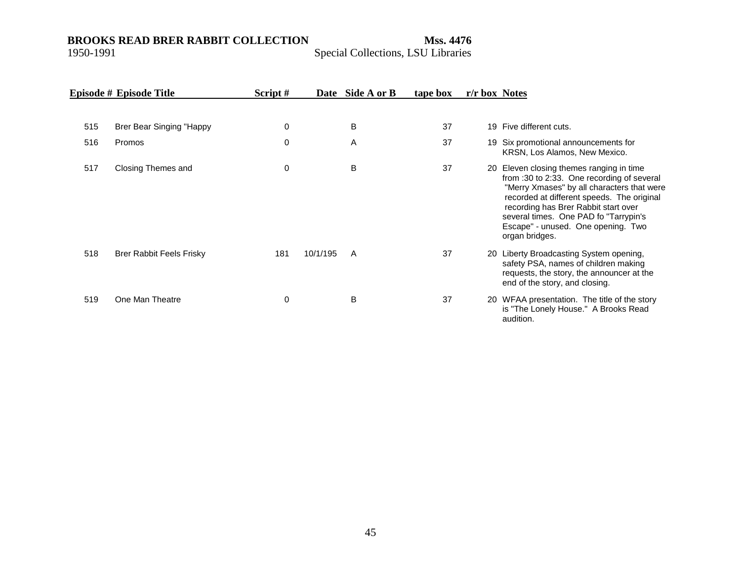|     | Episode # Episode Title  | Script# | Date     | Side A or B | tape box | r/r box Notes |                                                                                                                                                                                                                                                                                                                             |
|-----|--------------------------|---------|----------|-------------|----------|---------------|-----------------------------------------------------------------------------------------------------------------------------------------------------------------------------------------------------------------------------------------------------------------------------------------------------------------------------|
| 515 | Brer Bear Singing "Happy | 0       |          | B           | 37       |               | 19 Five different cuts.                                                                                                                                                                                                                                                                                                     |
| 516 | Promos                   | 0       |          | A           | 37       |               | 19 Six promotional announcements for<br>KRSN, Los Alamos, New Mexico.                                                                                                                                                                                                                                                       |
| 517 | Closing Themes and       | 0       |          | B           | 37       |               | 20 Eleven closing themes ranging in time<br>from :30 to 2:33. One recording of several<br>"Merry Xmases" by all characters that were<br>recorded at different speeds. The original<br>recording has Brer Rabbit start over<br>several times. One PAD fo "Tarrypin's<br>Escape" - unused. One opening. Two<br>organ bridges. |
| 518 | Brer Rabbit Feels Frisky | 181     | 10/1/195 | A           | 37       |               | 20 Liberty Broadcasting System opening,<br>safety PSA, names of children making<br>requests, the story, the announcer at the<br>end of the story, and closing.                                                                                                                                                              |
| 519 | One Man Theatre          | 0       |          | B           | 37       |               | 20 WFAA presentation. The title of the story<br>is "The Lonely House." A Brooks Read<br>audition.                                                                                                                                                                                                                           |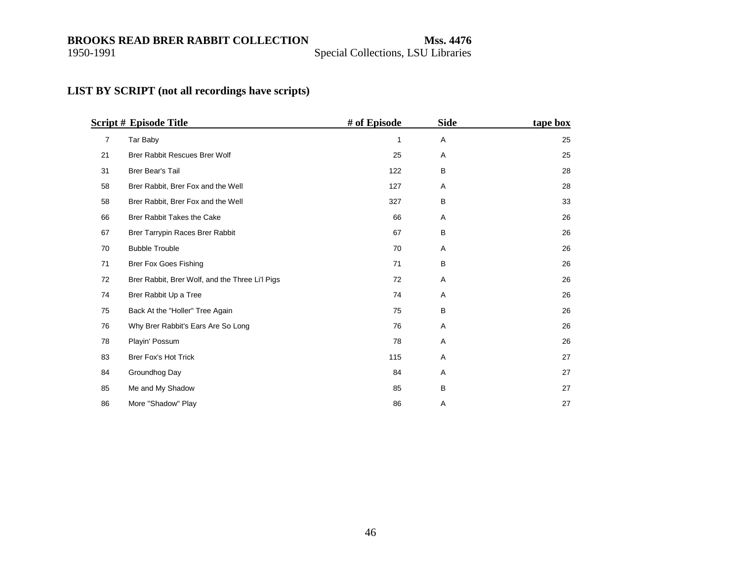<span id="page-45-0"></span>

#### **LIST BY SCRIPT (not all recordings have scripts)**

|    | <b>Script # Episode Title</b>                   | # of Episode | <b>Side</b>    | tape box |
|----|-------------------------------------------------|--------------|----------------|----------|
| 7  | Tar Baby                                        | 1            | A              | 25       |
| 21 | <b>Brer Rabbit Rescues Brer Wolf</b>            | 25           | A              | 25       |
| 31 | <b>Brer Bear's Tail</b>                         | 122          | B              | 28       |
| 58 | Brer Rabbit, Brer Fox and the Well              | 127          | Α              | 28       |
| 58 | Brer Rabbit, Brer Fox and the Well              | 327          | B              | 33       |
| 66 | Brer Rabbit Takes the Cake                      | 66           | A              | 26       |
| 67 | Brer Tarrypin Races Brer Rabbit                 | 67           | B              | 26       |
| 70 | <b>Bubble Trouble</b>                           | 70           | Α              | 26       |
| 71 | <b>Brer Fox Goes Fishing</b>                    | 71           | B              | 26       |
| 72 | Brer Rabbit, Brer Wolf, and the Three Li'l Pigs | 72           | Α              | 26       |
| 74 | Brer Rabbit Up a Tree                           | 74           | Α              | 26       |
| 75 | Back At the "Holler" Tree Again                 | 75           | B              | 26       |
| 76 | Why Brer Rabbit's Ears Are So Long              | 76           | A              | 26       |
| 78 | Playin' Possum                                  | 78           | A              | 26       |
| 83 | Brer Fox's Hot Trick                            | 115          | Α              | 27       |
| 84 | Groundhog Day                                   | 84           | Α              | 27       |
| 85 | Me and My Shadow                                | 85           | B              | 27       |
| 86 | More "Shadow" Play                              | 86           | $\overline{A}$ | 27       |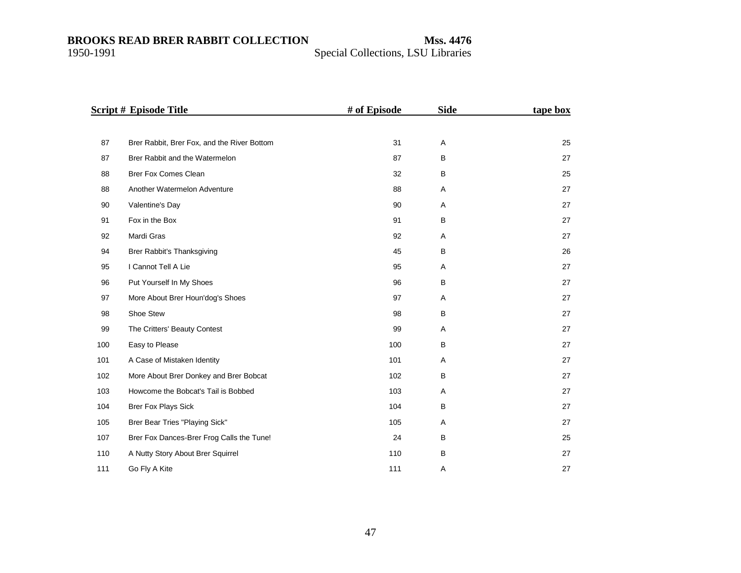|     | <b>Script # Episode Title</b>               | # of Episode | <b>Side</b> | tape box |
|-----|---------------------------------------------|--------------|-------------|----------|
|     |                                             |              |             |          |
| 87  | Brer Rabbit, Brer Fox, and the River Bottom | 31           | Α           | 25       |
| 87  | Brer Rabbit and the Watermelon              | 87           | B           | 27       |
| 88  | <b>Brer Fox Comes Clean</b>                 | 32           | B           | 25       |
| 88  | Another Watermelon Adventure                | 88           | Α           | 27       |
| 90  | Valentine's Day                             | 90           | Α           | 27       |
| 91  | Fox in the Box                              | 91           | B           | 27       |
| 92  | Mardi Gras                                  | 92           | Α           | 27       |
| 94  | Brer Rabbit's Thanksgiving                  | 45           | B           | 26       |
| 95  | I Cannot Tell A Lie                         | 95           | Α           | 27       |
| 96  | Put Yourself In My Shoes                    | 96           | B           | 27       |
| 97  | More About Brer Houn'dog's Shoes            | 97           | Α           | 27       |
| 98  | Shoe Stew                                   | 98           | B           | 27       |
| 99  | The Critters' Beauty Contest                | 99           | Α           | 27       |
| 100 | Easy to Please                              | 100          | B           | 27       |
| 101 | A Case of Mistaken Identity                 | 101          | Α           | 27       |
| 102 | More About Brer Donkey and Brer Bobcat      | 102          | B           | 27       |
| 103 | Howcome the Bobcat's Tail is Bobbed         | 103          | Α           | 27       |
| 104 | <b>Brer Fox Plays Sick</b>                  | 104          | B           | 27       |
| 105 | Brer Bear Tries "Playing Sick"              | 105          | A           | 27       |
| 107 | Brer Fox Dances-Brer Frog Calls the Tune!   | 24           | B           | 25       |
| 110 | A Nutty Story About Brer Squirrel           | 110          | B           | 27       |
| 111 | Go Fly A Kite                               | 111          | Α           | 27       |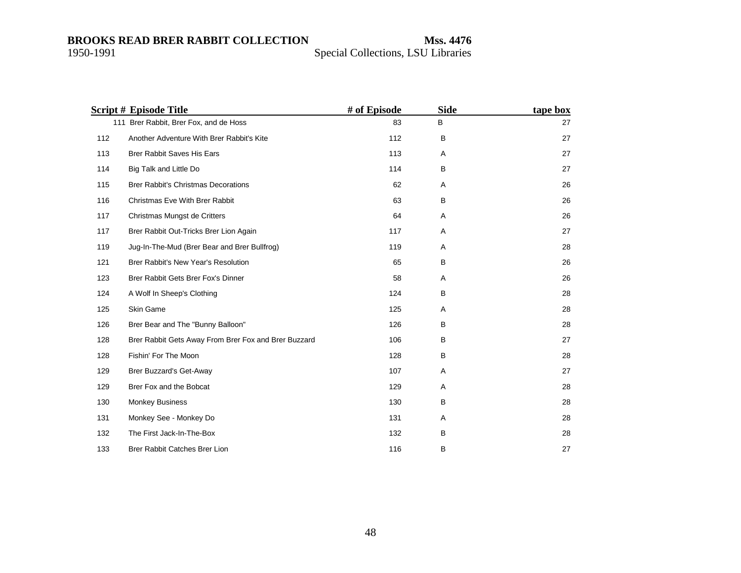|     | <b>Script # Episode Title</b>                        | # of Episode | <b>Side</b> | tape box |
|-----|------------------------------------------------------|--------------|-------------|----------|
|     | 111 Brer Rabbit, Brer Fox, and de Hoss               | 83           | B           | 27       |
| 112 | Another Adventure With Brer Rabbit's Kite            | 112          | B           | 27       |
| 113 | <b>Brer Rabbit Saves His Ears</b>                    | 113          | A           | 27       |
| 114 | Big Talk and Little Do                               | 114          | B           | 27       |
| 115 | <b>Brer Rabbit's Christmas Decorations</b>           | 62           | Α           | 26       |
| 116 | Christmas Eve With Brer Rabbit                       | 63           | B           | 26       |
| 117 | Christmas Mungst de Critters                         | 64           | A           | 26       |
| 117 | Brer Rabbit Out-Tricks Brer Lion Again               | 117          | A           | 27       |
| 119 | Jug-In-The-Mud (Brer Bear and Brer Bullfrog)         | 119          | Α           | 28       |
| 121 | Brer Rabbit's New Year's Resolution                  | 65           | B           | 26       |
| 123 | Brer Rabbit Gets Brer Fox's Dinner                   | 58           | A           | 26       |
| 124 | A Wolf In Sheep's Clothing                           | 124          | B           | 28       |
| 125 | Skin Game                                            | 125          | Α           | 28       |
| 126 | Brer Bear and The "Bunny Balloon"                    | 126          | B           | 28       |
| 128 | Brer Rabbit Gets Away From Brer Fox and Brer Buzzard | 106          | B           | 27       |
| 128 | Fishin' For The Moon                                 | 128          | B           | 28       |
| 129 | Brer Buzzard's Get-Away                              | 107          | Α           | 27       |
| 129 | Brer Fox and the Bobcat                              | 129          | Α           | 28       |
| 130 | <b>Monkey Business</b>                               | 130          | B           | 28       |
| 131 | Monkey See - Monkey Do                               | 131          | Α           | 28       |
| 132 | The First Jack-In-The-Box                            | 132          | B           | 28       |
| 133 | Brer Rabbit Catches Brer Lion                        | 116          | в           | 27       |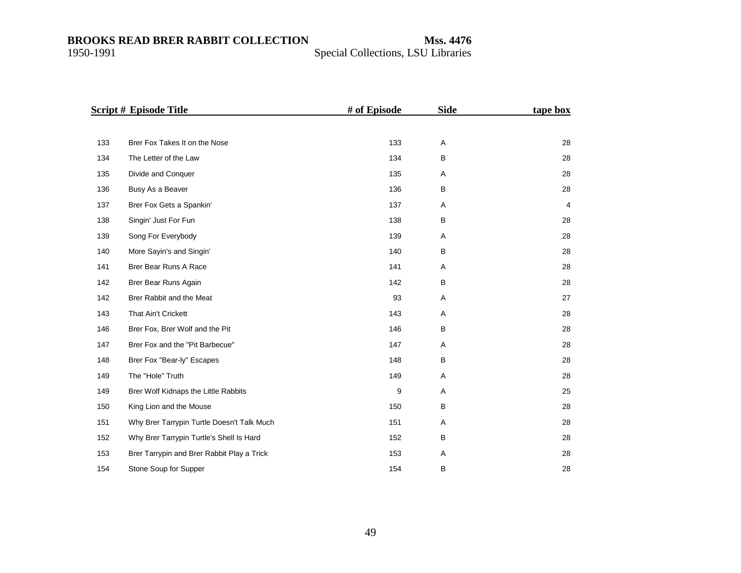|     | <b>Script # Episode Title</b>              | # of Episode | <b>Side</b> | tape box       |
|-----|--------------------------------------------|--------------|-------------|----------------|
|     |                                            |              |             |                |
| 133 | Brer Fox Takes It on the Nose              | 133          | Α           | 28             |
| 134 | The Letter of the Law                      | 134          | B           | 28             |
| 135 | Divide and Conquer                         | 135          | Α           | 28             |
| 136 | Busy As a Beaver                           | 136          | В           | 28             |
| 137 | Brer Fox Gets a Spankin'                   | 137          | Α           | $\overline{4}$ |
| 138 | Singin' Just For Fun                       | 138          | B           | 28             |
| 139 | Song For Everybody                         | 139          | Α           | 28             |
| 140 | More Sayin's and Singin'                   | 140          | B           | 28             |
| 141 | Brer Bear Runs A Race                      | 141          | Α           | 28             |
| 142 | Brer Bear Runs Again                       | 142          | B           | 28             |
| 142 | Brer Rabbit and the Meat                   | 93           | Α           | 27             |
| 143 | <b>That Ain't Crickett</b>                 | 143          | Α           | 28             |
| 146 | Brer Fox, Brer Wolf and the Pit            | 146          | B           | 28             |
| 147 | Brer Fox and the "Pit Barbecue"            | 147          | Α           | 28             |
| 148 | Brer Fox "Bear-ly" Escapes                 | 148          | B           | 28             |
| 149 | The "Hole" Truth                           | 149          | Α           | 28             |
| 149 | Brer Wolf Kidnaps the Little Rabbits       | 9            | Α           | 25             |
| 150 | King Lion and the Mouse                    | 150          | B           | 28             |
| 151 | Why Brer Tarrypin Turtle Doesn't Talk Much | 151          | Α           | 28             |
| 152 | Why Brer Tarrypin Turtle's Shell Is Hard   | 152          | B           | 28             |
| 153 | Brer Tarrypin and Brer Rabbit Play a Trick | 153          | Α           | 28             |
| 154 | Stone Soup for Supper                      | 154          | В           | 28             |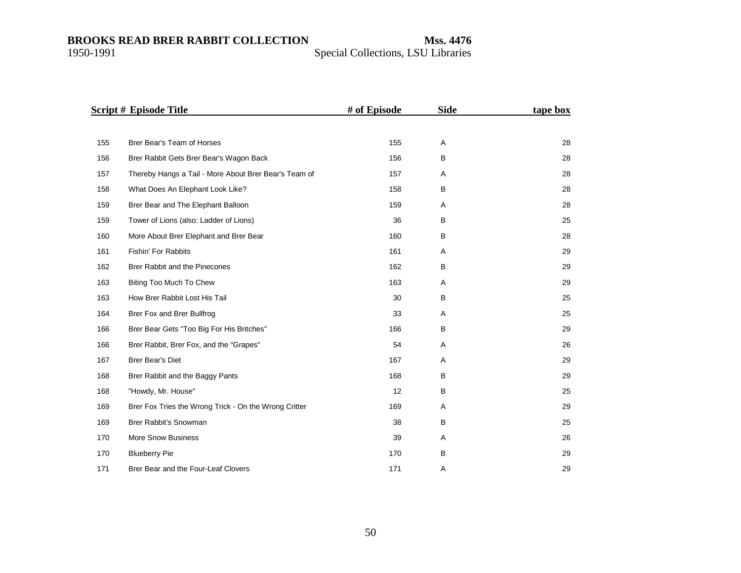|     | <b>Script # Episode Title</b>                         | # of Episode | <b>Side</b> | tape box |
|-----|-------------------------------------------------------|--------------|-------------|----------|
|     |                                                       |              |             |          |
| 155 | Brer Bear's Team of Horses                            | 155          | Α           | 28       |
| 156 | Brer Rabbit Gets Brer Bear's Wagon Back               | 156          | B           | 28       |
| 157 | Thereby Hangs a Tail - More About Brer Bear's Team of | 157          | Α           | 28       |
| 158 | What Does An Elephant Look Like?                      | 158          | B           | 28       |
| 159 | Brer Bear and The Elephant Balloon                    | 159          | Α           | 28       |
| 159 | Tower of Lions (also: Ladder of Lions)                | 36           | В           | 25       |
| 160 | More About Brer Elephant and Brer Bear                | 160          | В           | 28       |
| 161 | Fishin' For Rabbits                                   | 161          | Α           | 29       |
| 162 | Brer Rabbit and the Pinecones                         | 162          | В           | 29       |
| 163 | Biting Too Much To Chew                               | 163          | Α           | 29       |
| 163 | How Brer Rabbit Lost His Tail                         | 30           | B           | 25       |
| 164 | Brer Fox and Brer Bullfrog                            | 33           | Α           | 25       |
| 166 | Brer Bear Gets "Too Big For His Britches"             | 166          | В           | 29       |
| 166 | Brer Rabbit, Brer Fox, and the "Grapes"               | 54           | Α           | 26       |
| 167 | Brer Bear's Diet                                      | 167          | Α           | 29       |
| 168 | Brer Rabbit and the Baggy Pants                       | 168          | В           | 29       |
| 168 | "Howdy, Mr. House"                                    | 12           | B           | 25       |
| 169 | Brer Fox Tries the Wrong Trick - On the Wrong Critter | 169          | Α           | 29       |
| 169 | Brer Rabbit's Snowman                                 | 38           | B           | 25       |
| 170 | <b>More Snow Business</b>                             | 39           | Α           | 26       |
| 170 | <b>Blueberry Pie</b>                                  | 170          | B           | 29       |
| 171 | Brer Bear and the Four-Leaf Clovers                   | 171          | Α           | 29       |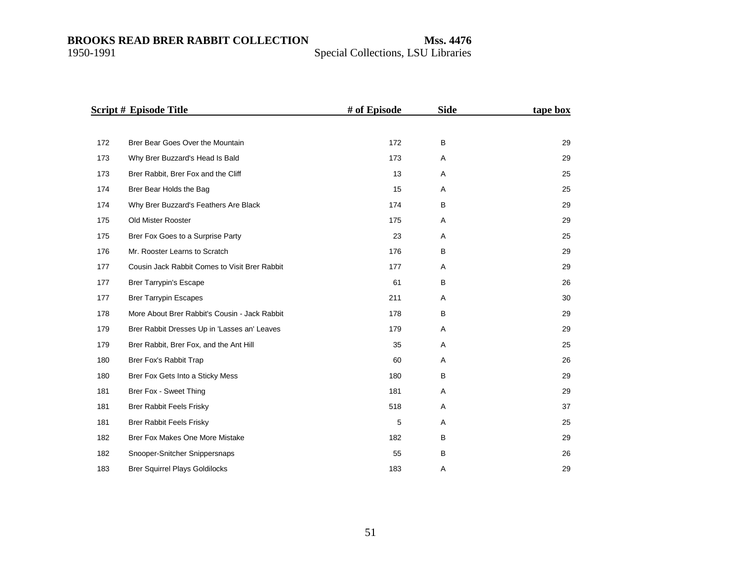|     | <b>Script # Episode Title</b>                 | # of Episode | <b>Side</b> | tape box |
|-----|-----------------------------------------------|--------------|-------------|----------|
|     |                                               |              |             |          |
| 172 | Brer Bear Goes Over the Mountain              | 172          | B           | 29       |
| 173 | Why Brer Buzzard's Head Is Bald               | 173          | Α           | 29       |
| 173 | Brer Rabbit, Brer Fox and the Cliff           | 13           | Α           | 25       |
| 174 | Brer Bear Holds the Bag                       | 15           | Α           | 25       |
| 174 | Why Brer Buzzard's Feathers Are Black         | 174          | B           | 29       |
| 175 | Old Mister Rooster                            | 175          | A           | 29       |
| 175 | Brer Fox Goes to a Surprise Party             | 23           | Α           | 25       |
| 176 | Mr. Rooster Learns to Scratch                 | 176          | B           | 29       |
| 177 | Cousin Jack Rabbit Comes to Visit Brer Rabbit | 177          | A           | 29       |
| 177 | <b>Brer Tarrypin's Escape</b>                 | 61           | B           | 26       |
| 177 | <b>Brer Tarrypin Escapes</b>                  | 211          | Α           | 30       |
| 178 | More About Brer Rabbit's Cousin - Jack Rabbit | 178          | B           | 29       |
| 179 | Brer Rabbit Dresses Up in 'Lasses an' Leaves  | 179          | Α           | 29       |
| 179 | Brer Rabbit, Brer Fox, and the Ant Hill       | 35           | Α           | 25       |
| 180 | Brer Fox's Rabbit Trap                        | 60           | Α           | 26       |
| 180 | Brer Fox Gets Into a Sticky Mess              | 180          | B           | 29       |
| 181 | Brer Fox - Sweet Thing                        | 181          | Α           | 29       |
| 181 | <b>Brer Rabbit Feels Frisky</b>               | 518          | Α           | 37       |
| 181 | <b>Brer Rabbit Feels Frisky</b>               | 5            | Α           | 25       |
| 182 | Brer Fox Makes One More Mistake               | 182          | B           | 29       |
| 182 | Snooper-Snitcher Snippersnaps                 | 55           | B           | 26       |
| 183 | <b>Brer Squirrel Plays Goldilocks</b>         | 183          | Α           | 29       |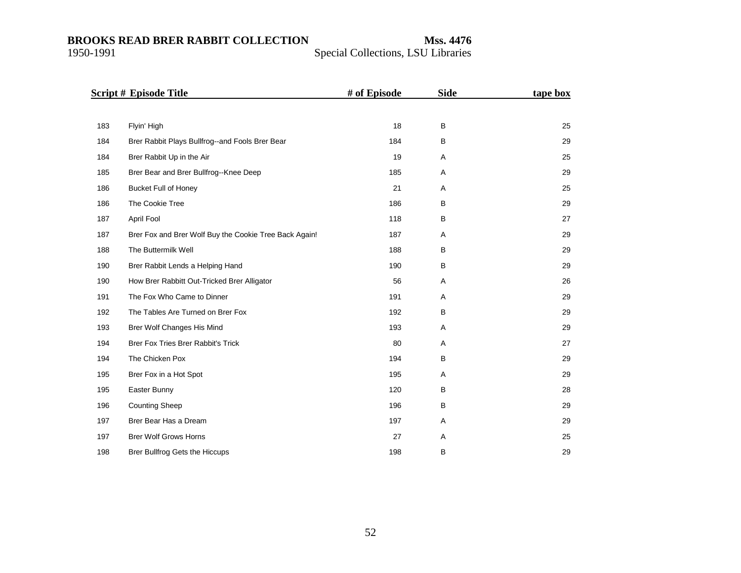|     | Script # Episode Title                                 | # of Episode | <b>Side</b> | tape box |
|-----|--------------------------------------------------------|--------------|-------------|----------|
|     |                                                        |              |             |          |
| 183 | Flyin' High                                            | 18           | B           | 25       |
| 184 | Brer Rabbit Plays Bullfrog--and Fools Brer Bear        | 184          | B           | 29       |
| 184 | Brer Rabbit Up in the Air                              | 19           | Α           | 25       |
| 185 | Brer Bear and Brer Bullfrog--Knee Deep                 | 185          | Α           | 29       |
| 186 | <b>Bucket Full of Honey</b>                            | 21           | A           | 25       |
| 186 | The Cookie Tree                                        | 186          | B           | 29       |
| 187 | April Fool                                             | 118          | B           | 27       |
| 187 | Brer Fox and Brer Wolf Buy the Cookie Tree Back Again! | 187          | A           | 29       |
| 188 | The Buttermilk Well                                    | 188          | B           | 29       |
| 190 | Brer Rabbit Lends a Helping Hand                       | 190          | B           | 29       |
| 190 | How Brer Rabbitt Out-Tricked Brer Alligator            | 56           | Α           | 26       |
| 191 | The Fox Who Came to Dinner                             | 191          | Α           | 29       |
| 192 | The Tables Are Turned on Brer Fox                      | 192          | В           | 29       |
| 193 | Brer Wolf Changes His Mind                             | 193          | Α           | 29       |
| 194 | Brer Fox Tries Brer Rabbit's Trick                     | 80           | Α           | 27       |
| 194 | The Chicken Pox                                        | 194          | B           | 29       |
| 195 | Brer Fox in a Hot Spot                                 | 195          | Α           | 29       |
| 195 | Easter Bunny                                           | 120          | В           | 28       |
| 196 | <b>Counting Sheep</b>                                  | 196          | B           | 29       |
| 197 | Brer Bear Has a Dream                                  | 197          | Α           | 29       |
| 197 | <b>Brer Wolf Grows Horns</b>                           | 27           | Α           | 25       |
| 198 | Brer Bullfrog Gets the Hiccups                         | 198          | B           | 29       |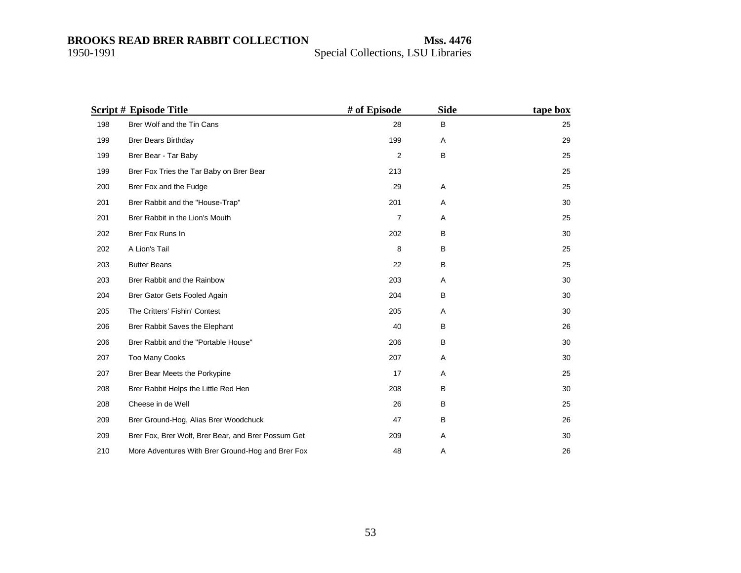|     | Script # Episode Title                              | # of Episode   | <b>Side</b> | tape box |
|-----|-----------------------------------------------------|----------------|-------------|----------|
| 198 | Brer Wolf and the Tin Cans                          | 28             | B           | 25       |
| 199 | <b>Brer Bears Birthday</b>                          | 199            | A           | 29       |
| 199 | Brer Bear - Tar Baby                                | 2              | $\sf B$     | 25       |
| 199 | Brer Fox Tries the Tar Baby on Brer Bear            | 213            |             | 25       |
| 200 | Brer Fox and the Fudge                              | 29             | Α           | 25       |
| 201 | Brer Rabbit and the "House-Trap"                    | 201            | Α           | 30       |
| 201 | Brer Rabbit in the Lion's Mouth                     | $\overline{7}$ | A           | 25       |
| 202 | Brer Fox Runs In                                    | 202            | B           | 30       |
| 202 | A Lion's Tail                                       | 8              | B           | 25       |
| 203 | <b>Butter Beans</b>                                 | 22             | B           | 25       |
| 203 | Brer Rabbit and the Rainbow                         | 203            | Α           | 30       |
| 204 | Brer Gator Gets Fooled Again                        | 204            | B           | 30       |
| 205 | The Critters' Fishin' Contest                       | 205            | Α           | 30       |
| 206 | Brer Rabbit Saves the Elephant                      | 40             | B           | 26       |
| 206 | Brer Rabbit and the "Portable House"                | 206            | B           | 30       |
| 207 | <b>Too Many Cooks</b>                               | 207            | A           | 30       |
| 207 | Brer Bear Meets the Porkypine                       | 17             | Α           | 25       |
| 208 | Brer Rabbit Helps the Little Red Hen                | 208            | B           | 30       |
| 208 | Cheese in de Well                                   | 26             | B           | 25       |
| 209 | Brer Ground-Hog, Alias Brer Woodchuck               | 47             | B           | 26       |
| 209 | Brer Fox, Brer Wolf, Brer Bear, and Brer Possum Get | 209            | Α           | 30       |
| 210 | More Adventures With Brer Ground-Hog and Brer Fox   | 48             | Α           | 26       |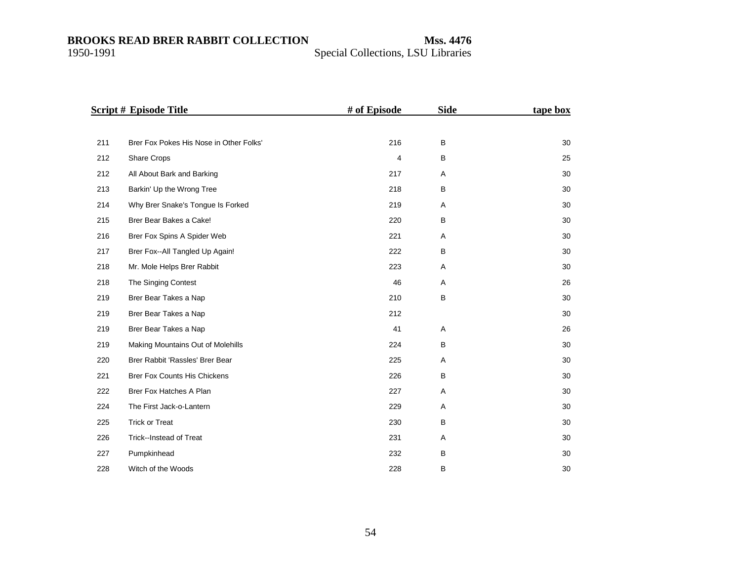|     | <b>Script # Episode Title</b>           | # of Episode   | <b>Side</b> | tape box |
|-----|-----------------------------------------|----------------|-------------|----------|
|     |                                         |                |             |          |
| 211 | Brer Fox Pokes His Nose in Other Folks' | 216            | B           | 30       |
| 212 | Share Crops                             | $\overline{4}$ | B           | 25       |
| 212 | All About Bark and Barking              | 217            | Α           | 30       |
| 213 | Barkin' Up the Wrong Tree               | 218            | B           | 30       |
| 214 | Why Brer Snake's Tongue Is Forked       | 219            | A           | 30       |
| 215 | Brer Bear Bakes a Cake!                 | 220            | B           | 30       |
| 216 | Brer Fox Spins A Spider Web             | 221            | Α           | 30       |
| 217 | Brer Fox--All Tangled Up Again!         | 222            | B           | 30       |
| 218 | Mr. Mole Helps Brer Rabbit              | 223            | Α           | 30       |
| 218 | The Singing Contest                     | 46             | Α           | 26       |
| 219 | Brer Bear Takes a Nap                   | 210            | B           | 30       |
| 219 | Brer Bear Takes a Nap                   | 212            |             | 30       |
| 219 | Brer Bear Takes a Nap                   | 41             | Α           | 26       |
| 219 | Making Mountains Out of Molehills       | 224            | B           | 30       |
| 220 | Brer Rabbit 'Rassles' Brer Bear         | 225            | Α           | 30       |
| 221 | Brer Fox Counts His Chickens            | 226            | B           | 30       |
| 222 | Brer Fox Hatches A Plan                 | 227            | Α           | 30       |
| 224 | The First Jack-o-Lantern                | 229            | Α           | 30       |
| 225 | <b>Trick or Treat</b>                   | 230            | B           | 30       |
| 226 | Trick--Instead of Treat                 | 231            | Α           | 30       |
| 227 | Pumpkinhead                             | 232            | B           | 30       |
| 228 | Witch of the Woods                      | 228            | В           | 30       |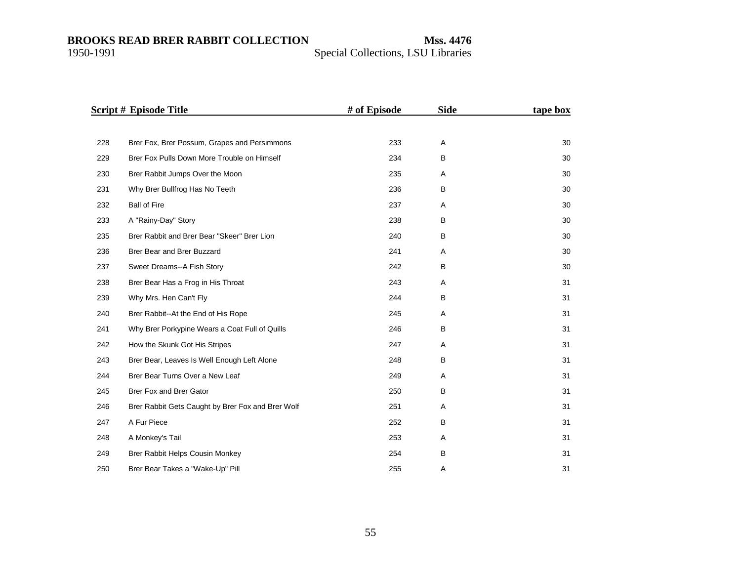|     | <b>Script # Episode Title</b>                     | # of Episode | <b>Side</b> | tape box |
|-----|---------------------------------------------------|--------------|-------------|----------|
|     |                                                   |              |             |          |
| 228 | Brer Fox, Brer Possum, Grapes and Persimmons      | 233          | Α           | 30       |
| 229 | Brer Fox Pulls Down More Trouble on Himself       | 234          | B           | 30       |
| 230 | Brer Rabbit Jumps Over the Moon                   | 235          | Α           | 30       |
| 231 | Why Brer Bullfrog Has No Teeth                    | 236          | B           | 30       |
| 232 | <b>Ball of Fire</b>                               | 237          | Α           | 30       |
| 233 | A "Rainy-Day" Story                               | 238          | B           | 30       |
| 235 | Brer Rabbit and Brer Bear "Skeer" Brer Lion       | 240          | B           | 30       |
| 236 | Brer Bear and Brer Buzzard                        | 241          | A           | 30       |
| 237 | Sweet Dreams--A Fish Story                        | 242          | B           | 30       |
| 238 | Brer Bear Has a Frog in His Throat                | 243          | A           | 31       |
| 239 | Why Mrs. Hen Can't Fly                            | 244          | B           | 31       |
| 240 | Brer Rabbit--At the End of His Rope               | 245          | A           | 31       |
| 241 | Why Brer Porkypine Wears a Coat Full of Quills    | 246          | В           | 31       |
| 242 | How the Skunk Got His Stripes                     | 247          | Α           | 31       |
| 243 | Brer Bear, Leaves Is Well Enough Left Alone       | 248          | В           | 31       |
| 244 | Brer Bear Turns Over a New Leaf                   | 249          | A           | 31       |
| 245 | Brer Fox and Brer Gator                           | 250          | B           | 31       |
| 246 | Brer Rabbit Gets Caught by Brer Fox and Brer Wolf | 251          | Α           | 31       |
| 247 | A Fur Piece                                       | 252          | В           | 31       |
| 248 | A Monkey's Tail                                   | 253          | Α           | 31       |
| 249 | Brer Rabbit Helps Cousin Monkey                   | 254          | B           | 31       |
| 250 | Brer Bear Takes a "Wake-Up" Pill                  | 255          | Α           | 31       |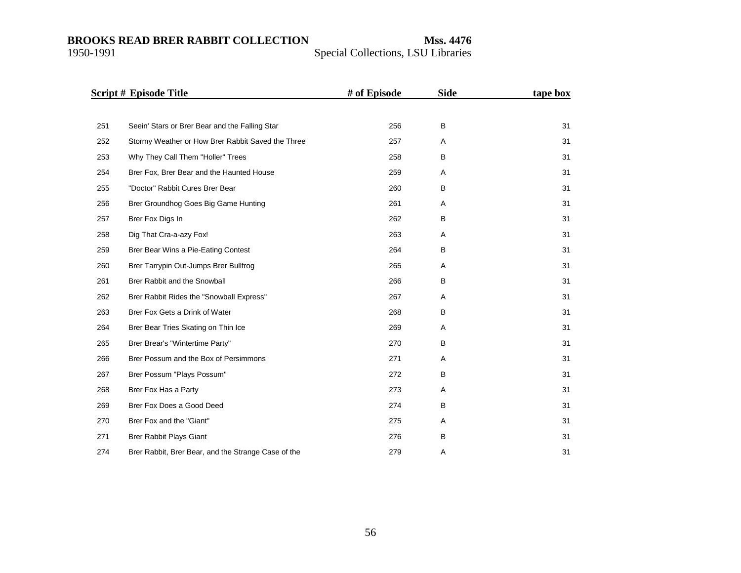|     | <b>Script # Episode Title</b>                       | # of Episode | <b>Side</b> | tape box |
|-----|-----------------------------------------------------|--------------|-------------|----------|
|     |                                                     |              |             |          |
| 251 | Seein' Stars or Brer Bear and the Falling Star      | 256          | B           | 31       |
| 252 | Stormy Weather or How Brer Rabbit Saved the Three   | 257          | A           | 31       |
| 253 | Why They Call Them "Holler" Trees                   | 258          | B           | 31       |
| 254 | Brer Fox, Brer Bear and the Haunted House           | 259          | Α           | 31       |
| 255 | "Doctor" Rabbit Cures Brer Bear                     | 260          | В           | 31       |
| 256 | Brer Groundhog Goes Big Game Hunting                | 261          | Α           | 31       |
| 257 | Brer Fox Digs In                                    | 262          | B           | 31       |
| 258 | Dig That Cra-a-azy Fox!                             | 263          | Α           | 31       |
| 259 | Brer Bear Wins a Pie-Eating Contest                 | 264          | B           | 31       |
| 260 | Brer Tarrypin Out-Jumps Brer Bullfrog               | 265          | Α           | 31       |
| 261 | Brer Rabbit and the Snowball                        | 266          | B           | 31       |
| 262 | Brer Rabbit Rides the "Snowball Express"            | 267          | Α           | 31       |
| 263 | Brer Fox Gets a Drink of Water                      | 268          | B           | 31       |
| 264 | Brer Bear Tries Skating on Thin Ice                 | 269          | Α           | 31       |
| 265 | Brer Brear's "Wintertime Party"                     | 270          | B           | 31       |
| 266 | Brer Possum and the Box of Persimmons               | 271          | A           | 31       |
| 267 | Brer Possum "Plays Possum"                          | 272          | B           | 31       |
| 268 | Brer Fox Has a Party                                | 273          | A           | 31       |
| 269 | Brer Fox Does a Good Deed                           | 274          | B           | 31       |
| 270 | Brer Fox and the "Giant"                            | 275          | A           | 31       |
| 271 | <b>Brer Rabbit Plays Giant</b>                      | 276          | B           | 31       |
| 274 | Brer Rabbit, Brer Bear, and the Strange Case of the | 279          | Α           | 31       |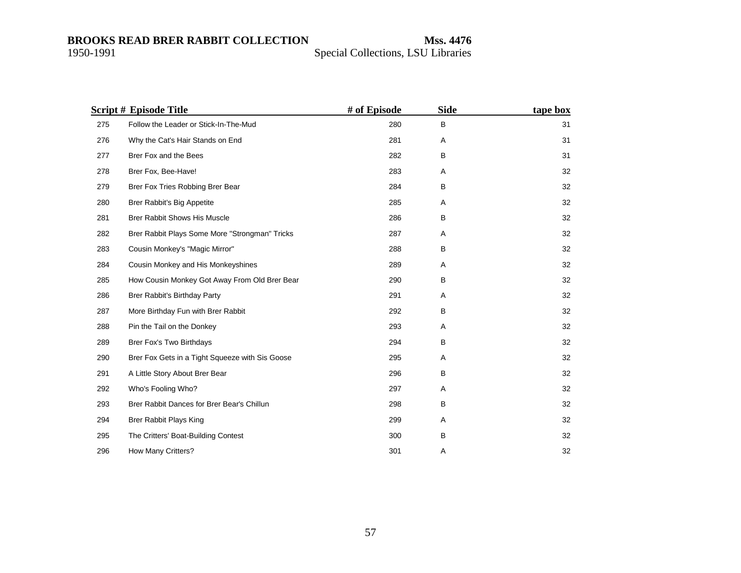|     | <b>Script # Episode Title</b>                   | # of Episode | <b>Side</b> | tape box |
|-----|-------------------------------------------------|--------------|-------------|----------|
| 275 | Follow the Leader or Stick-In-The-Mud           | 280          | B           | 31       |
| 276 | Why the Cat's Hair Stands on End                | 281          | Α           | 31       |
| 277 | Brer Fox and the Bees                           | 282          | B           | 31       |
| 278 | Brer Fox, Bee-Have!                             | 283          | Α           | 32       |
| 279 | Brer Fox Tries Robbing Brer Bear                | 284          | B           | 32       |
| 280 | Brer Rabbit's Big Appetite                      | 285          | Α           | 32       |
| 281 | <b>Brer Rabbit Shows His Muscle</b>             | 286          | В           | 32       |
| 282 | Brer Rabbit Plays Some More "Strongman" Tricks  | 287          | Α           | 32       |
| 283 | Cousin Monkey's "Magic Mirror"                  | 288          | B           | 32       |
| 284 | Cousin Monkey and His Monkeyshines              | 289          | Α           | 32       |
| 285 | How Cousin Monkey Got Away From Old Brer Bear   | 290          | В           | 32       |
| 286 | Brer Rabbit's Birthday Party                    | 291          | A           | 32       |
| 287 | More Birthday Fun with Brer Rabbit              | 292          | В           | 32       |
| 288 | Pin the Tail on the Donkey                      | 293          | Α           | 32       |
| 289 | Brer Fox's Two Birthdays                        | 294          | В           | 32       |
| 290 | Brer Fox Gets in a Tight Squeeze with Sis Goose | 295          | Α           | 32       |
| 291 | A Little Story About Brer Bear                  | 296          | В           | 32       |
| 292 | Who's Fooling Who?                              | 297          | Α           | 32       |
| 293 | Brer Rabbit Dances for Brer Bear's Chillun      | 298          | В           | 32       |
| 294 | Brer Rabbit Plays King                          | 299          | Α           | 32       |
| 295 | The Critters' Boat-Building Contest             | 300          | B           | 32       |
| 296 | How Many Critters?                              | 301          | Α           | 32       |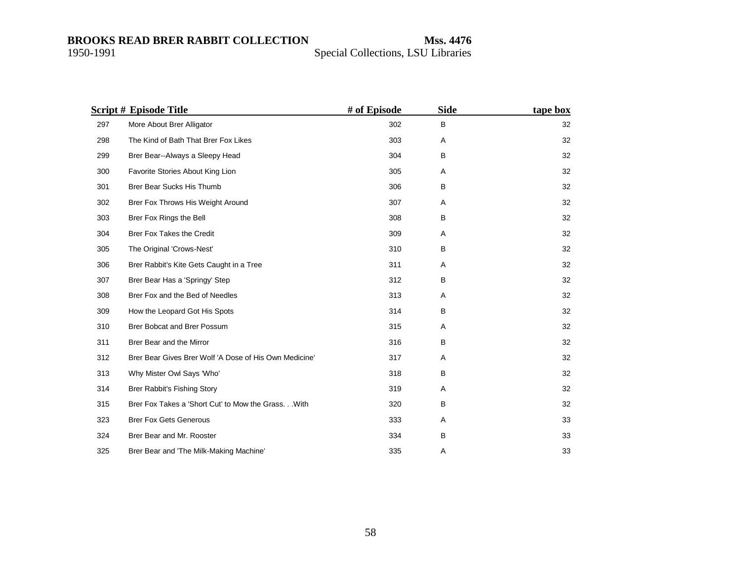|     | <b>Script # Episode Title</b>                          | # of Episode | <b>Side</b> | tape box |
|-----|--------------------------------------------------------|--------------|-------------|----------|
| 297 | More About Brer Alligator                              | 302          | В           | 32       |
| 298 | The Kind of Bath That Brer Fox Likes                   | 303          | Α           | 32       |
| 299 | Brer Bear--Always a Sleepy Head                        | 304          | В           | 32       |
| 300 | Favorite Stories About King Lion                       | 305          | Α           | 32       |
| 301 | Brer Bear Sucks His Thumb                              | 306          | B           | 32       |
| 302 | Brer Fox Throws His Weight Around                      | 307          | Α           | 32       |
| 303 | Brer Fox Rings the Bell                                | 308          | B           | 32       |
| 304 | Brer Fox Takes the Credit                              | 309          | Α           | 32       |
| 305 | The Original 'Crows-Nest'                              | 310          | В           | 32       |
| 306 | Brer Rabbit's Kite Gets Caught in a Tree               | 311          | Α           | 32       |
| 307 | Brer Bear Has a 'Springy' Step                         | 312          | В           | 32       |
| 308 | Brer Fox and the Bed of Needles                        | 313          | Α           | 32       |
| 309 | How the Leopard Got His Spots                          | 314          | B           | 32       |
| 310 | Brer Bobcat and Brer Possum                            | 315          | Α           | 32       |
| 311 | Brer Bear and the Mirror                               | 316          | В           | 32       |
| 312 | Brer Bear Gives Brer Wolf 'A Dose of His Own Medicine' | 317          | Α           | 32       |
| 313 | Why Mister Owl Says 'Who'                              | 318          | В           | 32       |
| 314 | Brer Rabbit's Fishing Story                            | 319          | Α           | 32       |
| 315 | Brer Fox Takes a 'Short Cut' to Mow the Grass. With    | 320          | В           | 32       |
| 323 | <b>Brer Fox Gets Generous</b>                          | 333          | Α           | 33       |
| 324 | Brer Bear and Mr. Rooster                              | 334          | B           | 33       |
| 325 | Brer Bear and 'The Milk-Making Machine'                | 335          | Α           | 33       |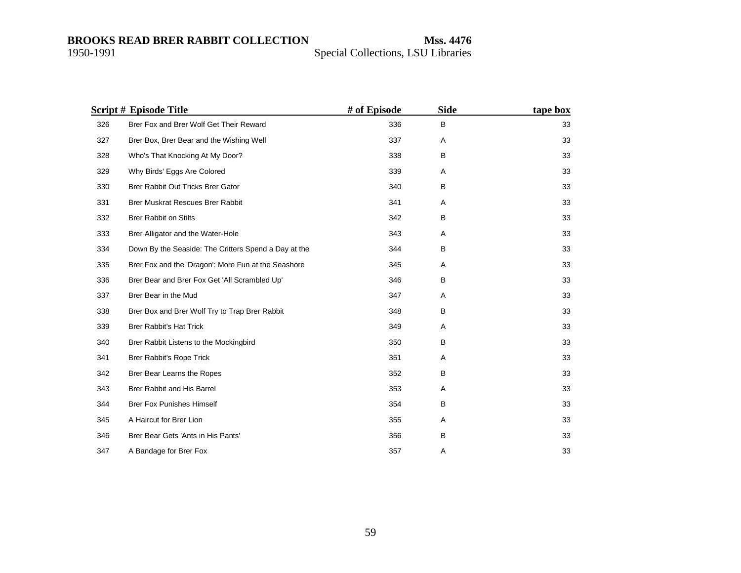|     | <b>Script # Episode Title</b>                        | # of Episode | <b>Side</b> | tape box |
|-----|------------------------------------------------------|--------------|-------------|----------|
| 326 | Brer Fox and Brer Wolf Get Their Reward              | 336          | B           | 33       |
| 327 | Brer Box, Brer Bear and the Wishing Well             | 337          | Α           | 33       |
| 328 | Who's That Knocking At My Door?                      | 338          | B           | 33       |
| 329 | Why Birds' Eggs Are Colored                          | 339          | Α           | 33       |
| 330 | Brer Rabbit Out Tricks Brer Gator                    | 340          | в           | 33       |
| 331 | <b>Brer Muskrat Rescues Brer Rabbit</b>              | 341          | Α           | 33       |
| 332 | <b>Brer Rabbit on Stilts</b>                         | 342          | B           | 33       |
| 333 | Brer Alligator and the Water-Hole                    | 343          | Α           | 33       |
| 334 | Down By the Seaside: The Critters Spend a Day at the | 344          | B           | 33       |
| 335 | Brer Fox and the 'Dragon': More Fun at the Seashore  | 345          | A           | 33       |
| 336 | Brer Bear and Brer Fox Get 'All Scrambled Up'        | 346          | B           | 33       |
| 337 | Brer Bear in the Mud                                 | 347          | Α           | 33       |
| 338 | Brer Box and Brer Wolf Try to Trap Brer Rabbit       | 348          | B           | 33       |
| 339 | <b>Brer Rabbit's Hat Trick</b>                       | 349          | Α           | 33       |
| 340 | Brer Rabbit Listens to the Mockingbird               | 350          | B           | 33       |
| 341 | Brer Rabbit's Rope Trick                             | 351          | Α           | 33       |
| 342 | Brer Bear Learns the Ropes                           | 352          | B           | 33       |
| 343 | Brer Rabbit and His Barrel                           | 353          | Α           | 33       |
| 344 | <b>Brer Fox Punishes Himself</b>                     | 354          | B           | 33       |
| 345 | A Haircut for Brer Lion                              | 355          | Α           | 33       |
| 346 | Brer Bear Gets 'Ants in His Pants'                   | 356          | B           | 33       |
| 347 | A Bandage for Brer Fox                               | 357          | A           | 33       |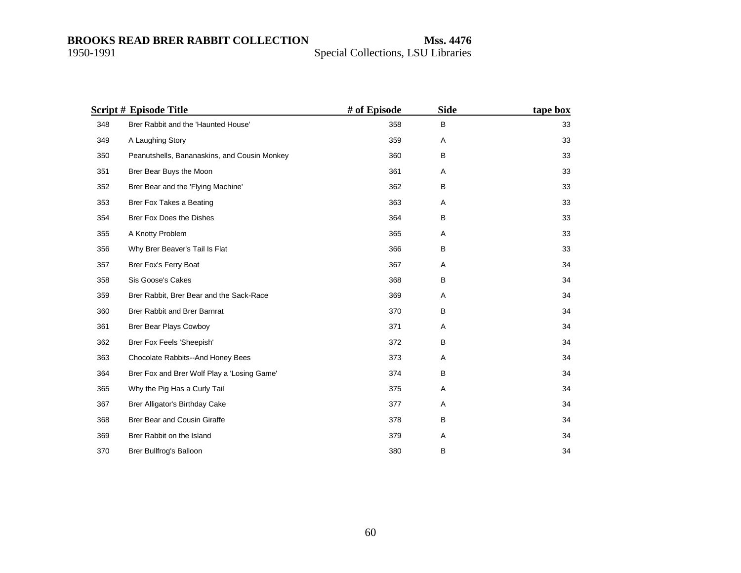|     | <b>Script # Episode Title</b>                | # of Episode | <b>Side</b> | tape box |
|-----|----------------------------------------------|--------------|-------------|----------|
| 348 | Brer Rabbit and the 'Haunted House'          | 358          | B           | 33       |
| 349 | A Laughing Story                             | 359          | Α           | 33       |
| 350 | Peanutshells, Bananaskins, and Cousin Monkey | 360          | B           | 33       |
| 351 | Brer Bear Buys the Moon                      | 361          | Α           | 33       |
| 352 | Brer Bear and the 'Flying Machine'           | 362          | в           | 33       |
| 353 | Brer Fox Takes a Beating                     | 363          | Α           | 33       |
| 354 | Brer Fox Does the Dishes                     | 364          | в           | 33       |
| 355 | A Knotty Problem                             | 365          | Α           | 33       |
| 356 | Why Brer Beaver's Tail Is Flat               | 366          | B           | 33       |
| 357 | Brer Fox's Ferry Boat                        | 367          | Α           | 34       |
| 358 | Sis Goose's Cakes                            | 368          | в           | 34       |
| 359 | Brer Rabbit, Brer Bear and the Sack-Race     | 369          | Α           | 34       |
| 360 | Brer Rabbit and Brer Barnrat                 | 370          | B           | 34       |
| 361 | Brer Bear Plays Cowboy                       | 371          | Α           | 34       |
| 362 | Brer Fox Feels 'Sheepish'                    | 372          | B           | 34       |
| 363 | Chocolate Rabbits--And Honey Bees            | 373          | Α           | 34       |
| 364 | Brer Fox and Brer Wolf Play a 'Losing Game'  | 374          | B           | 34       |
| 365 | Why the Pig Has a Curly Tail                 | 375          | A           | 34       |
| 367 | Brer Alligator's Birthday Cake               | 377          | Α           | 34       |
| 368 | Brer Bear and Cousin Giraffe                 | 378          | B           | 34       |
| 369 | Brer Rabbit on the Island                    | 379          | Α           | 34       |
| 370 | Brer Bullfrog's Balloon                      | 380          | в           | 34       |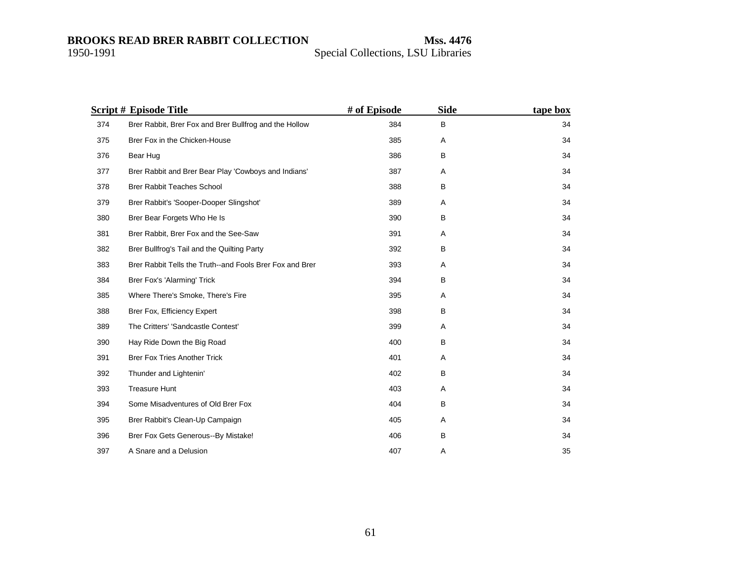|     | <b>Script # Episode Title</b>                            | # of Episode | <b>Side</b> | tape box |
|-----|----------------------------------------------------------|--------------|-------------|----------|
| 374 | Brer Rabbit, Brer Fox and Brer Bullfrog and the Hollow   | 384          | В           | 34       |
| 375 | Brer Fox in the Chicken-House                            | 385          | Α           | 34       |
| 376 | Bear Hug                                                 | 386          | B           | 34       |
| 377 | Brer Rabbit and Brer Bear Play 'Cowboys and Indians'     | 387          | Α           | 34       |
| 378 | <b>Brer Rabbit Teaches School</b>                        | 388          | B           | 34       |
| 379 | Brer Rabbit's 'Sooper-Dooper Slingshot'                  | 389          | A           | 34       |
| 380 | Brer Bear Forgets Who He Is                              | 390          | В           | 34       |
| 381 | Brer Rabbit, Brer Fox and the See-Saw                    | 391          | Α           | 34       |
| 382 | Brer Bullfrog's Tail and the Quilting Party              | 392          | В           | 34       |
| 383 | Brer Rabbit Tells the Truth--and Fools Brer Fox and Brer | 393          | Α           | 34       |
| 384 | Brer Fox's 'Alarming' Trick                              | 394          | В           | 34       |
| 385 | Where There's Smoke, There's Fire                        | 395          | Α           | 34       |
| 388 | Brer Fox, Efficiency Expert                              | 398          | B           | 34       |
| 389 | The Critters' 'Sandcastle Contest'                       | 399          | Α           | 34       |
| 390 | Hay Ride Down the Big Road                               | 400          | B           | 34       |
| 391 | <b>Brer Fox Tries Another Trick</b>                      | 401          | Α           | 34       |
| 392 | Thunder and Lightenin'                                   | 402          | B           | 34       |
| 393 | <b>Treasure Hunt</b>                                     | 403          | Α           | 34       |
| 394 | Some Misadventures of Old Brer Fox                       | 404          | В           | 34       |
| 395 | Brer Rabbit's Clean-Up Campaign                          | 405          | Α           | 34       |
| 396 | Brer Fox Gets Generous--By Mistake!                      | 406          | B           | 34       |
| 397 | A Snare and a Delusion                                   | 407          | Α           | 35       |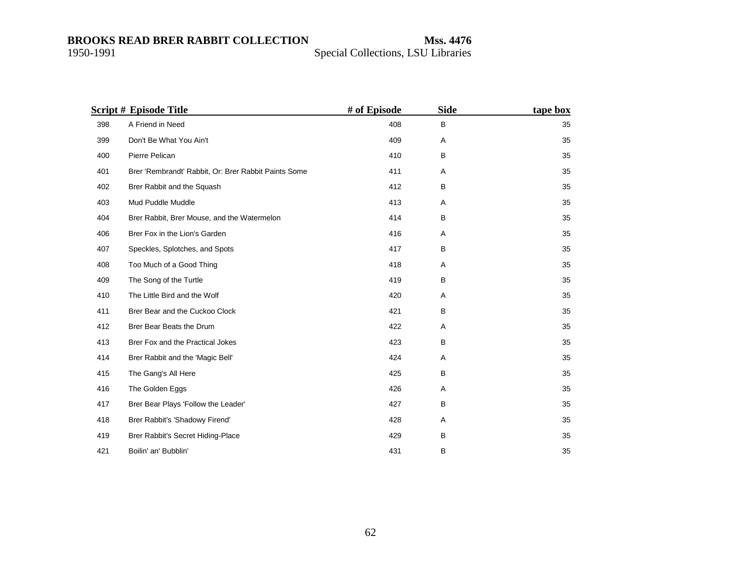|     | <b>Script # Episode Title</b>                        | # of Episode | <b>Side</b> | tape box |
|-----|------------------------------------------------------|--------------|-------------|----------|
| 398 | A Friend in Need                                     | 408          | B           | 35       |
| 399 | Don't Be What You Ain't                              | 409          | Α           | 35       |
| 400 | Pierre Pelican                                       | 410          | B           | 35       |
| 401 | Brer 'Rembrandt' Rabbit, Or: Brer Rabbit Paints Some | 411          | Α           | 35       |
| 402 | Brer Rabbit and the Squash                           | 412          | B           | 35       |
| 403 | Mud Puddle Muddle                                    | 413          | Α           | 35       |
| 404 | Brer Rabbit, Brer Mouse, and the Watermelon          | 414          | B           | 35       |
| 406 | Brer Fox in the Lion's Garden                        | 416          | Α           | 35       |
| 407 | Speckles, Splotches, and Spots                       | 417          | B           | 35       |
| 408 | Too Much of a Good Thing                             | 418          | Α           | 35       |
| 409 | The Song of the Turtle                               | 419          | В           | 35       |
| 410 | The Little Bird and the Wolf                         | 420          | A           | 35       |
| 411 | Brer Bear and the Cuckoo Clock                       | 421          | B           | 35       |
| 412 | Brer Bear Beats the Drum                             | 422          | Α           | 35       |
| 413 | Brer Fox and the Practical Jokes                     | 423          | B           | 35       |
| 414 | Brer Rabbit and the 'Magic Bell'                     | 424          | Α           | 35       |
| 415 | The Gang's All Here                                  | 425          | B           | 35       |
| 416 | The Golden Eggs                                      | 426          | Α           | 35       |
| 417 | Brer Bear Plays 'Follow the Leader'                  | 427          | В           | 35       |
| 418 | Brer Rabbit's 'Shadowy Firend'                       | 428          | Α           | 35       |
| 419 | Brer Rabbit's Secret Hiding-Place                    | 429          | B           | 35       |
| 421 | Boilin' an' Bubblin'                                 | 431          | B           | 35       |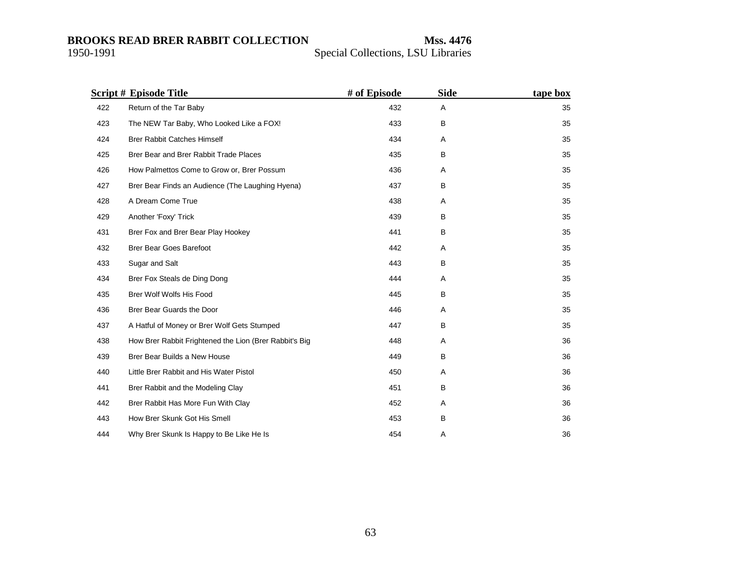|     | <b>Script # Episode Title</b>                          | # of Episode | <b>Side</b> | tape box |
|-----|--------------------------------------------------------|--------------|-------------|----------|
| 422 | Return of the Tar Baby                                 | 432          | Α           | 35       |
| 423 | The NEW Tar Baby, Who Looked Like a FOX!               | 433          | B           | 35       |
| 424 | <b>Brer Rabbit Catches Himself</b>                     | 434          | Α           | 35       |
| 425 | Brer Bear and Brer Rabbit Trade Places                 | 435          | B           | 35       |
| 426 | How Palmettos Come to Grow or, Brer Possum             | 436          | Α           | 35       |
| 427 | Brer Bear Finds an Audience (The Laughing Hyena)       | 437          | В           | 35       |
| 428 | A Dream Come True                                      | 438          | A           | 35       |
| 429 | Another 'Foxy' Trick                                   | 439          | B           | 35       |
| 431 | Brer Fox and Brer Bear Play Hookey                     | 441          | B           | 35       |
| 432 | <b>Brer Bear Goes Barefoot</b>                         | 442          | Α           | 35       |
| 433 | Sugar and Salt                                         | 443          | B           | 35       |
| 434 | Brer Fox Steals de Ding Dong                           | 444          | Α           | 35       |
| 435 | Brer Wolf Wolfs His Food                               | 445          | B           | 35       |
| 436 | Brer Bear Guards the Door                              | 446          | Α           | 35       |
| 437 | A Hatful of Money or Brer Wolf Gets Stumped            | 447          | B           | 35       |
| 438 | How Brer Rabbit Frightened the Lion (Brer Rabbit's Big | 448          | Α           | 36       |
| 439 | Brer Bear Builds a New House                           | 449          | B           | 36       |
| 440 | Little Brer Rabbit and His Water Pistol                | 450          | Α           | 36       |
| 441 | Brer Rabbit and the Modeling Clay                      | 451          | В           | 36       |
| 442 | Brer Rabbit Has More Fun With Clay                     | 452          | A           | 36       |
| 443 | How Brer Skunk Got His Smell                           | 453          | B           | 36       |
| 444 | Why Brer Skunk Is Happy to Be Like He Is               | 454          | A           | 36       |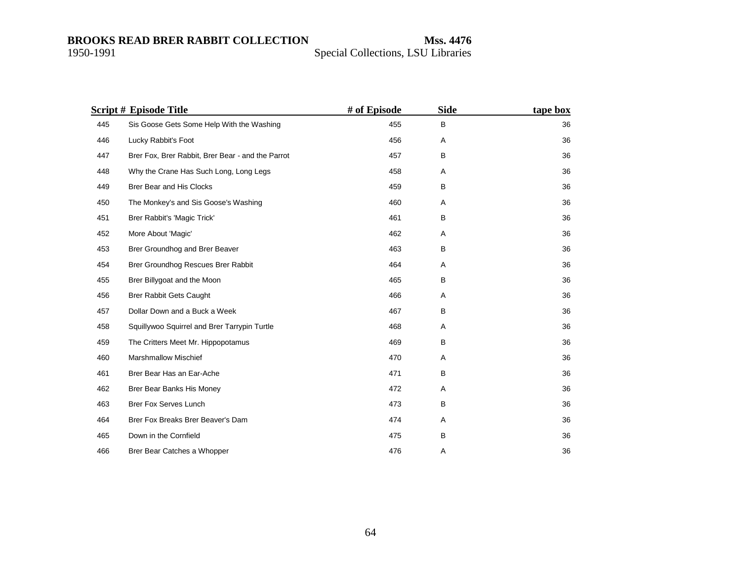|     | <b>Script # Episode Title</b>                     | # of Episode | <b>Side</b> | tape box |
|-----|---------------------------------------------------|--------------|-------------|----------|
| 445 | Sis Goose Gets Some Help With the Washing         | 455          | B           | 36       |
| 446 | Lucky Rabbit's Foot                               | 456          | Α           | 36       |
| 447 | Brer Fox, Brer Rabbit, Brer Bear - and the Parrot | 457          | в           | 36       |
| 448 | Why the Crane Has Such Long, Long Legs            | 458          | Α           | 36       |
| 449 | Brer Bear and His Clocks                          | 459          | В           | 36       |
| 450 | The Monkey's and Sis Goose's Washing              | 460          | Α           | 36       |
| 451 | Brer Rabbit's 'Magic Trick'                       | 461          | в           | 36       |
| 452 | More About 'Magic'                                | 462          | Α           | 36       |
| 453 | Brer Groundhog and Brer Beaver                    | 463          | B           | 36       |
| 454 | Brer Groundhog Rescues Brer Rabbit                | 464          | A           | 36       |
| 455 | Brer Billygoat and the Moon                       | 465          | в           | 36       |
| 456 | <b>Brer Rabbit Gets Caught</b>                    | 466          | Α           | 36       |
| 457 | Dollar Down and a Buck a Week                     | 467          | В           | 36       |
| 458 | Squillywoo Squirrel and Brer Tarrypin Turtle      | 468          | Α           | 36       |
| 459 | The Critters Meet Mr. Hippopotamus                | 469          | B           | 36       |
| 460 | <b>Marshmallow Mischief</b>                       | 470          | Α           | 36       |
| 461 | Brer Bear Has an Ear-Ache                         | 471          | B           | 36       |
| 462 | Brer Bear Banks His Money                         | 472          | A           | 36       |
| 463 | Brer Fox Serves Lunch                             | 473          | B           | 36       |
| 464 | Brer Fox Breaks Brer Beaver's Dam                 | 474          | Α           | 36       |
| 465 | Down in the Cornfield                             | 475          | B           | 36       |
| 466 | Brer Bear Catches a Whopper                       | 476          | Α           | 36       |